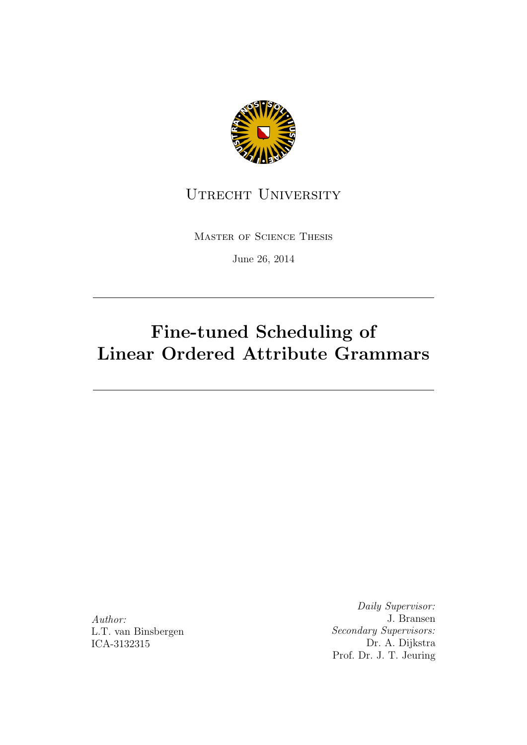

### UTRECHT UNIVERSITY

Master of Science Thesis

June 26, 2014

## Fine-tuned Scheduling of Linear Ordered Attribute Grammars

Author: L.T. van Binsbergen ICA-3132315

Daily Supervisor: J. Bransen Secondary Supervisors: Dr. A. Dijkstra Prof. Dr. J. T. Jeuring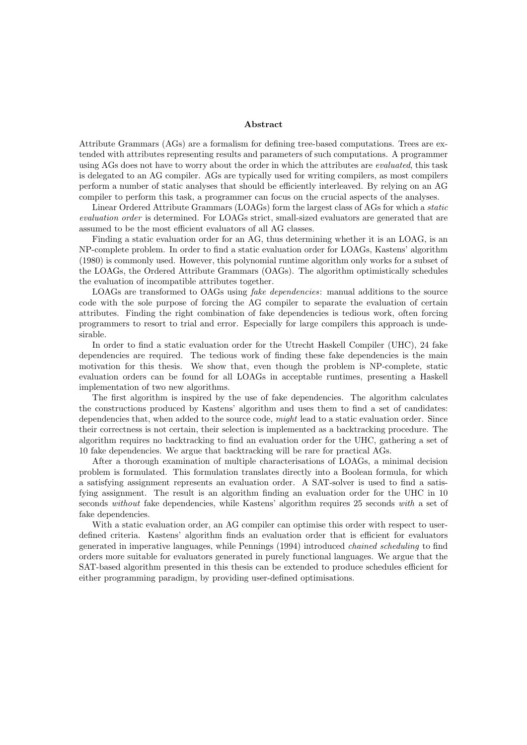#### Abstract

Attribute Grammars (AGs) are a formalism for defining tree-based computations. Trees are extended with attributes representing results and parameters of such computations. A programmer using AGs does not have to worry about the order in which the attributes are *evaluated*, this task is delegated to an AG compiler. AGs are typically used for writing compilers, as most compilers perform a number of static analyses that should be efficiently interleaved. By relying on an AG compiler to perform this task, a programmer can focus on the crucial aspects of the analyses.

Linear Ordered Attribute Grammars (LOAGs) form the largest class of AGs for which a static evaluation order is determined. For LOAGs strict, small-sized evaluators are generated that are assumed to be the most efficient evaluators of all AG classes.

Finding a static evaluation order for an AG, thus determining whether it is an LOAG, is an NP-complete problem. In order to find a static evaluation order for LOAGs, Kastens' algorithm (1980) is commonly used. However, this polynomial runtime algorithm only works for a subset of the LOAGs, the Ordered Attribute Grammars (OAGs). The algorithm optimistically schedules the evaluation of incompatible attributes together.

LOAGs are transformed to OAGs using *fake dependencies*: manual additions to the source code with the sole purpose of forcing the AG compiler to separate the evaluation of certain attributes. Finding the right combination of fake dependencies is tedious work, often forcing programmers to resort to trial and error. Especially for large compilers this approach is undesirable.

In order to find a static evaluation order for the Utrecht Haskell Compiler (UHC), 24 fake dependencies are required. The tedious work of finding these fake dependencies is the main motivation for this thesis. We show that, even though the problem is NP-complete, static evaluation orders can be found for all LOAGs in acceptable runtimes, presenting a Haskell implementation of two new algorithms.

The first algorithm is inspired by the use of fake dependencies. The algorithm calculates the constructions produced by Kastens' algorithm and uses them to find a set of candidates: dependencies that, when added to the source code, *might* lead to a static evaluation order. Since their correctness is not certain, their selection is implemented as a backtracking procedure. The algorithm requires no backtracking to find an evaluation order for the UHC, gathering a set of 10 fake dependencies. We argue that backtracking will be rare for practical AGs.

After a thorough examination of multiple characterisations of LOAGs, a minimal decision problem is formulated. This formulation translates directly into a Boolean formula, for which a satisfying assignment represents an evaluation order. A SAT-solver is used to find a satisfying assignment. The result is an algorithm finding an evaluation order for the UHC in 10 seconds *without* fake dependencies, while Kastens' algorithm requires 25 seconds with a set of fake dependencies.

With a static evaluation order, an AG compiler can optimise this order with respect to userdefined criteria. Kastens' algorithm finds an evaluation order that is efficient for evaluators generated in imperative languages, while Pennings (1994) introduced chained scheduling to find orders more suitable for evaluators generated in purely functional languages. We argue that the SAT-based algorithm presented in this thesis can be extended to produce schedules efficient for either programming paradigm, by providing user-defined optimisations.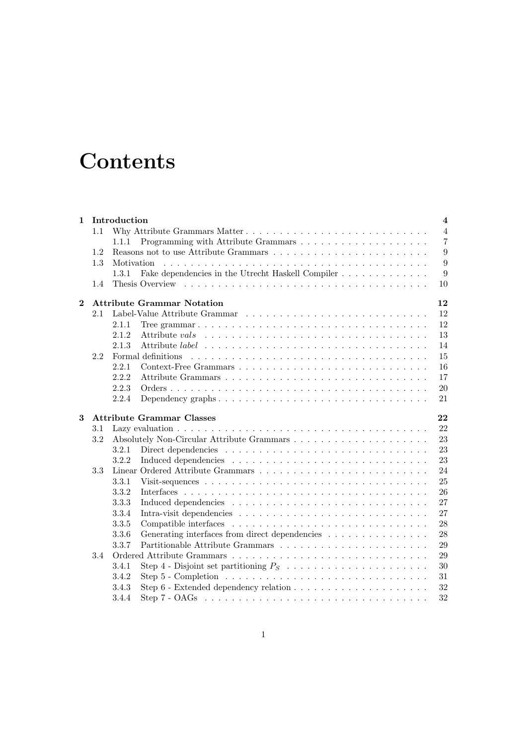## **Contents**

| $\mathbf{1}$ |     | Introduction                                                                                              | $\overline{4}$ |
|--------------|-----|-----------------------------------------------------------------------------------------------------------|----------------|
|              | 1.1 |                                                                                                           | $\overline{4}$ |
|              |     | 1.1.1                                                                                                     | $\overline{7}$ |
|              | 1.2 |                                                                                                           | 9              |
|              | 1.3 | Motivation                                                                                                | 9              |
|              |     | Fake dependencies in the Utrecht Haskell Compiler<br>1.3.1                                                | 9              |
|              | 1.4 |                                                                                                           | 10             |
| $\mathbf{2}$ |     | <b>Attribute Grammar Notation</b>                                                                         | 12             |
|              | 2.1 |                                                                                                           | 12             |
|              |     | 2.1.1                                                                                                     | 12             |
|              |     | 2.1.2                                                                                                     | 13             |
|              |     | 2.1.3                                                                                                     | 14             |
|              | 2.2 | Formal definitions                                                                                        | 15             |
|              |     | 2.2.1                                                                                                     | 16             |
|              |     | 2.2.2                                                                                                     | 17             |
|              |     | 2.2.3                                                                                                     | 20             |
|              |     | 2.2.4<br>Dependency graphs $\ldots \ldots \ldots \ldots \ldots \ldots \ldots \ldots \ldots \ldots \ldots$ | 21             |
|              |     |                                                                                                           |                |
| 3            |     | <b>Attribute Grammar Classes</b>                                                                          | 22             |
|              | 3.1 |                                                                                                           | 22             |
|              | 3.2 |                                                                                                           | 23             |
|              |     | 3.2.1                                                                                                     | 23             |
|              |     | 3.2.2                                                                                                     | 23             |
|              | 3.3 |                                                                                                           | 24             |
|              |     | 3.3.1                                                                                                     | 25             |
|              |     | 3.3.2                                                                                                     | 26             |
|              |     | 3.3.3                                                                                                     | 27             |
|              |     | 3.3.4                                                                                                     | 27             |
|              |     | 3.3.5                                                                                                     | 28             |
|              |     | Generating interfaces from direct dependencies<br>3.3.6                                                   | 28             |
|              |     | 3.3.7                                                                                                     | 29             |
|              | 3.4 |                                                                                                           | 29             |
|              |     | 3.4.1                                                                                                     | 30             |
|              |     | 3.4.2                                                                                                     | 31             |
|              |     | 3.4.3                                                                                                     | $32\,$         |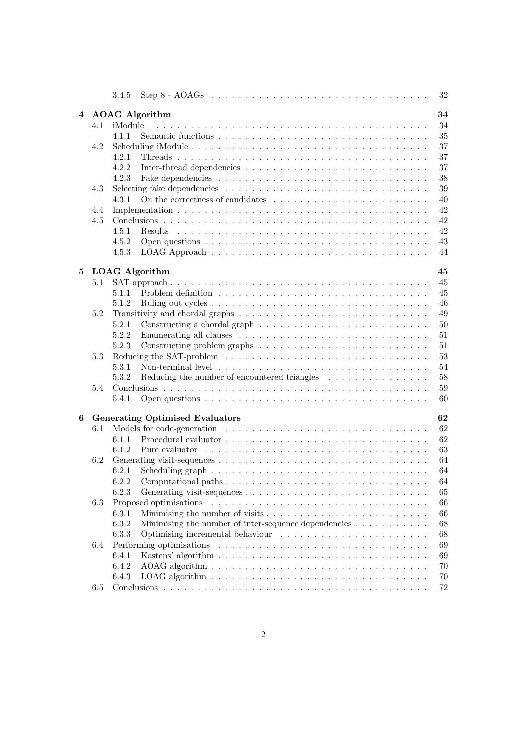|   |         | Step 8 - AOAGs $\dots \dots \dots \dots \dots \dots \dots \dots \dots \dots \dots \dots \dots \dots$<br>32<br>3.4.5                                                                                                                  |  |
|---|---------|--------------------------------------------------------------------------------------------------------------------------------------------------------------------------------------------------------------------------------------|--|
| 4 |         | <b>AOAG</b> Algorithm<br>34                                                                                                                                                                                                          |  |
|   | 4.1     | 34                                                                                                                                                                                                                                   |  |
|   |         | 35<br>4.1.1                                                                                                                                                                                                                          |  |
|   | 4.2     | 37                                                                                                                                                                                                                                   |  |
|   |         | 37<br>4.2.1                                                                                                                                                                                                                          |  |
|   |         | 4.2.2<br>37                                                                                                                                                                                                                          |  |
|   |         | 4.2.3<br>38                                                                                                                                                                                                                          |  |
|   | 4.3     | 39                                                                                                                                                                                                                                   |  |
|   |         | On the correctness of candidates $\dots \dots \dots \dots \dots \dots \dots \dots \dots$<br>4.3.1<br>40                                                                                                                              |  |
|   |         |                                                                                                                                                                                                                                      |  |
|   | 4.4     | 42                                                                                                                                                                                                                                   |  |
|   | 4.5     | 42                                                                                                                                                                                                                                   |  |
|   |         | 4.5.1<br>42                                                                                                                                                                                                                          |  |
|   |         | 4.5.2<br>43                                                                                                                                                                                                                          |  |
|   |         | 4.5.3<br>44                                                                                                                                                                                                                          |  |
| 5 |         | <b>LOAG</b> Algorithm<br>45                                                                                                                                                                                                          |  |
|   | 5.1     | 45                                                                                                                                                                                                                                   |  |
|   |         | 5.1.1<br>Problem definition $\ldots \ldots \ldots \ldots \ldots \ldots \ldots \ldots \ldots \ldots \ldots$<br>45                                                                                                                     |  |
|   |         | 5.1.2<br>46                                                                                                                                                                                                                          |  |
|   | 5.2     | 49                                                                                                                                                                                                                                   |  |
|   |         |                                                                                                                                                                                                                                      |  |
|   |         | 5.2.1<br>50                                                                                                                                                                                                                          |  |
|   |         | 5.2.2<br>51                                                                                                                                                                                                                          |  |
|   |         | 5.2.3<br>51                                                                                                                                                                                                                          |  |
|   | 5.3     | 53                                                                                                                                                                                                                                   |  |
|   |         | 5.3.1<br>Non-terminal level $\dots \dots \dots \dots \dots \dots \dots \dots \dots \dots \dots \dots \dots$<br>54                                                                                                                    |  |
|   |         | Reducing the number of encountered triangles<br>5.3.2<br>58                                                                                                                                                                          |  |
|   | 5.4     | 59                                                                                                                                                                                                                                   |  |
|   |         | 5.4.1<br>60                                                                                                                                                                                                                          |  |
| 6 |         | <b>Generating Optimised Evaluators</b><br>62                                                                                                                                                                                         |  |
|   | $6.1\,$ | 62                                                                                                                                                                                                                                   |  |
|   |         | 62<br>6.1.1                                                                                                                                                                                                                          |  |
|   |         | 6.1.2                                                                                                                                                                                                                                |  |
|   |         | 63                                                                                                                                                                                                                                   |  |
|   | 6.2     | 64                                                                                                                                                                                                                                   |  |
|   |         | 6.2.1<br>Scheduling graph $\ldots \ldots \ldots \ldots \ldots \ldots \ldots \ldots \ldots \ldots \ldots$<br>64                                                                                                                       |  |
|   |         | 6.2.2<br>64                                                                                                                                                                                                                          |  |
|   |         | 6.2.3<br>65                                                                                                                                                                                                                          |  |
|   | 6.3     | Proposed optimisations<br>66                                                                                                                                                                                                         |  |
|   |         | 6.3.1<br>66                                                                                                                                                                                                                          |  |
|   |         | Minimising the number of inter-sequence dependencies<br>6.3.2<br>68                                                                                                                                                                  |  |
|   |         | 6.3.3<br>68                                                                                                                                                                                                                          |  |
|   | 6.4     | Performing optimisations experience in the context of the context of the context of the context of the context of the context of the context of the context of the context of the context of the context of the context of the<br>69 |  |
|   |         | 6.4.1<br>69                                                                                                                                                                                                                          |  |
|   |         | 6.4.2<br>70                                                                                                                                                                                                                          |  |
|   |         | 6.4.3<br>70                                                                                                                                                                                                                          |  |
|   | 6.5     | 72                                                                                                                                                                                                                                   |  |
|   |         |                                                                                                                                                                                                                                      |  |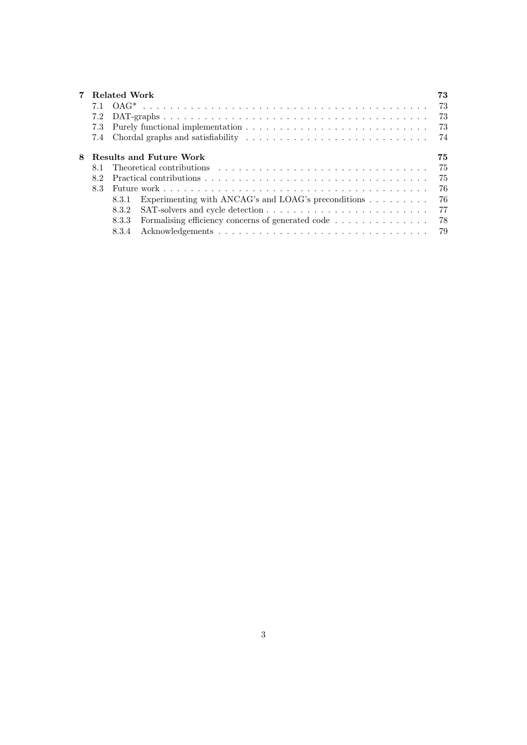|   |     | Related Work                                                               | 73 |
|---|-----|----------------------------------------------------------------------------|----|
|   |     |                                                                            | 73 |
|   |     |                                                                            | 73 |
|   | 7.3 |                                                                            | 73 |
|   |     |                                                                            | 74 |
| 8 |     | <b>Results and Future Work</b>                                             | 75 |
|   | 8.1 |                                                                            | 75 |
|   | 82  |                                                                            | 75 |
|   | 8.3 |                                                                            | 76 |
|   |     | Experimenting with ANCAG's and LOAG's preconditions $\dots \dots$<br>8.3.1 | 76 |
|   |     | 8.3.2                                                                      | 77 |
|   |     | Formalising efficiency concerns of generated code 78<br>8.3.3              |    |
|   |     | 8.3.4                                                                      |    |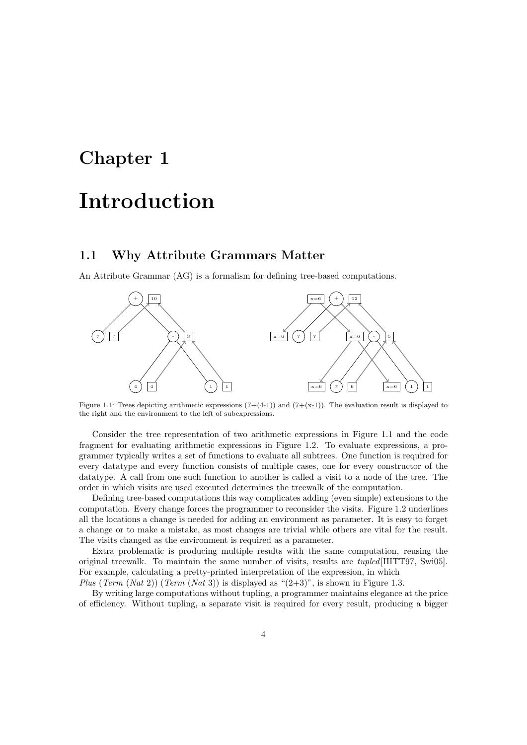# Chapter 1 Introduction

#### 1.1 Why Attribute Grammars Matter

An Attribute Grammar (AG) is a formalism for defining tree-based computations.



Figure 1.1: Trees depicting arithmetic expressions  $(7+(4-1))$  and  $(7+(x-1))$ . The evaluation result is displayed to the right and the environment to the left of subexpressions.

Consider the tree representation of two arithmetic expressions in Figure 1.1 and the code fragment for evaluating arithmetic expressions in Figure 1.2. To evaluate expressions, a programmer typically writes a set of functions to evaluate all subtrees. One function is required for every datatype and every function consists of multiple cases, one for every constructor of the datatype. A call from one such function to another is called a visit to a node of the tree. The order in which visits are used executed determines the treewalk of the computation.

Defining tree-based computations this way complicates adding (even simple) extensions to the computation. Every change forces the programmer to reconsider the visits. Figure 1.2 underlines all the locations a change is needed for adding an environment as parameter. It is easy to forget a change or to make a mistake, as most changes are trivial while others are vital for the result. The visits changed as the environment is required as a parameter.

Extra problematic is producing multiple results with the same computation, reusing the original treewalk. To maintain the same number of visits, results are tupled[HITT97, Swi05]. For example, calculating a pretty-printed interpretation of the expression, in which

Plus (Term  $(Nat 2)$ ) (Term  $(Nat 3)$ ) is displayed as " $(2+3)$ ", is shown in Figure 1.3.

By writing large computations without tupling, a programmer maintains elegance at the price of efficiency. Without tupling, a separate visit is required for every result, producing a bigger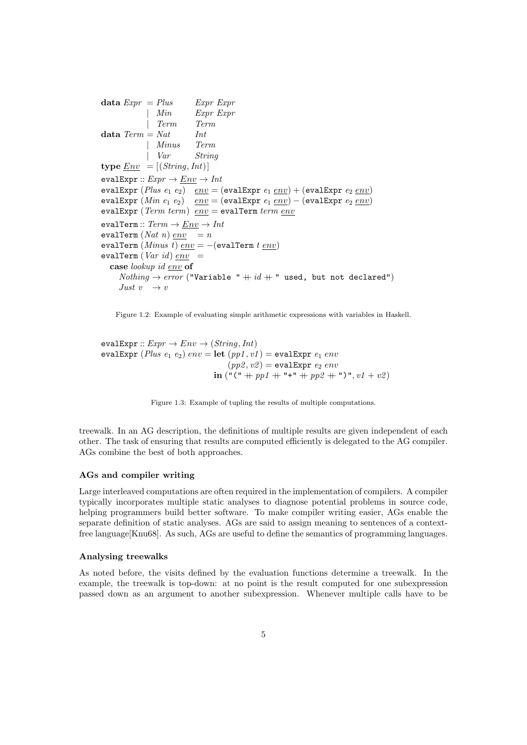data  $Expr = Plus$  Expr Expr | Min Expr Expr | Term Term data  $Term = Nat$  Int | Minus Term | Var String type  $Env = [(String, Int)]$ evalExpr ::  $Expr \rightarrow \underline{Env} \rightarrow Int$ evalExpr  $(Plus\ e_1\ e_2)\ \ env = (evalExpr\ e_1\ env) + (evalExpr\ e_2\ env)$ evalExpr  $(Min\ e_1\ e_2)\quad env = (evalExpr\ e_1\ env) - (evalExpr\ e_2\ env)$ evalExpr (Term term) env = evalTerm term env evalTerm ::  $Term \rightarrow \underline{Env} \rightarrow Int$ evalTerm  $(Nat\ n)\ env\ = n$ evalTerm  $(Minus t) env = -(evalTerm t env)$ evalTerm ( $Var$  id)  $env$  = case lookup id env of  $Nothing \rightarrow error$  ("Variable "  $+ id +$ " used, but not declared") Just  $v \rightarrow v$ 

Figure 1.2: Example of evaluating simple arithmetic expressions with variables in Haskell.

evalExpr ::  $Expr \rightarrow Env \rightarrow (String, Int)$ evalExpr (Plus  $e_1 e_2$ )  $env =$  let  $(pp1, v1) =$  evalExpr  $e_1 env$  $(pp2, v2) = \text{evalExpr } e_2 env$ in  $("(" + pp1 + " + " + pp2 + "")", v1 + v2)$ 

Figure 1.3: Example of tupling the results of multiple computations.

treewalk. In an AG description, the definitions of multiple results are given independent of each other. The task of ensuring that results are computed efficiently is delegated to the AG compiler. AGs combine the best of both approaches.

#### AGs and compiler writing

Large interleaved computations are often required in the implementation of compilers. A compiler typically incorporates multiple static analyses to diagnose potential problems in source code, helping programmers build better software. To make compiler writing easier, AGs enable the separate definition of static analyses. AGs are said to assign meaning to sentences of a contextfree language[Knu68]. As such, AGs are useful to define the semantics of programming languages.

#### Analysing treewalks

As noted before, the visits defined by the evaluation functions determine a treewalk. In the example, the treewalk is top-down: at no point is the result computed for one subexpression passed down as an argument to another subexpression. Whenever multiple calls have to be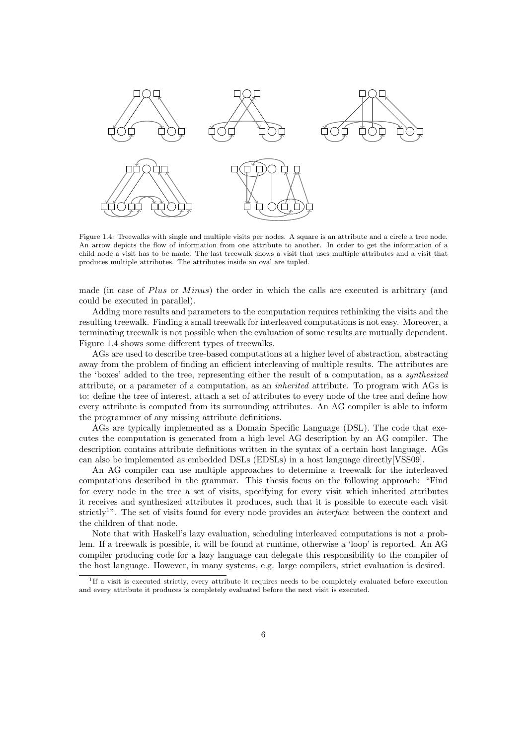

Figure 1.4: Treewalks with single and multiple visits per nodes. A square is an attribute and a circle a tree node. An arrow depicts the flow of information from one attribute to another. In order to get the information of a child node a visit has to be made. The last treewalk shows a visit that uses multiple attributes and a visit that produces multiple attributes. The attributes inside an oval are tupled.

made (in case of  $Plus$  or  $Minus$ ) the order in which the calls are executed is arbitrary (and could be executed in parallel).

Adding more results and parameters to the computation requires rethinking the visits and the resulting treewalk. Finding a small treewalk for interleaved computations is not easy. Moreover, a terminating treewalk is not possible when the evaluation of some results are mutually dependent. Figure 1.4 shows some different types of treewalks.

AGs are used to describe tree-based computations at a higher level of abstraction, abstracting away from the problem of finding an efficient interleaving of multiple results. The attributes are the 'boxes' added to the tree, representing either the result of a computation, as a synthesized attribute, or a parameter of a computation, as an inherited attribute. To program with AGs is to: define the tree of interest, attach a set of attributes to every node of the tree and define how every attribute is computed from its surrounding attributes. An AG compiler is able to inform the programmer of any missing attribute definitions.

AGs are typically implemented as a Domain Specific Language (DSL). The code that executes the computation is generated from a high level AG description by an AG compiler. The description contains attribute definitions written in the syntax of a certain host language. AGs can also be implemented as embedded DSLs (EDSLs) in a host language directly[VSS09].

An AG compiler can use multiple approaches to determine a treewalk for the interleaved computations described in the grammar. This thesis focus on the following approach: "Find for every node in the tree a set of visits, specifying for every visit which inherited attributes it receives and synthesized attributes it produces, such that it is possible to execute each visit strictly<sup>1</sup>". The set of visits found for every node provides an *interface* between the context and the children of that node.

Note that with Haskell's lazy evaluation, scheduling interleaved computations is not a problem. If a treewalk is possible, it will be found at runtime, otherwise a 'loop' is reported. An AG compiler producing code for a lazy language can delegate this responsibility to the compiler of the host language. However, in many systems, e.g. large compilers, strict evaluation is desired.

<sup>&</sup>lt;sup>1</sup>If a visit is executed strictly, every attribute it requires needs to be completely evaluated before execution and every attribute it produces is completely evaluated before the next visit is executed.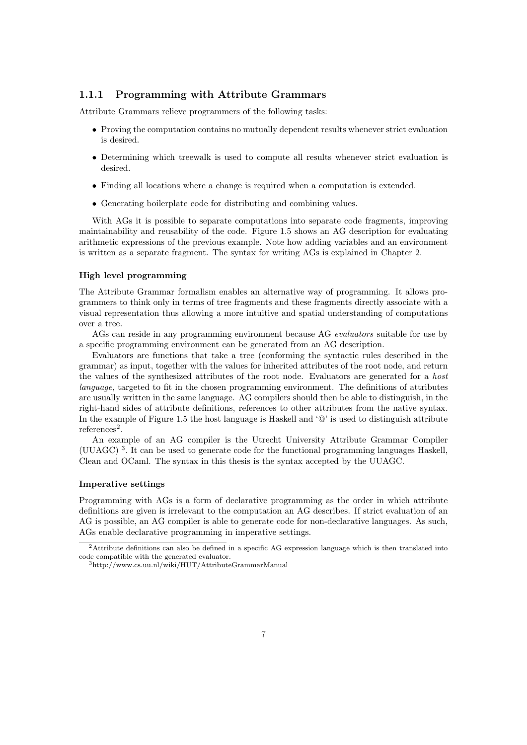#### 1.1.1 Programming with Attribute Grammars

Attribute Grammars relieve programmers of the following tasks:

- Proving the computation contains no mutually dependent results whenever strict evaluation is desired.
- Determining which treewalk is used to compute all results whenever strict evaluation is desired.
- Finding all locations where a change is required when a computation is extended.
- Generating boilerplate code for distributing and combining values.

With AGs it is possible to separate computations into separate code fragments, improving maintainability and reusability of the code. Figure 1.5 shows an AG description for evaluating arithmetic expressions of the previous example. Note how adding variables and an environment is written as a separate fragment. The syntax for writing AGs is explained in Chapter 2.

#### High level programming

The Attribute Grammar formalism enables an alternative way of programming. It allows programmers to think only in terms of tree fragments and these fragments directly associate with a visual representation thus allowing a more intuitive and spatial understanding of computations over a tree.

AGs can reside in any programming environment because AG evaluators suitable for use by a specific programming environment can be generated from an AG description.

Evaluators are functions that take a tree (conforming the syntactic rules described in the grammar) as input, together with the values for inherited attributes of the root node, and return the values of the synthesized attributes of the root node. Evaluators are generated for a host language, targeted to fit in the chosen programming environment. The definitions of attributes are usually written in the same language. AG compilers should then be able to distinguish, in the right-hand sides of attribute definitions, references to other attributes from the native syntax. In the example of Figure 1.5 the host language is Haskell and '@' is used to distinguish attribute references<sup>2</sup>.

An example of an AG compiler is the Utrecht University Attribute Grammar Compiler (UUAGC) <sup>3</sup> . It can be used to generate code for the functional programming languages Haskell, Clean and OCaml. The syntax in this thesis is the syntax accepted by the UUAGC.

#### Imperative settings

Programming with AGs is a form of declarative programming as the order in which attribute definitions are given is irrelevant to the computation an AG describes. If strict evaluation of an AG is possible, an AG compiler is able to generate code for non-declarative languages. As such, AGs enable declarative programming in imperative settings.

<sup>2</sup>Attribute definitions can also be defined in a specific AG expression language which is then translated into code compatible with the generated evaluator.

<sup>3</sup>http://www.cs.uu.nl/wiki/HUT/AttributeGrammarManual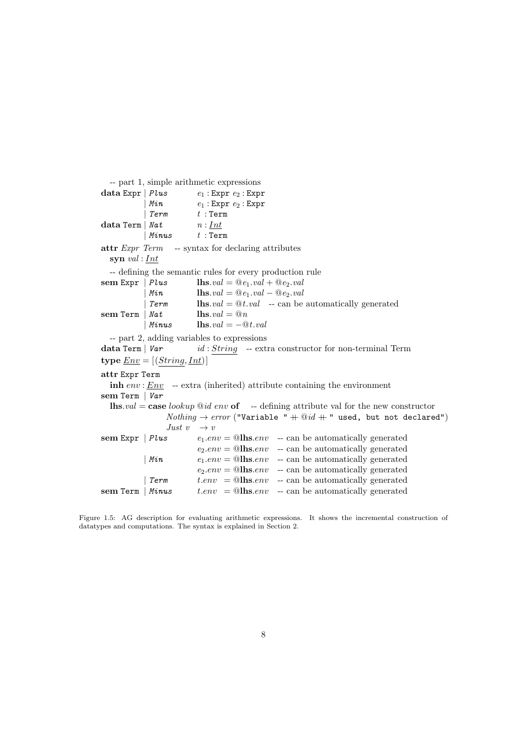```
-- part 1, simple arithmetic expressions
data Expr \vert Plus e_1: Expr e_2: Expr
             Min e_1 : Expr \t e_2 : ExprTerm t : Termdata Term | Nat n: Int\mid Minus t : Term
attr Expr Term -- syntax for declaring attributes
  syn val: \underline{Int}-- defining the semantic rules for every production rule
sem Expr | Plus \qquad \qquad lhs.val = @e_1.val + @e_2.valMin lhs.val = @e_1.val - @e_2.valTerm lhs.val = @t.val -- can be automatically generated Nat lhs.val = @nsem Term | Nat| Minus \qquad \qquad lhs.val = -\mathcal{Q}t.val-- part 2, adding variables to expressions
data Term | Var id : String - extra \; construction \; for \; non-terminal \; Termtype <u>Env</u> = [(String, Int)]</u>
attr Expr Term
  \mathbf{inh} env : Env -- extra (inherited) attribute containing the environment
sem Term | Var
  lhs.val = case lookup \mathbb{Q}id env of -- defining attribute val for the new constructor
                  Nothing \rightarrow error ("Variable " + @id + " used, but not declared")
                  Just v \rightarrow vsem Expr | Plus e_1.\text{env} = \textcircled{a}lhs.env -- can be automatically generated
                           e_2.\text{env} = \textcircled{alhs}.\text{env} -- can be automatically generated
            | Min e_1.\text{env} = \textcircled{a}lhs.env -- can be automatically generated
                           e_2.\text{env} = \textcircled{a}lhs.env -- can be automatically generated
             \mathcal{I}erm t.\text{env} = \mathcal{Q}lhs.env -- can be automatically generated
sem Term | Minus t.\text{env} = \textcircled{a} -- can be automatically generated
```
Figure 1.5: AG description for evaluating arithmetic expressions. It shows the incremental construction of datatypes and computations. The syntax is explained in Section 2.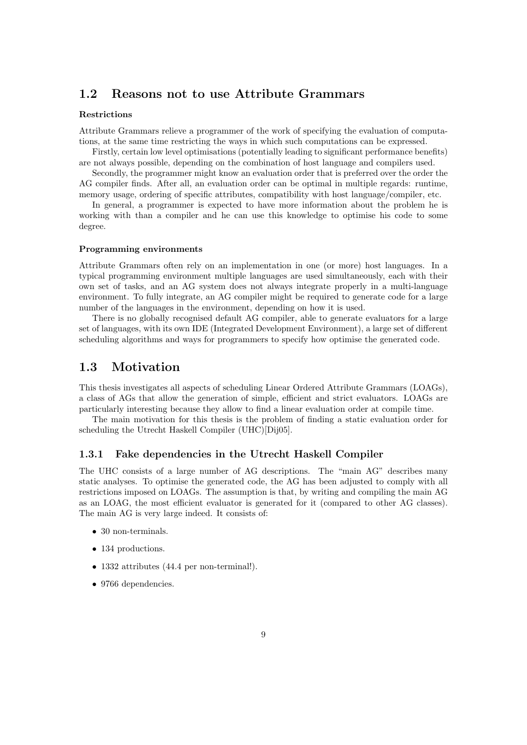#### 1.2 Reasons not to use Attribute Grammars

#### Restrictions

Attribute Grammars relieve a programmer of the work of specifying the evaluation of computations, at the same time restricting the ways in which such computations can be expressed.

Firstly, certain low level optimisations (potentially leading to significant performance benefits) are not always possible, depending on the combination of host language and compilers used.

Secondly, the programmer might know an evaluation order that is preferred over the order the AG compiler finds. After all, an evaluation order can be optimal in multiple regards: runtime, memory usage, ordering of specific attributes, compatibility with host language/compiler, etc.

In general, a programmer is expected to have more information about the problem he is working with than a compiler and he can use this knowledge to optimise his code to some degree.

#### Programming environments

Attribute Grammars often rely on an implementation in one (or more) host languages. In a typical programming environment multiple languages are used simultaneously, each with their own set of tasks, and an AG system does not always integrate properly in a multi-language environment. To fully integrate, an AG compiler might be required to generate code for a large number of the languages in the environment, depending on how it is used.

There is no globally recognised default AG compiler, able to generate evaluators for a large set of languages, with its own IDE (Integrated Development Environment), a large set of different scheduling algorithms and ways for programmers to specify how optimise the generated code.

#### 1.3 Motivation

This thesis investigates all aspects of scheduling Linear Ordered Attribute Grammars (LOAGs), a class of AGs that allow the generation of simple, efficient and strict evaluators. LOAGs are particularly interesting because they allow to find a linear evaluation order at compile time.

The main motivation for this thesis is the problem of finding a static evaluation order for scheduling the Utrecht Haskell Compiler (UHC)[Dij05].

#### 1.3.1 Fake dependencies in the Utrecht Haskell Compiler

The UHC consists of a large number of AG descriptions. The "main AG" describes many static analyses. To optimise the generated code, the AG has been adjusted to comply with all restrictions imposed on LOAGs. The assumption is that, by writing and compiling the main AG as an LOAG, the most efficient evaluator is generated for it (compared to other AG classes). The main AG is very large indeed. It consists of:

- 30 non-terminals.
- 134 productions.
- 1332 attributes (44.4 per non-terminal!).
- 9766 dependencies.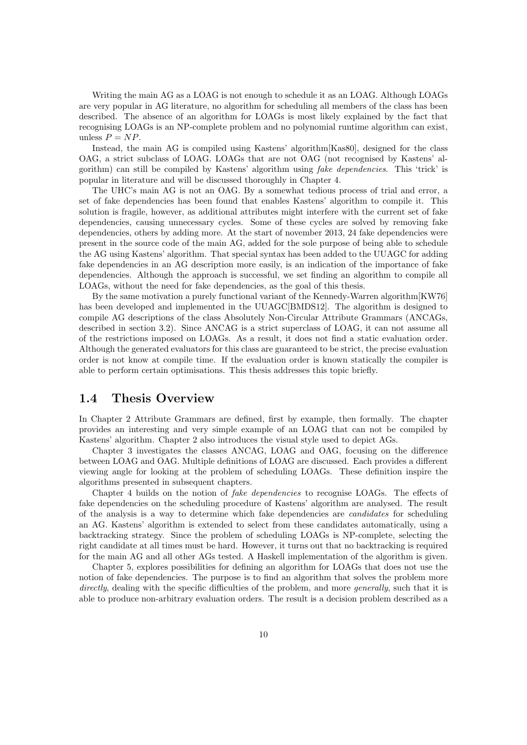Writing the main AG as a LOAG is not enough to schedule it as an LOAG. Although LOAGs are very popular in AG literature, no algorithm for scheduling all members of the class has been described. The absence of an algorithm for LOAGs is most likely explained by the fact that recognising LOAGs is an NP-complete problem and no polynomial runtime algorithm can exist, unless  $P = NP$ .

Instead, the main AG is compiled using Kastens' algorithm[Kas80], designed for the class OAG, a strict subclass of LOAG. LOAGs that are not OAG (not recognised by Kastens' algorithm) can still be compiled by Kastens' algorithm using fake dependencies. This 'trick' is popular in literature and will be discussed thoroughly in Chapter 4.

The UHC's main AG is not an OAG. By a somewhat tedious process of trial and error, a set of fake dependencies has been found that enables Kastens' algorithm to compile it. This solution is fragile, however, as additional attributes might interfere with the current set of fake dependencies, causing unnecessary cycles. Some of these cycles are solved by removing fake dependencies, others by adding more. At the start of november 2013, 24 fake dependencies were present in the source code of the main AG, added for the sole purpose of being able to schedule the AG using Kastens' algorithm. That special syntax has been added to the UUAGC for adding fake dependencies in an AG description more easily, is an indication of the importance of fake dependencies. Although the approach is successful, we set finding an algorithm to compile all LOAGs, without the need for fake dependencies, as the goal of this thesis.

By the same motivation a purely functional variant of the Kennedy-Warren algorithm[KW76] has been developed and implemented in the UUAGC[BMDS12]. The algorithm is designed to compile AG descriptions of the class Absolutely Non-Circular Attribute Grammars (ANCAGs, described in section 3.2). Since ANCAG is a strict superclass of LOAG, it can not assume all of the restrictions imposed on LOAGs. As a result, it does not find a static evaluation order. Although the generated evaluators for this class are guaranteed to be strict, the precise evaluation order is not know at compile time. If the evaluation order is known statically the compiler is able to perform certain optimisations. This thesis addresses this topic briefly.

#### 1.4 Thesis Overview

In Chapter 2 Attribute Grammars are defined, first by example, then formally. The chapter provides an interesting and very simple example of an LOAG that can not be compiled by Kastens' algorithm. Chapter 2 also introduces the visual style used to depict AGs.

Chapter 3 investigates the classes ANCAG, LOAG and OAG, focusing on the difference between LOAG and OAG. Multiple definitions of LOAG are discussed. Each provides a different viewing angle for looking at the problem of scheduling LOAGs. These definition inspire the algorithms presented in subsequent chapters.

Chapter 4 builds on the notion of fake dependencies to recognise LOAGs. The effects of fake dependencies on the scheduling procedure of Kastens' algorithm are analysed. The result of the analysis is a way to determine which fake dependencies are candidates for scheduling an AG. Kastens' algorithm is extended to select from these candidates automatically, using a backtracking strategy. Since the problem of scheduling LOAGs is NP-complete, selecting the right candidate at all times must be hard. However, it turns out that no backtracking is required for the main AG and all other AGs tested. A Haskell implementation of the algorithm is given.

Chapter 5, explores possibilities for defining an algorithm for LOAGs that does not use the notion of fake dependencies. The purpose is to find an algorithm that solves the problem more directly, dealing with the specific difficulties of the problem, and more *generally*, such that it is able to produce non-arbitrary evaluation orders. The result is a decision problem described as a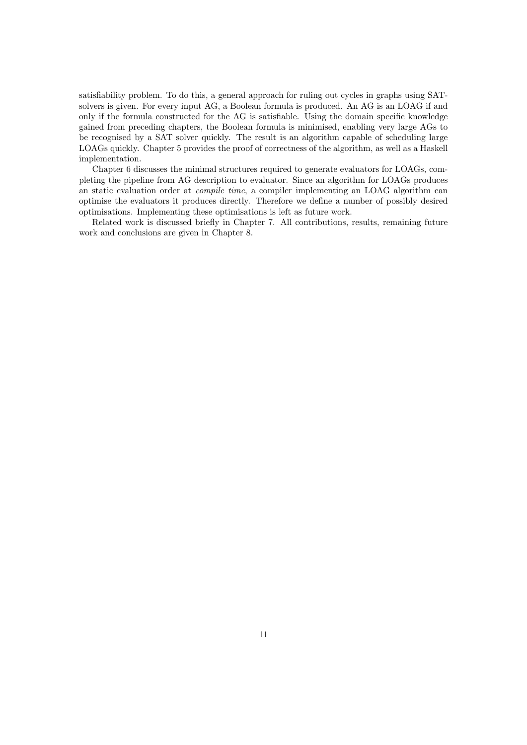satisfiability problem. To do this, a general approach for ruling out cycles in graphs using SATsolvers is given. For every input AG, a Boolean formula is produced. An AG is an LOAG if and only if the formula constructed for the AG is satisfiable. Using the domain specific knowledge gained from preceding chapters, the Boolean formula is minimised, enabling very large AGs to be recognised by a SAT solver quickly. The result is an algorithm capable of scheduling large LOAGs quickly. Chapter 5 provides the proof of correctness of the algorithm, as well as a Haskell implementation.

Chapter 6 discusses the minimal structures required to generate evaluators for LOAGs, completing the pipeline from AG description to evaluator. Since an algorithm for LOAGs produces an static evaluation order at compile time, a compiler implementing an LOAG algorithm can optimise the evaluators it produces directly. Therefore we define a number of possibly desired optimisations. Implementing these optimisations is left as future work.

Related work is discussed briefly in Chapter 7. All contributions, results, remaining future work and conclusions are given in Chapter 8.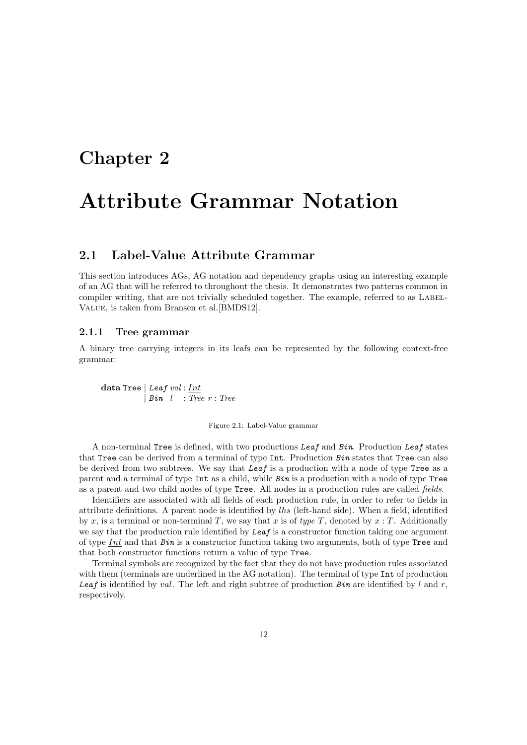### Chapter 2

### Attribute Grammar Notation

#### 2.1 Label-Value Attribute Grammar

This section introduces AGs, AG notation and dependency graphs using an interesting example of an AG that will be referred to throughout the thesis. It demonstrates two patterns common in compiler writing, that are not trivially scheduled together. The example, referred to as LABEL-Value, is taken from Bransen et al.[BMDS12].

#### 2.1.1 Tree grammar

A binary tree carrying integers in its leafs can be represented by the following context-free grammar:

data Tree | Leaf val : Int  $| Bin \t I$  : Tree  $r : Tree$ 

#### Figure 2.1: Label-Value grammar

A non-terminal Tree is defined, with two productions Leaf and Bin. Production Leaf states that Tree can be derived from a terminal of type Int. Production Bin states that Tree can also be derived from two subtrees. We say that Leaf is a production with a node of type Tree as a parent and a terminal of type  $Int$  as a child, while  $Bin$  is a production with a node of type Tree as a parent and two child nodes of type Tree. All nodes in a production rules are called fields.

Identifiers are associated with all fields of each production rule, in order to refer to fields in attribute definitions. A parent node is identified by lhs (left-hand side). When a field, identified by x, is a terminal or non-terminal T, we say that x is of type T, denoted by  $x : T$ . Additionally we say that the production rule identified by  $Leaf$  is a constructor function taking one argument of type  $Int$  and that  $Bin$  is a constructor function taking two arguments, both of type Tree and that both constructor functions return a value of type Tree.

Terminal symbols are recognized by the fact that they do not have production rules associated with them (terminals are underlined in the AG notation). The terminal of type Int of production Leaf is identified by val. The left and right subtree of production  $Bin$  are identified by l and r, respectively.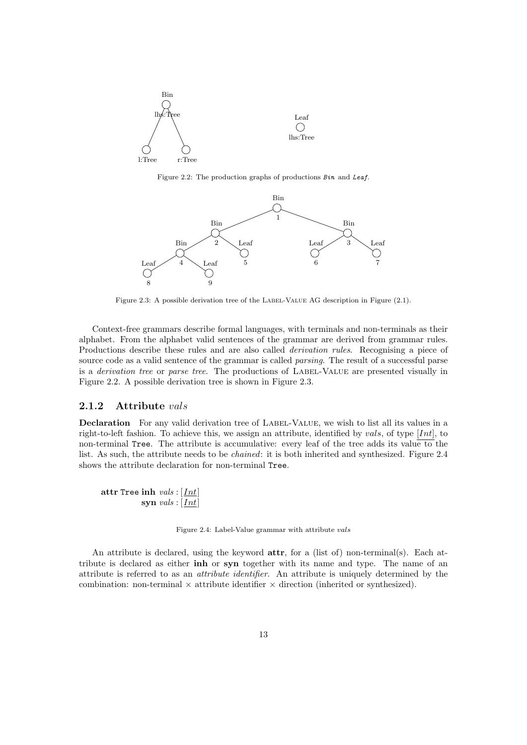

Figure 2.2: The production graphs of productions Bin and Leaf.



Figure 2.3: A possible derivation tree of the LABEL-VALUE AG description in Figure (2.1).

Context-free grammars describe formal languages, with terminals and non-terminals as their alphabet. From the alphabet valid sentences of the grammar are derived from grammar rules. Productions describe these rules and are also called *derivation rules*. Recognising a piece of source code as a valid sentence of the grammar is called *parsing*. The result of a successful parse is a *derivation tree* or *parse tree*. The productions of LABEL-VALUE are presented visually in Figure 2.2. A possible derivation tree is shown in Figure 2.3.

#### 2.1.2 Attribute vals

Declaration For any valid derivation tree of LABEL-VALUE, we wish to list all its values in a right-to-left fashion. To achieve this, we assign an attribute, identified by vals, of type  $[Int]$ , to non-terminal Tree. The attribute is accumulative: every leaf of the tree adds its value to the list. As such, the attribute needs to be chained: it is both inherited and synthesized. Figure 2.4 shows the attribute declaration for non-terminal Tree.

attr Tree inh  $vals : [Int]$ syn  $vals : [Int]$ 

Figure 2.4: Label-Value grammar with attribute vals

An attribute is declared, using the keyword **attr**, for a (list of) non-terminal(s). Each attribute is declared as either inh or syn together with its name and type. The name of an attribute is referred to as an attribute identifier. An attribute is uniquely determined by the combination: non-terminal  $\times$  attribute identifier  $\times$  direction (inherited or synthesized).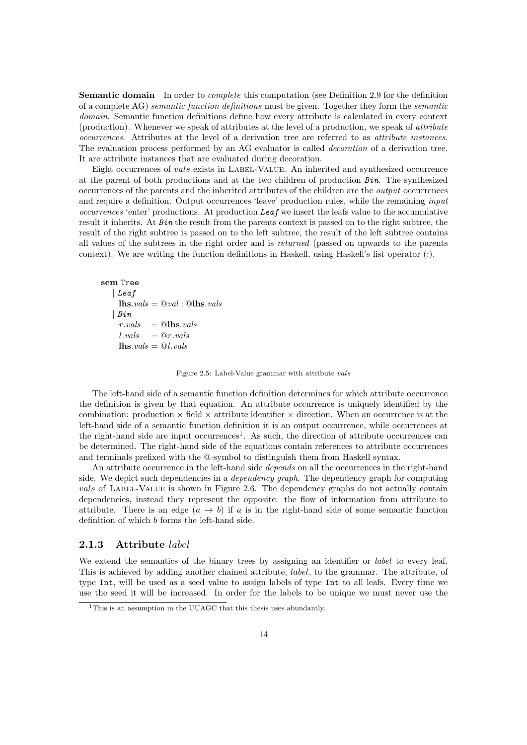Semantic domain In order to *complete* this computation (see Definition 2.9 for the definition of a complete AG) semantic function definitions must be given. Together they form the semantic domain. Semantic function definitions define how every attribute is calculated in every context (production). Whenever we speak of attributes at the level of a production, we speak of attribute occurrences. Attributes at the level of a derivation tree are referred to as attribute instances. The evaluation process performed by an AG evaluator is called decoration of a derivation tree. It are attribute instances that are evaluated during decoration.

Eight occurrences of vals exists in LABEL-VALUE. An inherited and synthesized occurrence at the parent of both productions and at the two children of production  $Bin$ . The synthesized occurrences of the parents and the inherited attributes of the children are the output occurrences and require a definition. Output occurrences 'leave' production rules, while the remaining *input*  $occurrences 'enter' productions. At production *Leaf* we insert the leafs value to the accumulating$ result it inherits. At Bin the result from the parents context is passed on to the right subtree, the result of the right subtree is passed on to the left subtree, the result of the left subtree contains all values of the subtrees in the right order and is returned (passed on upwards to the parents context). We are writing the function definitions in Haskell, using Haskell's list operator (:).

```
sem Tree
    | Leaf
      \mathbf{u}lhs.vals = \mathbf{Q} val : \mathbf{Q}lhs.vals
    | Binr.values = @llns.valuesl.values = @r.values\mathbf{u}lhs.vals = @l.vals
```
Figure 2.5: Label-Value grammar with attribute vals

The left-hand side of a semantic function definition determines for which attribute occurrence the definition is given by that equation. An attribute occurrence is uniquely identified by the combination: production  $\times$  field  $\times$  attribute identifier  $\times$  direction. When an occurrence is at the left-hand side of a semantic function definition it is an output occurrence, while occurrences at the right-hand side are input occurrences<sup>1</sup>. As such, the direction of attribute occurrences can be determined. The right-hand side of the equations contain references to attribute occurrences and terminals prefixed with the @-symbol to distinguish them from Haskell syntax.

An attribute occurrence in the left-hand side *depends* on all the occurrences in the right-hand side. We depict such dependencies in a *dependency graph*. The dependency graph for computing vals of LABEL-VALUE is shown in Figure 2.6. The dependency graphs do not actually contain dependencies, instead they represent the opposite: the flow of information from attribute to attribute. There is an edge  $(a \rightarrow b)$  if a is in the right-hand side of some semantic function definition of which b forms the left-hand side.

#### 2.1.3 Attribute label

We extend the semantics of the binary trees by assigning an identifier or *label* to every leaf. This is achieved by adding another chained attribute, label, to the grammar. The attribute, of type Int, will be used as a seed value to assign labels of type Int to all leafs. Every time we use the seed it will be increased. In order for the labels to be unique we must never use the

<sup>&</sup>lt;sup>1</sup>This is an assumption in the UUAGC that this thesis uses abundantly.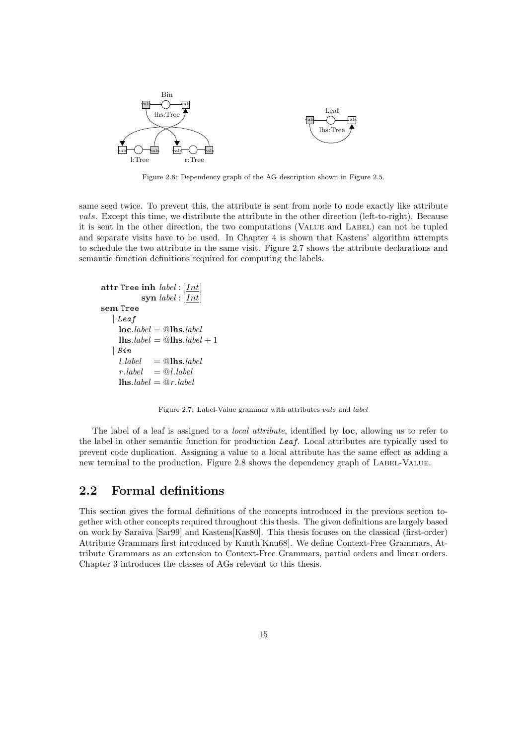

Figure 2.6: Dependency graph of the AG description shown in Figure 2.5.

same seed twice. To prevent this, the attribute is sent from node to node exactly like attribute vals. Except this time, we distribute the attribute in the other direction (left-to-right). Because it is sent in the other direction, the two computations (VALUE and LABEL) can not be tupled and separate visits have to be used. In Chapter 4 is shown that Kastens' algorithm attempts to schedule the two attribute in the same visit. Figure 2.7 shows the attribute declarations and semantic function definitions required for computing the labels.

```
attr Tree inh label : [Int]
                  syn label:1}sem Tree
     | Leaf
       loc.\textit{label} = \textcircled{0}lhs.\textit{label}\mathbf{ln} \mathbf{s}. \mathbf{label} = \mathbf{Q} \mathbf{ln} \mathbf{s}. \mathbf{label} + 1| Bin
       l. \text{label} = @lhs.\text{label}r. label = \mathcal{Q}l. label\mathbf{u}lhs.label = @r.label
```
Figure 2.7: Label-Value grammar with attributes vals and label

The label of a leaf is assigned to a *local attribute*, identified by **loc**, allowing us to refer to the label in other semantic function for production Leaf. Local attributes are typically used to prevent code duplication. Assigning a value to a local attribute has the same effect as adding a new terminal to the production. Figure 2.8 shows the dependency graph of LABEL-VALUE.

#### 2.2 Formal definitions

This section gives the formal definitions of the concepts introduced in the previous section together with other concepts required throughout this thesis. The given definitions are largely based on work by Saraiva [Sar99] and Kastens[Kas80]. This thesis focuses on the classical (first-order) Attribute Grammars first introduced by Knuth[Knu68]. We define Context-Free Grammars, Attribute Grammars as an extension to Context-Free Grammars, partial orders and linear orders. Chapter 3 introduces the classes of AGs relevant to this thesis.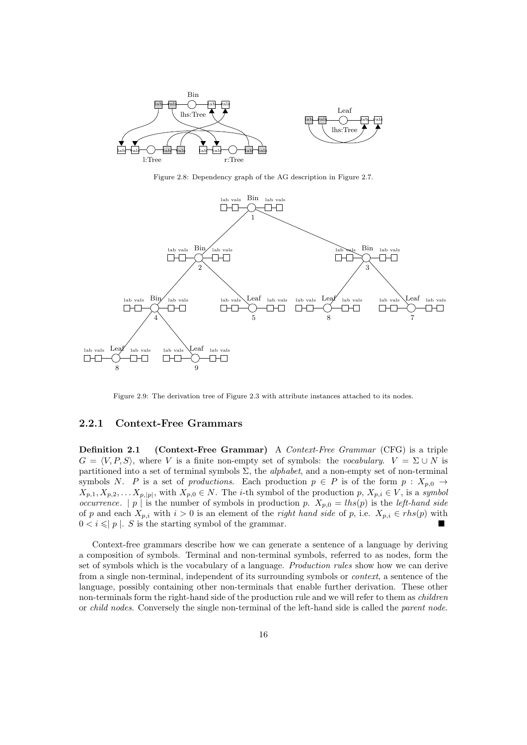

Figure 2.8: Dependency graph of the AG description in Figure 2.7.



Figure 2.9: The derivation tree of Figure 2.3 with attribute instances attached to its nodes.

#### 2.2.1 Context-Free Grammars

Definition 2.1 (Context-Free Grammar) A Context-Free Grammar (CFG) is a triple  $G = \langle V, P, S \rangle$ , where V is a finite non-empty set of symbols: the vocabulary.  $V = \Sigma \cup N$  is partitioned into a set of terminal symbols  $\Sigma$ , the *alphabet*, and a non-empty set of non-terminal symbols N. P is a set of productions. Each production  $p \in P$  is of the form  $p : X_{p,0} \to Y$  $X_{p,1}, X_{p,2}, \ldots X_{p,|p|}$ , with  $X_{p,0} \in N$ . The *i*-th symbol of the production p,  $X_{p,i} \in V$ , is a symbol occurrence. | p | is the number of symbols in production p.  $X_{p,0} = lhs(p)$  is the *left-hand side* of p and each  $X_{p,i}$  with  $i > 0$  is an element of the *right hand side* of p, i.e.  $X_{p,i} \in rhs(p)$  with  $0 < i \leqslant |p|$ . S is the starting symbol of the grammar.

Context-free grammars describe how we can generate a sentence of a language by deriving a composition of symbols. Terminal and non-terminal symbols, referred to as nodes, form the set of symbols which is the vocabulary of a language. Production rules show how we can derive from a single non-terminal, independent of its surrounding symbols or context, a sentence of the language, possibly containing other non-terminals that enable further derivation. These other non-terminals form the right-hand side of the production rule and we will refer to them as *children* or child nodes. Conversely the single non-terminal of the left-hand side is called the parent node.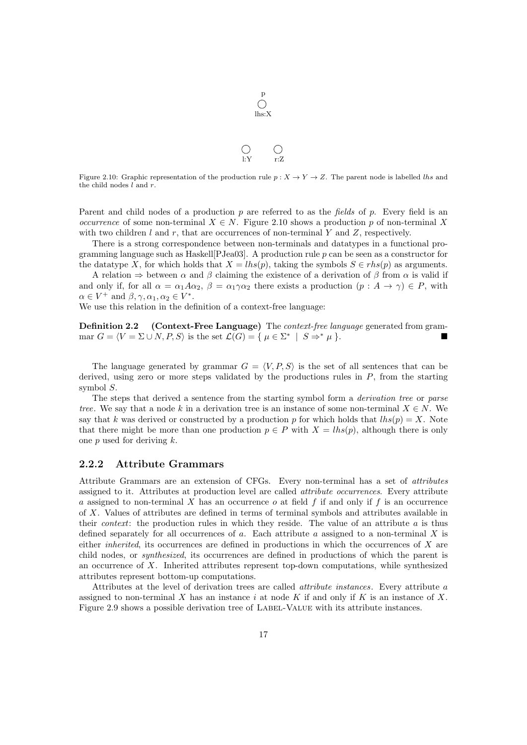

p

Figure 2.10: Graphic representation of the production rule  $p: X \to Y \to Z$ . The parent node is labelled lhs and the child nodes  $l$  and  $r$ .

Parent and child nodes of a production  $p$  are referred to as the fields of  $p$ . Every field is an *occurrence* of some non-terminal  $X \in N$ . Figure 2.10 shows a production p of non-terminal X with two children  $l$  and  $r$ , that are occurrences of non-terminal Y and Z, respectively.

There is a strong correspondence between non-terminals and datatypes in a functional programming language such as Haskell<sup>[P]</sup>Jea03<sup>]</sup>. A production rule  $p$  can be seen as a constructor for the datatype X, for which holds that  $X = lhs(p)$ , taking the symbols  $S \in rhs(p)$  as arguments.

A relation  $\Rightarrow$  between  $\alpha$  and  $\beta$  claiming the existence of a derivation of  $\beta$  from  $\alpha$  is valid if and only if, for all  $\alpha = \alpha_1 A \alpha_2$ ,  $\beta = \alpha_1 \gamma \alpha_2$  there exists a production  $(p : A \rightarrow \gamma) \in P$ , with  $\alpha \in V^+$  and  $\beta, \gamma, \alpha_1, \alpha_2 \in V^*$ .

We use this relation in the definition of a context-free language:

**Definition 2.2** (Context-Free Language) The *context-free language* generated from grammar  $G = \langle V = \Sigma \cup N, P, S \rangle$  is the set  $\mathcal{L}(G) = \{ \mu \in \Sigma^* \mid S \Rightarrow^* \mu \}.$ 

The language generated by grammar  $G = \langle V, P, S \rangle$  is the set of all sentences that can be derived, using zero or more steps validated by the productions rules in  $P$ , from the starting symbol S.

The steps that derived a sentence from the starting symbol form a *derivation tree* or parse tree. We say that a node k in a derivation tree is an instance of some non-terminal  $X \in N$ . We say that k was derived or constructed by a production p for which holds that  $\text{ }$ lhs(p) = X. Note that there might be more than one production  $p \in P$  with  $X = lhs(p)$ , although there is only one  $p$  used for deriving  $k$ .

#### 2.2.2 Attribute Grammars

Attribute Grammars are an extension of CFGs. Every non-terminal has a set of attributes assigned to it. Attributes at production level are called attribute occurrences. Every attribute a assigned to non-terminal X has an occurrence  $o$  at field f if and only if f is an occurrence of X. Values of attributes are defined in terms of terminal symbols and attributes available in their *context*: the production rules in which they reside. The value of an attribute  $a$  is thus defined separately for all occurrences of a. Each attribute a assigned to a non-terminal X is either inherited, its occurrences are defined in productions in which the occurrences of X are child nodes, or synthesized, its occurrences are defined in productions of which the parent is an occurrence of X. Inherited attributes represent top-down computations, while synthesized attributes represent bottom-up computations.

Attributes at the level of derivation trees are called attribute instances. Every attribute a assigned to non-terminal X has an instance i at node K if and only if K is an instance of X. Figure 2.9 shows a possible derivation tree of Label-Value with its attribute instances.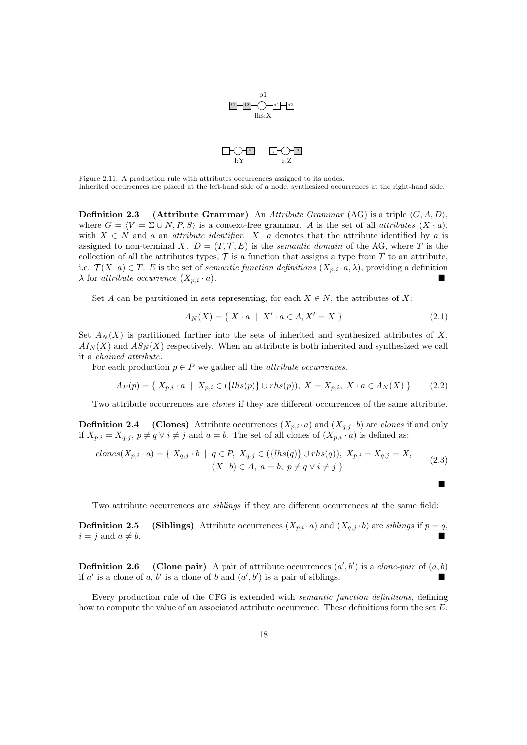

Figure 2.11: A production rule with attributes occurrences assigned to its nodes. Inherited occurrences are placed at the left-hand side of a node, synthesized occurrences at the right-hand side.

**Definition 2.3** (Attribute Grammar) An Attribute Grammar (AG) is a triple  $\langle G, A, D \rangle$ , where  $G = \langle V = \Sigma \cup N, P, S \rangle$  is a context-free grammar. A is the set of all *attributes*  $(X \cdot a)$ , with  $X \in N$  and a an attribute identifier.  $X \cdot a$  denotes that the attribute identified by a is assigned to non-terminal X.  $D = (T, \mathcal{T}, E)$  is the semantic domain of the AG, where T is the collection of all the attributes types,  $\mathcal T$  is a function that assigns a type from  $T$  to an attribute, i.e.  $\mathcal{T}(X \cdot a) \in T$ . E is the set of *semantic function definitions*  $(X_{p,i} \cdot a, \lambda)$ , providing a definition  $\lambda$  for attribute occurrence  $(X_{p,i} \cdot a)$ .

Set A can be partitioned in sets representing, for each  $X \in N$ , the attributes of X:

$$
A_N(X) = \{ X \cdot a \mid X' \cdot a \in A, X' = X \}
$$
\n(2.1)

 $\blacksquare$ 

Set  $A_N(X)$  is partitioned further into the sets of inherited and synthesized attributes of X,  $A I_N(X)$  and  $A S_N(X)$  respectively. When an attribute is both inherited and synthesized we call it a chained attribute.

For each production  $p \in P$  we gather all the *attribute occurrences*.

$$
A_P(p) = \{ X_{p,i} \cdot a \mid X_{p,i} \in (\{ \{ \ln s(p) \} \cup \{ \ln s(p) \}, X = X_{p,i}, X \cdot a \in A_N(X) \} \tag{2.2}
$$

Two attribute occurrences are clones if they are different occurrences of the same attribute.

**Definition 2.4** (Clones) Attribute occurrences  $(X_{p,i} \cdot a)$  and  $(X_{q,j} \cdot b)$  are clones if and only if  $X_{p,i} = X_{q,j}, p \neq q \vee i \neq j$  and  $a = b$ . The set of all clones of  $(X_{p,i} \cdot a)$  is defined as:

$$
clones(X_{p,i} \cdot a) = \{ X_{q,j} \cdot b \mid q \in P, X_{q,j} \in (\{ lhs(q)\} \cup rhs(q)), X_{p,i} = X_{q,j} = X, \tag{2.3}
$$

$$
(X \cdot b) \in A, a = b, p \neq q \lor i \neq j \}
$$

Two attribute occurrences are siblings if they are different occurrences at the same field:

**Definition 2.5** (Siblings) Attribute occurrences  $(X_{p,i} \cdot a)$  and  $(X_{q,j} \cdot b)$  are siblings if  $p = q$ ,  $i = j$  and  $a \neq b$ .

**Definition 2.6** (Clone pair) A pair of attribute occurrences  $(a', b')$  is a *clone-pair* of  $(a, b)$ if a' is a clone of a, b' is a clone of b and  $(a', b')$  is a pair of siblings.

Every production rule of the CFG is extended with semantic function definitions, defining how to compute the value of an associated attribute occurrence. These definitions form the set E.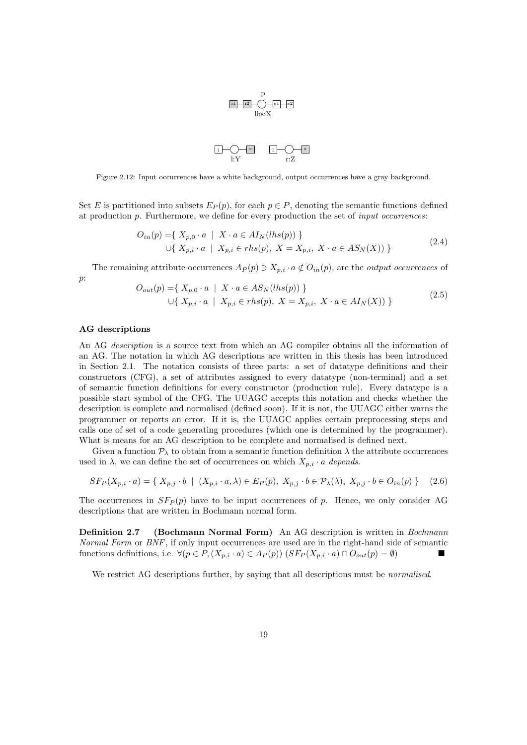

Figure 2.12: Input occurrences have a white background, output occurrences have a gray background.

Set E is partitioned into subsets  $E_P(p)$ , for each  $p \in P$ , denoting the semantic functions defined at production  $p$ . Furthermore, we define for every production the set of *input occurrences*:

$$
O_{in}(p) = \{ X_{p,0} \cdot a \mid X \cdot a \in AI_N(lhs(p)) \}
$$
  

$$
\cup \{ X_{p,i} \cdot a \mid X_{p,i} \in rhs(p), X = X_{p,i}, X \cdot a \in AS_N(X)) \}
$$
 (2.4)

The remaining attribute occurrences  $A_P(p) \ni X_{p,i} \cdot a \notin O_{in}(p)$ , are the *output occurrences* of p:

$$
O_{out}(p) = \{ X_{p,0} \cdot a \mid X \cdot a \in AS_N(lhs(p)) \}
$$
  

$$
\cup \{ X_{p,i} \cdot a \mid X_{p,i} \in rhs(p), X = X_{p,i}, X \cdot a \in AI_N(X)) \}
$$
 (2.5)

#### AG descriptions

An AG description is a source text from which an AG compiler obtains all the information of an AG. The notation in which AG descriptions are written in this thesis has been introduced in Section 2.1. The notation consists of three parts: a set of datatype definitions and their constructors (CFG), a set of attributes assigned to every datatype (non-terminal) and a set of semantic function definitions for every constructor (production rule). Every datatype is a possible start symbol of the CFG. The UUAGC accepts this notation and checks whether the description is complete and normalised (defined soon). If it is not, the UUAGC either warns the programmer or reports an error. If it is, the UUAGC applies certain preprocessing steps and calls one of set of a code generating procedures (which one is determined by the programmer). What is means for an AG description to be complete and normalised is defined next.

Given a function  $P_{\lambda}$  to obtain from a semantic function definition  $\lambda$  the attribute occurrences used in  $\lambda$ , we can define the set of occurrences on which  $X_{p,i} \cdot a$  depends.

$$
SF_P(X_{p,i} \cdot a) = \{ X_{p,j} \cdot b \mid (X_{p,i} \cdot a, \lambda) \in E_P(p), X_{p,j} \cdot b \in \mathcal{P}_{\lambda}(\lambda), X_{p,j} \cdot b \in O_{in}(p) \}
$$
 (2.6)

The occurrences in  $SF_p(p)$  have to be input occurrences of p. Hence, we only consider AG descriptions that are written in Bochmann normal form.

**Definition 2.7** (Bochmann Normal Form) An AG description is written in *Bochmann* Normal Form or BNF, if only input occurrences are used are in the right-hand side of semantic functions definitions, i.e.  $\forall (p \in P, (X_{p,i} \cdot a) \in A_P(p)) \; (SF_P(X_{p,i} \cdot a) \cap O_{out}(p) = \emptyset)$ 

We restrict AG descriptions further, by saying that all descriptions must be *normalised*.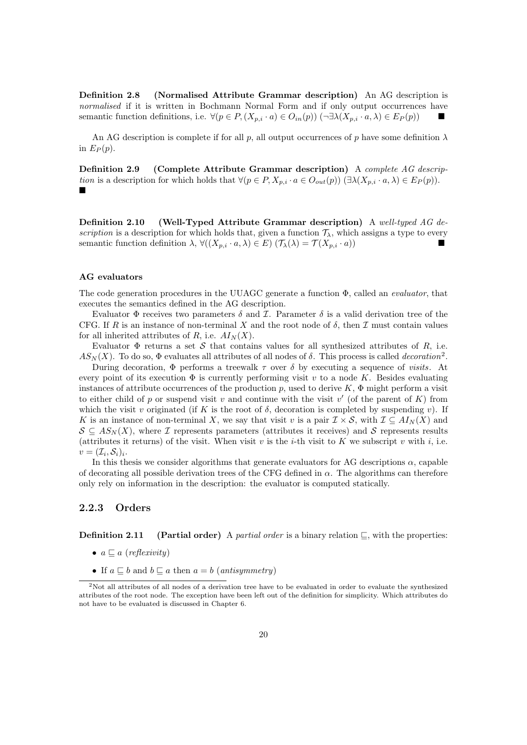Definition 2.8 (Normalised Attribute Grammar description) An AG description is normalised if it is written in Bochmann Normal Form and if only output occurrences have semantic function definitions, i.e.  $\forall (p \in P, (X_{p,i} \cdot a) \in O_{in}(p))$  (¬ $\exists \lambda (X_{p,i} \cdot a, \lambda) \in E_P(p)$ )

An AG description is complete if for all p, all output occurrences of p have some definition  $\lambda$ in  $E_P(p)$ .

Definition 2.9 (Complete Attribute Grammar description) A complete AG description is a description for which holds that  $\forall (p \in P, X_{p,i} \cdot a \in O_{out}(p))$   $(\exists \lambda (X_{p,i} \cdot a, \lambda) \in E_P(p)).$  $\blacksquare$ 

Definition 2.10 (Well-Typed Attribute Grammar description) A well-typed AG description is a description for which holds that, given a function  $\mathcal{T}_{\lambda}$ , which assigns a type to every semantic function definition  $\lambda$ ,  $\forall ((X_{p,i} \cdot a, \lambda) \in E)$   $(\mathcal{T}_{\lambda}(\lambda) = \mathcal{T}(X_{p,i} \cdot a))$ 

#### AG evaluators

The code generation procedures in the UUAGC generate a function  $\Phi$ , called an *evaluator*, that executes the semantics defined in the AG description.

Evaluator  $\Phi$  receives two parameters  $\delta$  and  $\mathcal{I}$ . Parameter  $\delta$  is a valid derivation tree of the CFG. If R is an instance of non-terminal X and the root node of  $\delta$ , then I must contain values for all inherited attributes of R, i.e.  $AI_N(X)$ .

Evaluator  $\Phi$  returns a set S that contains values for all synthesized attributes of R, i.e.  $AS_N(X)$ . To do so,  $\Phi$  evaluates all attributes of all nodes of  $\delta$ . This process is called *decoration*<sup>2</sup>.

During decoration,  $\Phi$  performs a treewalk  $\tau$  over  $\delta$  by executing a sequence of visits. At every point of its execution  $\Phi$  is currently performing visit v to a node K. Besides evaluating instances of attribute occurrences of the production p, used to derive K,  $\Phi$  might perform a visit to either child of p or suspend visit v and continue with the visit  $v'$  (of the parent of K) from which the visit v originated (if K is the root of  $\delta$ , decoration is completed by suspending v). If K is an instance of non-terminal X, we say that visit v is a pair  $\mathcal{I} \times \mathcal{S}$ , with  $\mathcal{I} \subseteq A I_N(X)$  and  $S \subseteq AS_N(X)$ , where I represents parameters (attributes it receives) and S represents results (attributes it returns) of the visit. When visit v is the *i*-th visit to K we subscript v with *i*, i.e.  $v=(\mathcal{I}_i,\mathcal{S}_i)_i.$ 

In this thesis we consider algorithms that generate evaluators for AG descriptions  $\alpha$ , capable of decorating all possible derivation trees of the CFG defined in  $\alpha$ . The algorithms can therefore only rely on information in the description: the evaluator is computed statically.

#### 2.2.3 Orders

**Definition 2.11** (Partial order) A *partial order* is a binary relation  $\subseteq$ , with the properties:

- $a \sqsubseteq a$  (reflexivity)
- If  $a \sqsubseteq b$  and  $b \sqsubseteq a$  then  $a = b$  (antisymmetry)

<sup>2</sup>Not all attributes of all nodes of a derivation tree have to be evaluated in order to evaluate the synthesized attributes of the root node. The exception have been left out of the definition for simplicity. Which attributes do not have to be evaluated is discussed in Chapter 6.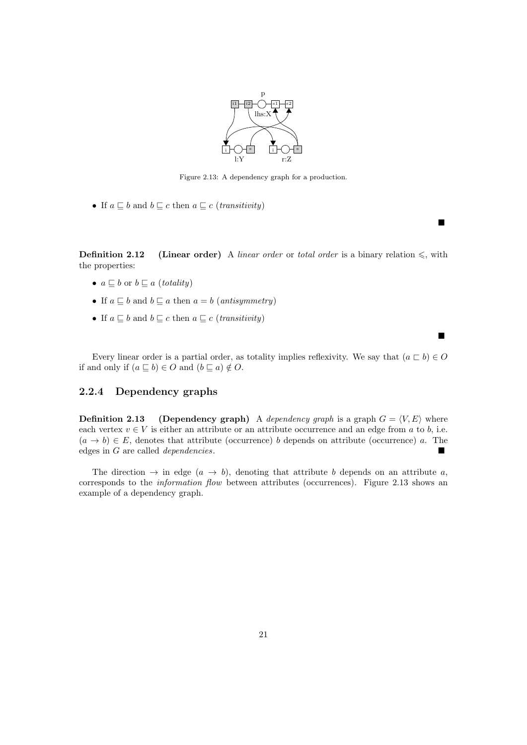

Figure 2.13: A dependency graph for a production.

• If  $a \sqsubseteq b$  and  $b \sqsubseteq c$  then  $a \sqsubseteq c$  (*transitivity*)

**Definition 2.12** (Linear order) A linear order or total order is a binary relation  $\leq$ , with the properties:

 $\blacksquare$ 

п

- $a \sqsubseteq b$  or  $b \sqsubseteq a$  (totality)
- If  $a \sqsubset b$  and  $b \sqsubset a$  then  $a = b$  (antisymmetry)
- If  $a \sqsubseteq b$  and  $b \sqsubseteq c$  then  $a \sqsubseteq c$  (*transitivity*)

Every linear order is a partial order, as totality implies reflexivity. We say that  $(a \sqsubset b) \in O$ if and only if  $(a \sqsubset b) \in O$  and  $(b \sqsubset a) \notin O$ .

#### 2.2.4 Dependency graphs

**Definition 2.13** (Dependency graph) A dependency graph is a graph  $G = \langle V, E \rangle$  where each vertex  $v \in V$  is either an attribute or an attribute occurrence and an edge from a to b, i.e.  $(a \to b) \in E$ , denotes that attribute (occurrence) b depends on attribute (occurrence) a. The edges in G are called dependencies.

The direction  $\rightarrow$  in edge  $(a \rightarrow b)$ , denoting that attribute b depends on an attribute a, corresponds to the information flow between attributes (occurrences). Figure 2.13 shows an example of a dependency graph.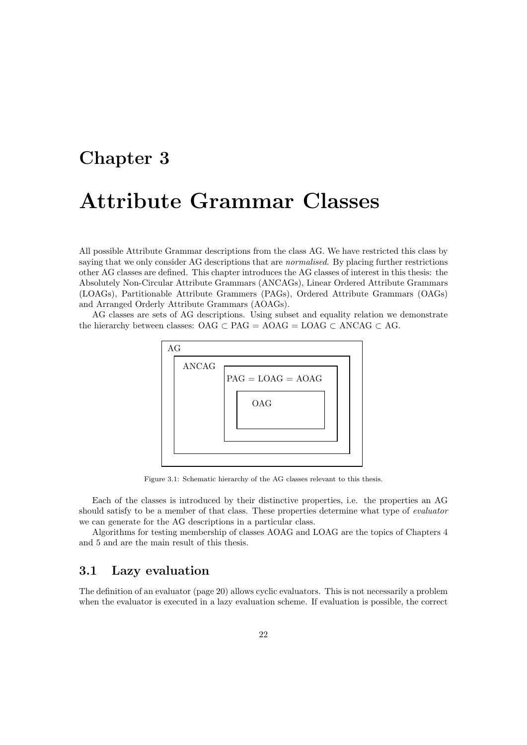# Chapter 3 Attribute Grammar Classes

All possible Attribute Grammar descriptions from the class AG. We have restricted this class by saying that we only consider AG descriptions that are *normalised*. By placing further restrictions other AG classes are defined. This chapter introduces the AG classes of interest in this thesis: the Absolutely Non-Circular Attribute Grammars (ANCAGs), Linear Ordered Attribute Grammars (LOAGs), Partitionable Attribute Grammers (PAGs), Ordered Attribute Grammars (OAGs) and Arranged Orderly Attribute Grammars (AOAGs).

AG classes are sets of AG descriptions. Using subset and equality relation we demonstrate the hierarchy between classes: OAG  $\subset$  PAG = AOAG = LOAG  $\subset$  ANCAG  $\subset$  AG.



Figure 3.1: Schematic hierarchy of the AG classes relevant to this thesis.

Each of the classes is introduced by their distinctive properties, i.e. the properties an AG should satisfy to be a member of that class. These properties determine what type of *evaluator* we can generate for the AG descriptions in a particular class.

Algorithms for testing membership of classes AOAG and LOAG are the topics of Chapters 4 and 5 and are the main result of this thesis.

#### 3.1 Lazy evaluation

The definition of an evaluator (page 20) allows cyclic evaluators. This is not necessarily a problem when the evaluator is executed in a lazy evaluation scheme. If evaluation is possible, the correct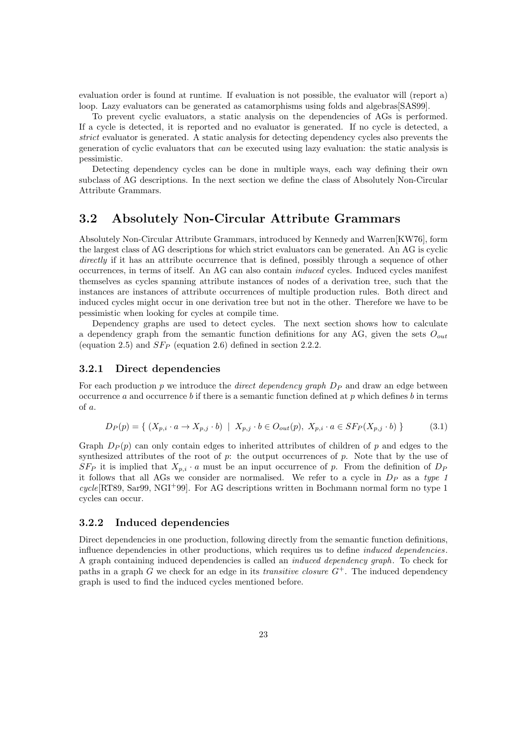evaluation order is found at runtime. If evaluation is not possible, the evaluator will (report a) loop. Lazy evaluators can be generated as catamorphisms using folds and algebras [SAS99].

To prevent cyclic evaluators, a static analysis on the dependencies of AGs is performed. If a cycle is detected, it is reported and no evaluator is generated. If no cycle is detected, a strict evaluator is generated. A static analysis for detecting dependency cycles also prevents the generation of cyclic evaluators that can be executed using lazy evaluation: the static analysis is pessimistic.

Detecting dependency cycles can be done in multiple ways, each way defining their own subclass of AG descriptions. In the next section we define the class of Absolutely Non-Circular Attribute Grammars.

#### 3.2 Absolutely Non-Circular Attribute Grammars

Absolutely Non-Circular Attribute Grammars, introduced by Kennedy and Warren[KW76], form the largest class of AG descriptions for which strict evaluators can be generated. An AG is cyclic directly if it has an attribute occurrence that is defined, possibly through a sequence of other occurrences, in terms of itself. An AG can also contain induced cycles. Induced cycles manifest themselves as cycles spanning attribute instances of nodes of a derivation tree, such that the instances are instances of attribute occurrences of multiple production rules. Both direct and induced cycles might occur in one derivation tree but not in the other. Therefore we have to be pessimistic when looking for cycles at compile time.

Dependency graphs are used to detect cycles. The next section shows how to calculate a dependency graph from the semantic function definitions for any AG, given the sets  $O_{out}$ (equation 2.5) and  $SF_P$  (equation 2.6) defined in section 2.2.2.

#### 3.2.1 Direct dependencies

For each production p we introduce the *direct dependency graph*  $D<sub>P</sub>$  and draw an edge between occurrence a and occurrence b if there is a semantic function defined at p which defines b in terms of a.

$$
D_P(p) = \{ (X_{p,i} \cdot a \to X_{p,j} \cdot b) \mid X_{p,j} \cdot b \in O_{out}(p), X_{p,i} \cdot a \in SF_P(X_{p,j} \cdot b) \}
$$
(3.1)

Graph  $D_P(p)$  can only contain edges to inherited attributes of children of p and edges to the synthesized attributes of the root of  $p$ : the output occurrences of  $p$ . Note that by the use of  $SF_P$  it is implied that  $X_{p,i} \cdot a$  must be an input occurrence of p. From the definition of  $D_P$ it follows that all AGs we consider are normalised. We refer to a cycle in  $D<sub>P</sub>$  as a type 1  $cycle$ [RT89, Sar99, NGI<sup>+</sup>99]. For AG descriptions written in Bochmann normal form no type 1 cycles can occur.

#### 3.2.2 Induced dependencies

Direct dependencies in one production, following directly from the semantic function definitions, influence dependencies in other productions, which requires us to define *induced dependencies*. A graph containing induced dependencies is called an induced dependency graph. To check for paths in a graph G we check for an edge in its *transitive closure*  $G^+$ . The induced dependency graph is used to find the induced cycles mentioned before.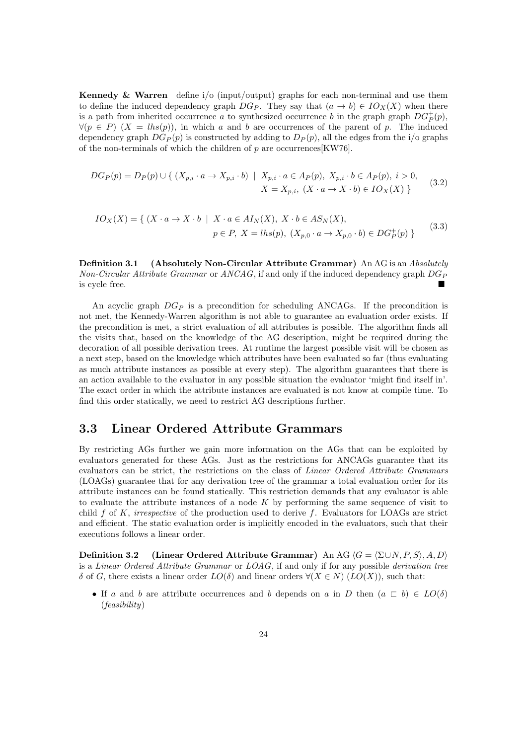**Kennedy & Warren** define  $i$ /o (input/output) graphs for each non-terminal and use them to define the induced dependency graph  $DG_P$ . They say that  $(a \to b) \in IO_X(X)$  when there is a path from inherited occurrence a to synthesized occurrence b in the graph graph  $DG_P^+(p)$ ,  $\forall (p \in P)$   $(X = lhs(p))$ , in which a and b are occurrences of the parent of p. The induced dependency graph  $DG_P(p)$  is constructed by adding to  $D_P(p)$ , all the edges from the i/o graphs of the non-terminals of which the children of  $p$  are occurrences [KW76].

$$
DG_P(p) = D_P(p) \cup \{ (X_{p,i} \cdot a \to X_{p,i} \cdot b) \mid X_{p,i} \cdot a \in A_P(p), X_{p,i} \cdot b \in A_P(p), i > 0, X = X_{p,i}, (X \cdot a \to X \cdot b) \in IO_X(X) \}
$$
(3.2)

$$
IO_X(X) = \{ (X \cdot a \to X \cdot b \mid X \cdot a \in AI_N(X), X \cdot b \in AS_N(X),
$$
  

$$
p \in P, X = lhs(p), (X_{p,0} \cdot a \to X_{p,0} \cdot b) \in DG_P^+(p) \}
$$
(3.3)

Definition 3.1 (Absolutely Non-Circular Attribute Grammar) An AG is an Absolutely Non-Circular Attribute Grammar or  $ANCAG$ , if and only if the induced dependency graph  $DG_P$ is cycle free.

An acyclic graph  $DG_P$  is a precondition for scheduling ANCAGs. If the precondition is not met, the Kennedy-Warren algorithm is not able to guarantee an evaluation order exists. If the precondition is met, a strict evaluation of all attributes is possible. The algorithm finds all the visits that, based on the knowledge of the AG description, might be required during the decoration of all possible derivation trees. At runtime the largest possible visit will be chosen as a next step, based on the knowledge which attributes have been evaluated so far (thus evaluating as much attribute instances as possible at every step). The algorithm guarantees that there is an action available to the evaluator in any possible situation the evaluator 'might find itself in'. The exact order in which the attribute instances are evaluated is not know at compile time. To find this order statically, we need to restrict AG descriptions further.

#### 3.3 Linear Ordered Attribute Grammars

By restricting AGs further we gain more information on the AGs that can be exploited by evaluators generated for these AGs. Just as the restrictions for ANCAGs guarantee that its evaluators can be strict, the restrictions on the class of Linear Ordered Attribute Grammars (LOAGs) guarantee that for any derivation tree of the grammar a total evaluation order for its attribute instances can be found statically. This restriction demands that any evaluator is able to evaluate the attribute instances of a node  $K$  by performing the same sequence of visit to child f of K, irrespective of the production used to derive f. Evaluators for LOAGs are strict and efficient. The static evaluation order is implicitly encoded in the evaluators, such that their executions follows a linear order.

**Definition 3.2** (Linear Ordered Attribute Grammar) An AG  $\langle G = \langle \Sigma \cup N, P, S \rangle, A, D \rangle$ is a Linear Ordered Attribute Grammar or  $LOAG$ , if and only if for any possible derivation tree δ of G, there exists a linear order  $LO(δ)$  and linear orders  $∀(X ∈ N) (LO(X))$ , such that:

• If a and b are attribute occurrences and b depends on a in D then  $(a \sqsubset b) \in LO(\delta)$ (feasibility)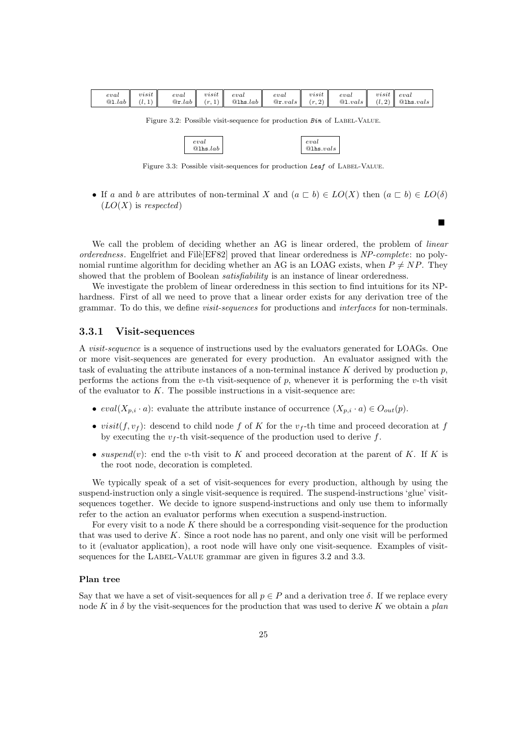| eval | visit                   | eval | visit | eval | eval                                                                                                                                                                                                                                                                                                       | visit | eval | $visit \mid eval$ |  |
|------|-------------------------|------|-------|------|------------------------------------------------------------------------------------------------------------------------------------------------------------------------------------------------------------------------------------------------------------------------------------------------------------|-------|------|-------------------|--|
|      | Q1. <i>lab</i> $(l, 1)$ |      |       |      | $\mathbb{Q}_{\mathbf{r}}.$ $lab \parallel (r,1) \parallel \mathbb{Q}_{\mathbf{h}}.$ $lab \parallel \mathbb{Q}_{\mathbf{r}}.$ $vals \parallel (r,2) \parallel \mathbb{Q}_{\mathbf{1}}.$ $vals \parallel (l,2) \parallel \mathbb{Q}_{\mathbf{h}}.$ $vals \parallel (l,3) \parallel \mathbb{Q}_{\mathbf{h}}.$ |       |      |                   |  |

Figure 3.2: Possible visit-sequence for production  $Bin$  of LABEL-VALUE.

| eval                              |  |
|-----------------------------------|--|
| @1 <sub>hs</sub> . <sub>lab</sub> |  |

Figure 3.3: Possible visit-sequences for production Leaf of LABEL-VALUE.

eval @lhs.vals

п

• If a and b are attributes of non-terminal X and  $(a \sqsubset b) \in LO(X)$  then  $(a \sqsubset b) \in LO(\delta)$  $(LO(X))$  is respected)

We call the problem of deciding whether an AG is linear ordered, the problem of *linear* orderedness. Engelfriet and File[EF82] proved that linear orderedness is  $NP-complete:$  no polynomial runtime algorithm for deciding whether an AG is an LOAG exists, when  $P \neq NP$ . They showed that the problem of Boolean *satisfiability* is an instance of linear orderedness.

We investigate the problem of linear orderedness in this section to find intuitions for its NPhardness. First of all we need to prove that a linear order exists for any derivation tree of the grammar. To do this, we define visit-sequences for productions and interfaces for non-terminals.

#### 3.3.1 Visit-sequences

A visit-sequence is a sequence of instructions used by the evaluators generated for LOAGs. One or more visit-sequences are generated for every production. An evaluator assigned with the task of evaluating the attribute instances of a non-terminal instance K derived by production  $p$ , performs the actions from the v-th visit-sequence of  $p$ , whenever it is performing the v-th visit of the evaluator to  $K$ . The possible instructions in a visit-sequence are:

- $eval(X_{p,i} \cdot a)$ : evaluate the attribute instance of occurrence  $(X_{p,i} \cdot a) \in O_{out}(p)$ .
- visit $(f, v_f)$ : descend to child node f of K for the  $v_f$ -th time and proceed decoration at f by executing the  $v_f$ -th visit-sequence of the production used to derive f.
- suspend(v): end the v-th visit to K and proceed decoration at the parent of K. If K is the root node, decoration is completed.

We typically speak of a set of visit-sequences for every production, although by using the suspend-instruction only a single visit-sequence is required. The suspend-instructions 'glue' visitsequences together. We decide to ignore suspend-instructions and only use them to informally refer to the action an evaluator performs when execution a suspend-instruction.

For every visit to a node K there should be a corresponding visit-sequence for the production that was used to derive  $K$ . Since a root node has no parent, and only one visit will be performed to it (evaluator application), a root node will have only one visit-sequence. Examples of visitsequences for the LABEL-VALUE grammar are given in figures 3.2 and 3.3.

#### Plan tree

Say that we have a set of visit-sequences for all  $p \in P$  and a derivation tree  $\delta$ . If we replace every node K in  $\delta$  by the visit-sequences for the production that was used to derive K we obtain a plan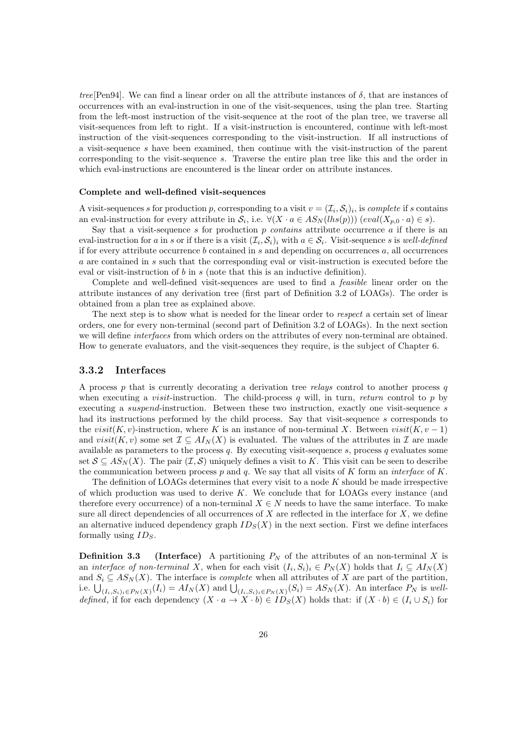tree[Pen94]. We can find a linear order on all the attribute instances of  $\delta$ , that are instances of occurrences with an eval-instruction in one of the visit-sequences, using the plan tree. Starting from the left-most instruction of the visit-sequence at the root of the plan tree, we traverse all visit-sequences from left to right. If a visit-instruction is encountered, continue with left-most instruction of the visit-sequences corresponding to the visit-instruction. If all instructions of a visit-sequence s have been examined, then continue with the visit-instruction of the parent corresponding to the visit-sequence s. Traverse the entire plan tree like this and the order in which eval-instructions are encountered is the linear order on attribute instances.

#### Complete and well-defined visit-sequences

A visit-sequences s for production p, corresponding to a visit  $v = (\mathcal{I}_i, \mathcal{S}_i)_i$ , is complete if s contains an eval-instruction for every attribute in  $S_i$ , i.e.  $\forall (X \cdot a \in AS_N(lhs(p)))$   $(eval(X_{p,0} \cdot a) \in s)$ .

Say that a visit-sequence s for production p *contains* attribute occurrence a if there is an eval-instruction for a in s or if there is a visit  $(\mathcal{I}_i, \mathcal{S}_i)_i$  with  $a \in \mathcal{S}_i$ . Visit-sequence s is well-defined if for every attribute occurrence  $b$  contained in  $s$  and depending on occurrences  $a$ , all occurrences a are contained in s such that the corresponding eval or visit-instruction is executed before the eval or visit-instruction of b in s (note that this is an inductive definition).

Complete and well-defined visit-sequences are used to find a feasible linear order on the attribute instances of any derivation tree (first part of Definition 3.2 of LOAGs). The order is obtained from a plan tree as explained above.

The next step is to show what is needed for the linear order to respect a certain set of linear orders, one for every non-terminal (second part of Definition 3.2 of LOAGs). In the next section we will define interfaces from which orders on the attributes of every non-terminal are obtained. How to generate evaluators, and the visit-sequences they require, is the subject of Chapter 6.

#### 3.3.2 Interfaces

A process p that is currently decorating a derivation tree relays control to another process q when executing a *visit*-instruction. The child-process  $q$  will, in turn, return control to  $p$  by executing a suspend-instruction. Between these two instruction, exactly one visit-sequence s had its instructions performed by the child process. Say that visit-sequence s corresponds to the visit(K, v)-instruction, where K is an instance of non-terminal X. Between visit(K, v – 1) and visit(K, v) some set  $\mathcal{I} \subseteq A I_N(X)$  is evaluated. The values of the attributes in  $\mathcal{I}$  are made available as parameters to the process q. By executing visit-sequence s, process q evaluates some set  $S \subseteq AS_N(X)$ . The pair  $(\mathcal{I}, \mathcal{S})$  uniquely defines a visit to K. This visit can be seen to describe the communication between process p and q. We say that all visits of K form an interface of K.

The definition of LOAGs determines that every visit to a node  $K$  should be made irrespective of which production was used to derive  $K$ . We conclude that for LOAGs every instance (and therefore every occurrence) of a non-terminal  $X \in N$  needs to have the same interface. To make sure all direct dependencies of all occurrences of  $X$  are reflected in the interface for  $X$ , we define an alternative induced dependency graph  $ID_S(X)$  in the next section. First we define interfaces formally using  $ID_S$ .

**Definition 3.3** (Interface) A partitioning  $P_N$  of the attributes of an non-terminal X is an *interface of non-terminal* X, when for each visit  $(I_i, S_i)_i \in P_N(X)$  holds that  $I_i \subseteq AI_N(X)$ and  $S_i \subseteq AS_N(X)$ . The interface is *complete* when all attributes of X are part of the partition, i.e.  $\bigcup_{(I_i,S_i)_i\in P_N(X)}(I_i) = AI_N(X)$  and  $\bigcup_{(I_i,S_i)_i\in P_N(X)}(S_i) = AS_N(X)$ . An interface  $P_N$  is welldefined, if for each dependency  $(X \cdot a \to X \cdot b) \in ID_{S}(X)$  holds that: if  $(X \cdot b) \in (I_i \cup S_i)$  for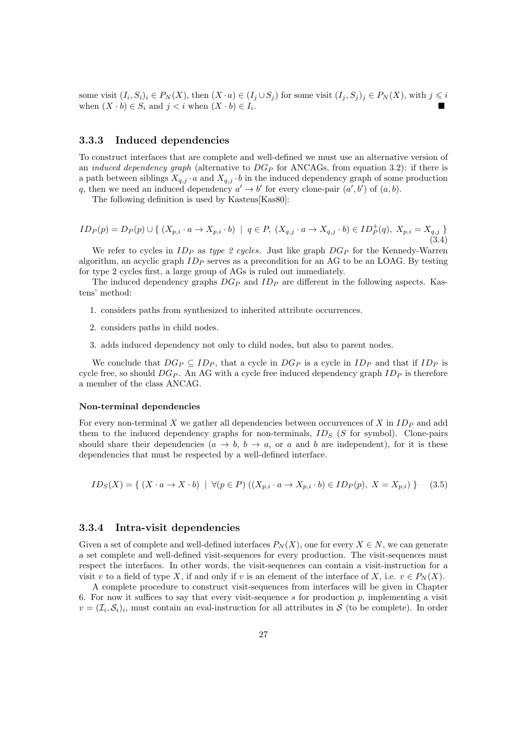some visit  $(I_i, S_i)_i \in P_N(X)$ , then  $(X \cdot a) \in (I_j \cup S_j)$  for some visit  $(I_j, S_j)_j \in P_N(X)$ , with  $j \leq i$ when  $(X \cdot b) \in S_i$  and  $j < i$  when  $(X \cdot b) \in I_i$ . .

#### 3.3.3 Induced dependencies

To construct interfaces that are complete and well-defined we must use an alternative version of an *induced dependency graph* (alternative to  $DG_P$  for ANCAGs, from equation 3.2): if there is a path between siblings  $X_{q,j} \cdot a$  and  $X_{q,j} \cdot b$  in the induced dependency graph of some production q, then we need an induced dependency  $a' \rightarrow b'$  for every clone-pair  $(a', b')$  of  $(a, b)$ .

The following definition is used by Kastens[Kas80]:

$$
ID_P(p) = D_P(p) \cup \{ (X_{p,i} \cdot a \to X_{p,i} \cdot b) \mid q \in P, (X_{q,j} \cdot a \to X_{q,j} \cdot b) \in ID_P^+(q), X_{p,i} = X_{q,j} \}
$$
\n(3.4)

We refer to cycles in  $ID_P$  as type 2 cycles. Just like graph  $DG_P$  for the Kennedy-Warren algorithm, an acyclic graph  $ID_P$  serves as a precondition for an AG to be an LOAG. By testing for type 2 cycles first, a large group of AGs is ruled out immediately.

The induced dependency graphs  $DG_P$  and  $ID_P$  are different in the following aspects. Kastens' method:

- 1. considers paths from synthesized to inherited attribute occurrences.
- 2. considers paths in child nodes.
- 3. adds induced dependency not only to child nodes, but also to parent nodes.

We conclude that  $D G_P \subseteq ID_P$ , that a cycle in  $D G_P$  is a cycle in  $ID_P$  and that if  $ID_P$  is cycle free, so should  $DG_P$ . An AG with a cycle free induced dependency graph  $ID_P$  is therefore a member of the class ANCAG.

#### Non-terminal dependencies

For every non-terminal X we gather all dependencies between occurrences of X in  $ID_P$  and add them to the induced dependency graphs for non-terminals,  $ID_S$  (S for symbol). Clone-pairs should share their dependencies  $(a \to b, b \to a, \text{ or } a \text{ and } b \text{ are independent}),$  for it is these dependencies that must be respected by a well-defined interface.

$$
ID_S(X) = \{ (X \cdot a \to X \cdot b) \mid \forall (p \in P) ((X_{p,i} \cdot a \to X_{p,i} \cdot b) \in ID_P(p), X = X_{p,i}) \} \quad (3.5)
$$

#### 3.3.4 Intra-visit dependencies

Given a set of complete and well-defined interfaces  $P_N(X)$ , one for every  $X \in N$ , we can generate a set complete and well-defined visit-sequences for every production. The visit-sequences must respect the interfaces. In other words, the visit-sequences can contain a visit-instruction for a visit v to a field of type X, if and only if v is an element of the interface of X, i.e.  $v \in P<sub>N</sub>(X)$ .

A complete procedure to construct visit-sequences from interfaces will be given in Chapter 6. For now it suffices to say that every visit-sequence s for production  $p$ , implementing a visit  $v = (\mathcal{I}_i, \mathcal{S}_i)_i$ , must contain an eval-instruction for all attributes in S (to be complete). In order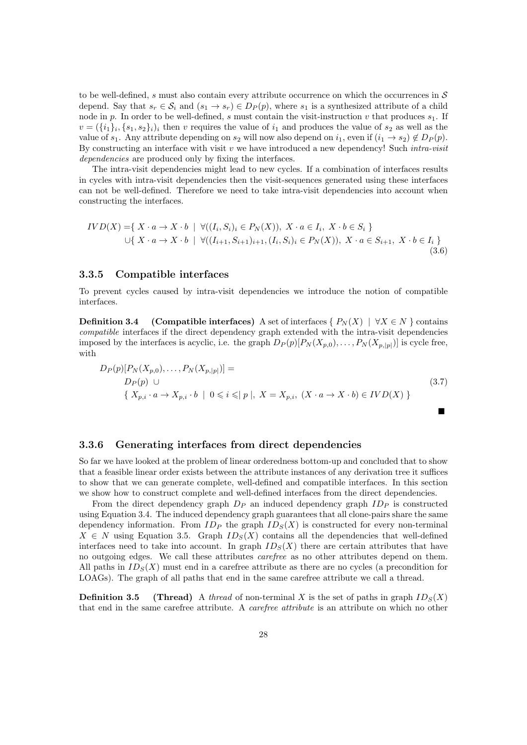to be well-defined, s must also contain every attribute occurrence on which the occurrences in  $\mathcal S$ depend. Say that  $s_r \in \mathcal{S}_i$  and  $(s_1 \to s_r) \in D_P(p)$ , where  $s_1$  is a synthesized attribute of a child node in p. In order to be well-defined, s must contain the visit-instruction v that produces  $s_1$ . If  $v = (\{i_1\}_i, \{s_1, s_2\}_i)$  then v requires the value of  $i_1$  and produces the value of  $s_2$  as well as the value of  $s_1$ . Any attribute depending on  $s_2$  will now also depend on  $i_1$ , even if  $(i_1 \rightarrow s_2) \notin D_P(p)$ . By constructing an interface with visit  $v$  we have introduced a new dependency! Such *intra-visit* dependencies are produced only by fixing the interfaces.

The intra-visit dependencies might lead to new cycles. If a combination of interfaces results in cycles with intra-visit dependencies then the visit-sequences generated using these interfaces can not be well-defined. Therefore we need to take intra-visit dependencies into account when constructing the interfaces.

$$
IVD(X) = \{ X \cdot a \to X \cdot b \mid \forall ((I_i, S_i)_i \in P_N(X)), X \cdot a \in I_i, X \cdot b \in S_i \}
$$
  

$$
\cup \{ X \cdot a \to X \cdot b \mid \forall ((I_{i+1}, S_{i+1})_{i+1}, (I_i, S_i)_i \in P_N(X)), X \cdot a \in S_{i+1}, X \cdot b \in I_i \}
$$
(3.6)

#### 3.3.5 Compatible interfaces

To prevent cycles caused by intra-visit dependencies we introduce the notion of compatible interfaces.

**Definition 3.4** (Compatible interfaces) A set of interfaces { $P_N(X)$  |  $\forall X \in N$  } contains compatible interfaces if the direct dependency graph extended with the intra-visit dependencies imposed by the interfaces is acyclic, i.e. the graph  $D_P(p)[P_N(X_{p,0}),\ldots,P_N(X_{p,|p|})]$  is cycle free, with

$$
D_P(p)[P_N(X_{p,0}),...,P_N(X_{p,|p|})] =
$$
  
\n
$$
D_P(p) \cup
$$
  
\n
$$
\{X_{p,i} \cdot a \to X_{p,i} \cdot b \mid 0 \leq i \leq |p|, X = X_{p,i}, (X \cdot a \to X \cdot b) \in IVD(X)\}
$$
\n(3.7)

п

#### 3.3.6 Generating interfaces from direct dependencies

So far we have looked at the problem of linear orderedness bottom-up and concluded that to show that a feasible linear order exists between the attribute instances of any derivation tree it suffices to show that we can generate complete, well-defined and compatible interfaces. In this section we show how to construct complete and well-defined interfaces from the direct dependencies.

From the direct dependency graph  $D<sub>P</sub>$  an induced dependency graph  $ID<sub>P</sub>$  is constructed using Equation 3.4. The induced dependency graph guarantees that all clone-pairs share the same dependency information. From  $ID_P$  the graph  $ID_S(X)$  is constructed for every non-terminal  $X \in N$  using Equation 3.5. Graph  $ID_S(X)$  contains all the dependencies that well-defined interfaces need to take into account. In graph  $ID_S(X)$  there are certain attributes that have no outgoing edges. We call these attributes carefree as no other attributes depend on them. All paths in  $ID_S(X)$  must end in a carefree attribute as there are no cycles (a precondition for LOAGs). The graph of all paths that end in the same carefree attribute we call a thread.

**Definition 3.5** (Thread) A thread of non-terminal X is the set of paths in graph  $ID_S(X)$ that end in the same carefree attribute. A carefree attribute is an attribute on which no other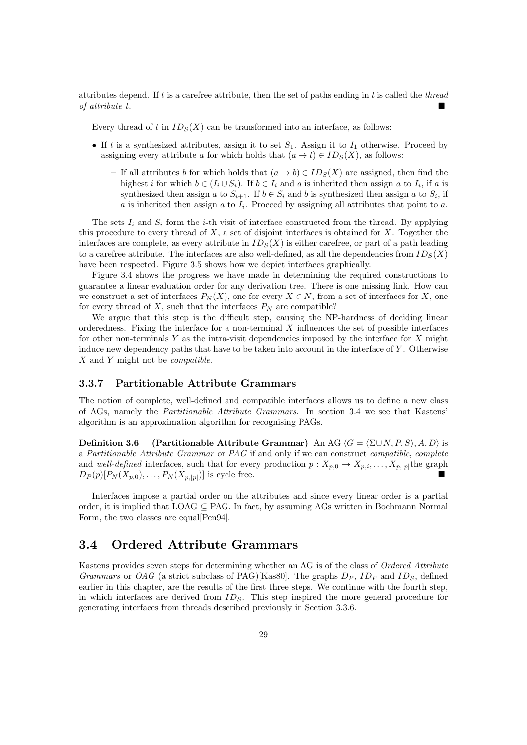attributes depend. If  $t$  is a carefree attribute, then the set of paths ending in  $t$  is called the *thread* of attribute t.

Every thread of t in  $ID_S(X)$  can be transformed into an interface, as follows:

- If t is a synthesized attributes, assign it to set  $S_1$ . Assign it to  $I_1$  otherwise. Proceed by assigning every attribute a for which holds that  $(a \to t) \in ID<sub>S</sub>(X)$ , as follows:
	- If all attributes b for which holds that  $(a \to b) \in ID_S(X)$  are assigned, then find the highest i for which  $b \in (I_i \cup S_i)$ . If  $b \in I_i$  and a is inherited then assign a to  $I_i$ , if a is synthesized then assign a to  $S_{i+1}$ . If  $b \in S_i$  and b is synthesized then assign a to  $S_i$ , if  $a$  is inherited then assign  $a$  to  $I_i$ . Proceed by assigning all attributes that point to  $a$ .

The sets  $I_i$  and  $S_i$  form the *i*-th visit of interface constructed from the thread. By applying this procedure to every thread of  $X$ , a set of disjoint interfaces is obtained for  $X$ . Together the interfaces are complete, as every attribute in  $ID_S(X)$  is either carefree, or part of a path leading to a carefree attribute. The interfaces are also well-defined, as all the dependencies from  $ID_S(X)$ have been respected. Figure 3.5 shows how we depict interfaces graphically.

Figure 3.4 shows the progress we have made in determining the required constructions to guarantee a linear evaluation order for any derivation tree. There is one missing link. How can we construct a set of interfaces  $P_N(X)$ , one for every  $X \in N$ , from a set of interfaces for X, one for every thread of X, such that the interfaces  $P_N$  are compatible?

We argue that this step is the difficult step, causing the NP-hardness of deciding linear orderedness. Fixing the interface for a non-terminal  $X$  influences the set of possible interfaces for other non-terminals Y as the intra-visit dependencies imposed by the interface for X might induce new dependency paths that have to be taken into account in the interface of Y . Otherwise X and Y might not be compatible.

#### 3.3.7 Partitionable Attribute Grammars

The notion of complete, well-defined and compatible interfaces allows us to define a new class of AGs, namely the Partitionable Attribute Grammars. In section 3.4 we see that Kastens' algorithm is an approximation algorithm for recognising PAGs.

**Definition 3.6** (Partitionable Attribute Grammar) An AG  $\langle G = \langle \Sigma \cup N, P, S \rangle, A, D \rangle$  is a Partitionable Attribute Grammar or PAG if and only if we can construct compatible, complete and well-defined interfaces, such that for every production  $p: X_{p,0} \to X_{p,i}, \ldots, X_{p,|p|}$  the graph  $D_P(p)[P_N(X_{p,0}), \ldots, P_N(X_{p,|p|})]$  is cycle free.

Interfaces impose a partial order on the attributes and since every linear order is a partial order, it is implied that  $LOAG \subseteq PAG$ . In fact, by assuming AGs written in Bochmann Normal Form, the two classes are equal[Pen94].

#### 3.4 Ordered Attribute Grammars

Kastens provides seven steps for determining whether an AG is of the class of Ordered Attribute Grammars or OAG (a strict subclass of PAG)[Kas80]. The graphs  $D_P$ ,  $ID_P$  and  $ID_S$ , defined earlier in this chapter, are the results of the first three steps. We continue with the fourth step, in which interfaces are derived from  $ID<sub>S</sub>$ . This step inspired the more general procedure for generating interfaces from threads described previously in Section 3.3.6.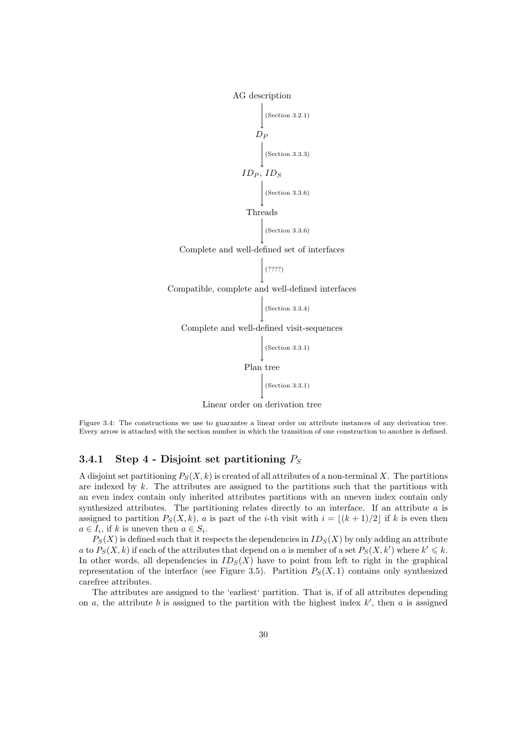AG description



Figure 3.4: The constructions we use to guarantee a linear order on attribute instances of any derivation tree. Every arrow is attached with the section number in which the transition of one construction to another is defined.

#### 3.4.1 Step 4 - Disjoint set partitioning  $P_S$

A disjoint set partitioning  $P_S(X, k)$  is created of all attributes of a non-terminal X. The partitions are indexed by  $k$ . The attributes are assigned to the partitions such that the partitions with an even index contain only inherited attributes partitions with an uneven index contain only synthesized attributes. The partitioning relates directly to an interface. If an attribute  $a$  is assigned to partition  $P_S(X, k)$ , a is part of the *i*-th visit with  $i = |(k + 1)/2|$  if k is even then  $a \in I_i$ , if k is uneven then  $a \in S_i$ .

 $P_S(X)$  is defined such that it respects the dependencies in  $ID_S(X)$  by only adding an attribute a to  $P_S(X, k)$  if each of the attributes that depend on a is member of a set  $P_S(X, k')$  where  $k' \leq k$ . In other words, all dependencies in  $ID_S(X)$  have to point from left to right in the graphical representation of the interface (see Figure 3.5). Partition  $P_S(X,1)$  contains only synthesized carefree attributes.

The attributes are assigned to the 'earliest' partition. That is, if of all attributes depending on  $a$ , the attribute  $b$  is assigned to the partition with the highest index  $k'$ , then  $a$  is assigned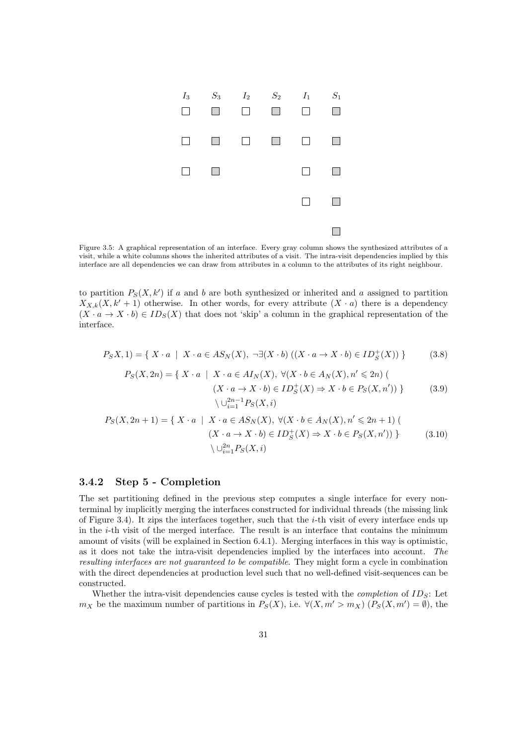

Figure 3.5: A graphical representation of an interface. Every gray column shows the synthesized attributes of a visit, while a white columns shows the inherited attributes of a visit. The intra-visit dependencies implied by this interface are all dependencies we can draw from attributes in a column to the attributes of its right neighbour.

to partition  $P_S(X, k')$  if a and b are both synthesized or inherited and a assigned to partition  $X_{X,k}(X, k' + 1)$  otherwise. In other words, for every attribute  $(X \cdot a)$  there is a dependency  $(X \cdot a \to X \cdot b) \in ID_S(X)$  that does not 'skip' a column in the graphical representation of the interface.

$$
P_S X, 1) = \{ X \cdot a \mid X \cdot a \in AS_N(X), \neg \exists (X \cdot b) ((X \cdot a \to X \cdot b) \in ID_S^+(X)) \}
$$
(3.8)

$$
P_S(X, 2n) = \{ X \cdot a \mid X \cdot a \in AI_N(X), \forall (X \cdot b \in A_N(X), n' \le 2n) \tag{3.9}
$$
\n
$$
(X \cdot a \to X \cdot b) \in ID_S^+(X) \Rightarrow X \cdot b \in P_S(X, n')) \} \tag{3.9}
$$
\n
$$
\setminus \bigcup_{i=1}^{2n-1} P_S(X, i)
$$

$$
P_S(X, 2n+1) = \{ X \cdot a \mid X \cdot a \in AS_N(X), \forall (X \cdot b \in A_N(X), n' \le 2n+1) \mid (X \cdot a \to X \cdot b) \in ID_S^+(X) \Rightarrow X \cdot b \in P_S(X, n')) \}
$$
(3.10)  

$$
\setminus \bigcup_{i=1}^{2n} P_S(X, i)
$$

#### 3.4.2 Step 5 - Completion

The set partitioning defined in the previous step computes a single interface for every nonterminal by implicitly merging the interfaces constructed for individual threads (the missing link of Figure 3.4). It zips the interfaces together, such that the  $i$ -th visit of every interface ends up in the  $i$ -th visit of the merged interface. The result is an interface that contains the minimum amount of visits (will be explained in Section 6.4.1). Merging interfaces in this way is optimistic, as it does not take the intra-visit dependencies implied by the interfaces into account. The resulting interfaces are not guaranteed to be compatible. They might form a cycle in combination with the direct dependencies at production level such that no well-defined visit-sequences can be constructed.

Whether the intra-visit dependencies cause cycles is tested with the *completion* of  $ID_S$ : Let  $m_X$  be the maximum number of partitions in  $P_S(X)$ , i.e.  $\forall (X, m' > m_X)$   $(P_S(X, m') = \emptyset)$ , the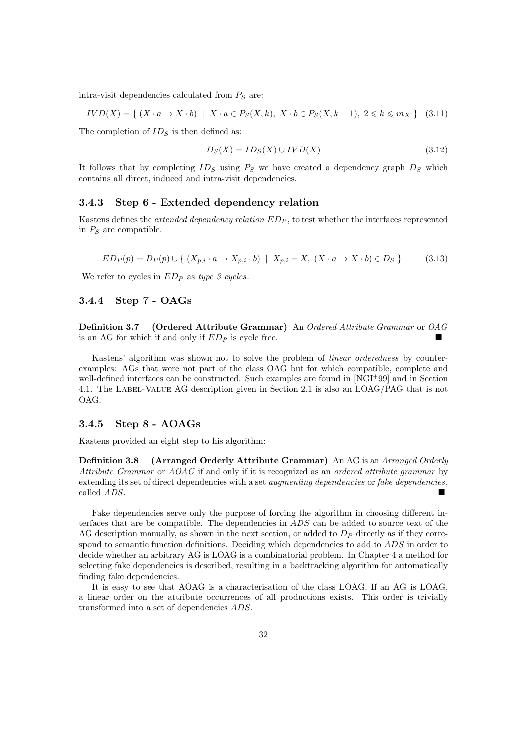intra-visit dependencies calculated from  $P<sub>S</sub>$  are:

$$
IVD(X) = \{ (X \cdot a \to X \cdot b) \mid X \cdot a \in P_S(X, k), X \cdot b \in P_S(X, k-1), 2 \le k \le m_X \} \quad (3.11)
$$

The completion of  $ID_S$  is then defined as:

$$
D_S(X) = ID_S(X) \cup IVD(X) \tag{3.12}
$$

It follows that by completing  $ID_S$  using  $P_S$  we have created a dependency graph  $D_S$  which contains all direct, induced and intra-visit dependencies.

#### 3.4.3 Step 6 - Extended dependency relation

Kastens defines the *extended dependency relation*  $ED_P$ , to test whether the interfaces represented in  $P<sub>S</sub>$  are compatible.

$$
ED_P(p) = D_P(p) \cup \{ (X_{p,i} \cdot a \to X_{p,i} \cdot b) \mid X_{p,i} = X, (X \cdot a \to X \cdot b) \in D_S \}
$$
(3.13)

We refer to cycles in  $ED_P$  as type 3 cycles.

#### 3.4.4 Step 7 - OAGs

Definition 3.7 (Ordered Attribute Grammar) An Ordered Attribute Grammar or OAG is an AG for which if and only if  $ED_P$  is cycle free.

Kastens' algorithm was shown not to solve the problem of linear orderedness by counterexamples: AGs that were not part of the class OAG but for which compatible, complete and well-defined interfaces can be constructed. Such examples are found in [NGI+99] and in Section 4.1. The Label-Value AG description given in Section 2.1 is also an LOAG/PAG that is not OAG.

#### 3.4.5 Step 8 - AOAGs

Kastens provided an eight step to his algorithm:

Definition 3.8 (Arranged Orderly Attribute Grammar) An AG is an Arranged Orderly Attribute Grammar or AOAG if and only if it is recognized as an ordered attribute grammar by extending its set of direct dependencies with a set *augmenting dependencies* or *fake dependencies*, called ADS.

Fake dependencies serve only the purpose of forcing the algorithm in choosing different interfaces that are be compatible. The dependencies in ADS can be added to source text of the AG description manually, as shown in the next section, or added to  $D<sub>P</sub>$  directly as if they correspond to semantic function definitions. Deciding which dependencies to add to  $ADS$  in order to decide whether an arbitrary AG is LOAG is a combinatorial problem. In Chapter 4 a method for selecting fake dependencies is described, resulting in a backtracking algorithm for automatically finding fake dependencies.

It is easy to see that AOAG is a characterisation of the class LOAG. If an AG is LOAG, a linear order on the attribute occurrences of all productions exists. This order is trivially transformed into a set of dependencies ADS.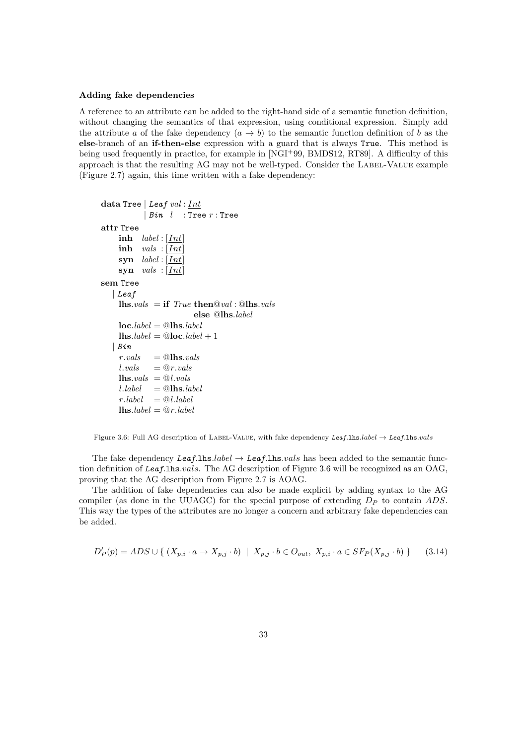#### Adding fake dependencies

A reference to an attribute can be added to the right-hand side of a semantic function definition, without changing the semantics of that expression, using conditional expression. Simply add the attribute a of the fake dependency  $(a \to b)$  to the semantic function definition of b as the else-branch of an if-then-else expression with a guard that is always True. This method is being used frequently in practice, for example in [NGI+99, BMDS12, RT89]. A difficulty of this approach is that the resulting AG may not be well-typed. Consider the LABEL-VALUE example (Figure 2.7) again, this time written with a fake dependency:

```
data Tree | Leaf val : Int| Bin \t 1 : Tree r: Tree
attr Tree
     inh label:1}inh vals : [Int]syn label:1}syn vals : [Int]sem Tree
   | Leaf
     lhs.vals = if True then @val : @lhs.vals
                            else @lhs.label
     loc. label = \mathcal{Q}lhs.label
     \mathbf{u}lhs.label = \mathbf{Q}loc.label + 1
    Bin.r \text{.} vals = \textcircled{a}lhs.vals
     l.values = @r.values\mathbf{u}lhs.vals = @l.valuesl. \textit{label} = @lhs.label
     r. label = \mathcal{Q}l. label\textbf{ln}s.label = @r.label
```
Figure 3.6: Full AG description of LABEL-VALUE, with fake dependency Leaf.lhs.label  $\rightarrow$  Leaf.lhs.vals

The fake dependency Leaf.lhs.label  $\rightarrow$  Leaf.lhs.vals has been added to the semantic function definition of Leaf.lhs.vals. The AG description of Figure 3.6 will be recognized as an OAG, proving that the AG description from Figure 2.7 is AOAG.

The addition of fake dependencies can also be made explicit by adding syntax to the AG compiler (as done in the UUAGC) for the special purpose of extending  $D<sub>P</sub>$  to contain ADS. This way the types of the attributes are no longer a concern and arbitrary fake dependencies can be added.

$$
D'_P(p) = ADS \cup \{ (X_{p,i} \cdot a \rightarrow X_{p,j} \cdot b) \mid X_{p,j} \cdot b \in O_{out}, X_{p,i} \cdot a \in SF_P(X_{p,j} \cdot b) \} \tag{3.14}
$$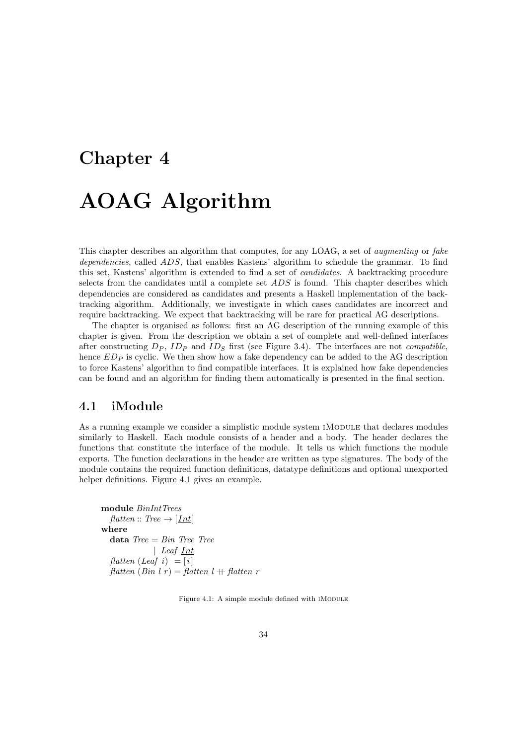# Chapter 4 AOAG Algorithm

This chapter describes an algorithm that computes, for any LOAG, a set of augmenting or fake dependencies, called ADS, that enables Kastens' algorithm to schedule the grammar. To find this set, Kastens' algorithm is extended to find a set of candidates. A backtracking procedure selects from the candidates until a complete set ADS is found. This chapter describes which dependencies are considered as candidates and presents a Haskell implementation of the backtracking algorithm. Additionally, we investigate in which cases candidates are incorrect and require backtracking. We expect that backtracking will be rare for practical AG descriptions.

The chapter is organised as follows: first an AG description of the running example of this chapter is given. From the description we obtain a set of complete and well-defined interfaces after constructing  $D_P$ ,  $ID_P$  and  $ID_S$  first (see Figure 3.4). The interfaces are not *compatible*, hence  $ED<sub>P</sub>$  is cyclic. We then show how a fake dependency can be added to the AG description to force Kastens' algorithm to find compatible interfaces. It is explained how fake dependencies can be found and an algorithm for finding them automatically is presented in the final section.

#### 4.1 iModule

As a running example we consider a simplistic module system IMODULE that declares modules similarly to Haskell. Each module consists of a header and a body. The header declares the functions that constitute the interface of the module. It tells us which functions the module exports. The function declarations in the header are written as type signatures. The body of the module contains the required function definitions, datatype definitions and optional unexported helper definitions. Figure 4.1 gives an example.

```
module BinIntTrees
  flatten :: Tree \rightarrow [Int]
where
  data Tree = Bin Tree Tree| Leaf <u>Int</u>
  flatten (Leaf i) = [i]flatten (Bin l r) = flatten l + flatten r
```
Figure 4.1: A simple module defined with IMODULE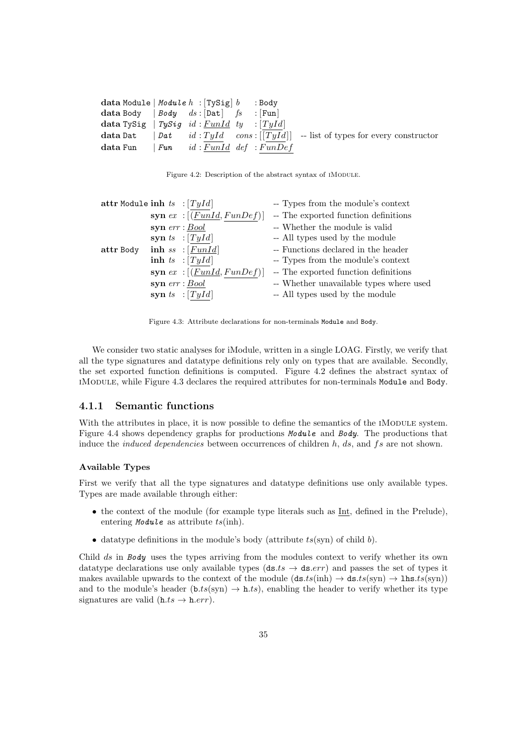| data Module   Module $h$ : $[\text{TySig}]$ $b$ : Body          |     |                            |  |  |                                                                                              |  |
|-----------------------------------------------------------------|-----|----------------------------|--|--|----------------------------------------------------------------------------------------------|--|
| data Body $ $ <i>Body</i> $ds$ : $ $ Dat $ $ $fs$ : $ $ Fun $ $ |     |                            |  |  |                                                                                              |  |
| data TySig   TySig id: $FunId$ ty : [TyId]                      |     |                            |  |  |                                                                                              |  |
|                                                                 |     |                            |  |  | <b>data</b> Dat $[Lat \t id : TyId \t const: [[TyId]] - list of types for every constructor$ |  |
| $data$ $Fun$                                                    | Fun | $id: FunId$ def : $FunDef$ |  |  |                                                                                              |  |

Figure 4.2: Description of the abstract syntax of IMODULE.

| attr Module inh $ts$ : [TyId] |  |                                  | -- Types from the module's context      |
|-------------------------------|--|----------------------------------|-----------------------------------------|
|                               |  | syn $ex$ : [ $(FunId, FunDef)$ ] | -- The exported function definitions    |
|                               |  | $syn$ $err : Bool$               | -- Whether the module is valid          |
|                               |  | syn ts $:[Tyld]$                 | -- All types used by the module         |
| attr Body                     |  | inh ss : $[Fund]$                | -- Functions declared in the header     |
|                               |  | inh ts : $[TyId]$                | -- Types from the module's context      |
|                               |  | syn $ex$ : $[(Fund, FunDef)]$    | -- The exported function definitions    |
|                               |  | $syn$ $err : Bool$               | -- Whether unavailable types where used |
|                               |  | syn ts : $[TyId]$                | -- All types used by the module         |

Figure 4.3: Attribute declarations for non-terminals Module and Body.

We consider two static analyses for iModule, written in a single LOAG. Firstly, we verify that all the type signatures and datatype definitions rely only on types that are available. Secondly, the set exported function definitions is computed. Figure 4.2 defines the abstract syntax of iModule, while Figure 4.3 declares the required attributes for non-terminals Module and Body.

#### 4.1.1 Semantic functions

With the attributes in place, it is now possible to define the semantics of the IMODULE system. Figure 4.4 shows dependency graphs for productions Module and Body. The productions that induce the *induced dependencies* between occurrences of children  $h$ ,  $ds$ , and  $fs$  are not shown.

#### Available Types

First we verify that all the type signatures and datatype definitions use only available types. Types are made available through either:

- the context of the module (for example type literals such as Int, defined in the Prelude), entering *Module* as attribute  $ts(\text{inh})$ .
- datatype definitions in the module's body (attribute  $ts(\text{syn})$  of child b).

Child ds in Body uses the types arriving from the modules context to verify whether its own datatype declarations use only available types ( $ds.ts \rightarrow ds.err$ ) and passes the set of types it makes available upwards to the context of the module  $(d\mathbf{s}.ts(\text{inh}) \rightarrow d\mathbf{s}.ts(\text{syn}) \rightarrow 1$ h $\mathbf{s}.ts(\text{syn})$ ) and to the module's header  $(b.ts(syn) \rightarrow h.ts)$ , enabling the header to verify whether its type signatures are valid  $(h.ts \rightarrow h. err)$ .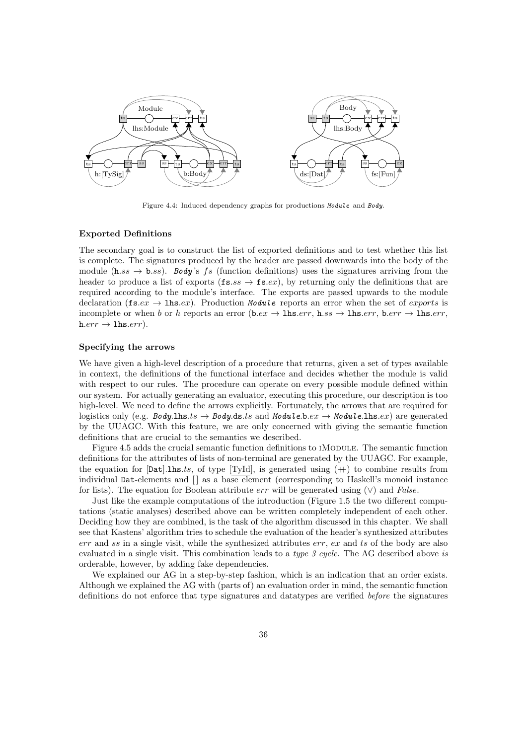

Figure 4.4: Induced dependency graphs for productions Module and Body.

#### Exported Definitions

The secondary goal is to construct the list of exported definitions and to test whether this list is complete. The signatures produced by the header are passed downwards into the body of the module (h.ss  $\rightarrow$  b.ss). Body's fs (function definitions) uses the signatures arriving from the header to produce a list of exports ( $\mathbf{fs}.ss \to \mathbf{fs}.ex$ ), by returning only the definitions that are required according to the module's interface. The exports are passed upwards to the module declaration (fs.ex  $\rightarrow$  lhs.ex). Production Module reports an error when the set of exports is incomplete or when b or h reports an error (b.ex  $\rightarrow$  lhs.err, h.ss  $\rightarrow$  lhs.err, b.err  $\rightarrow$  lhs.err,  $h.err \rightarrow 1$ hs. $err$ ).

#### Specifying the arrows

We have given a high-level description of a procedure that returns, given a set of types available in context, the definitions of the functional interface and decides whether the module is valid with respect to our rules. The procedure can operate on every possible module defined within our system. For actually generating an evaluator, executing this procedure, our description is too high-level. We need to define the arrows explicitly. Fortunately, the arrows that are required for logistics only (e.g. Body.lhs.ts  $\rightarrow$  Body.ds.ts and Module.b.ex  $\rightarrow$  Module.lhs.ex) are generated by the UUAGC. With this feature, we are only concerned with giving the semantic function definitions that are crucial to the semantics we described.

Figure 4.5 adds the crucial semantic function definitions to IMODULE. The semantic function definitions for the attributes of lists of non-terminal are generated by the UUAGC. For example, the equation for  $[\text{Lat}].\text{ls.}ts$ , of type  $[TyId]$ , is generated using  $(+)$  to combine results from individual Dat-elements and  $\Box$  as a base element (corresponding to Haskell's monoid instance for lists). The equation for Boolean attribute err will be generated using  $(\vee)$  and False.

Just like the example computations of the introduction (Figure 1.5 the two different computations (static analyses) described above can be written completely independent of each other. Deciding how they are combined, is the task of the algorithm discussed in this chapter. We shall see that Kastens' algorithm tries to schedule the evaluation of the header's synthesized attributes  $err$  and ss in a single visit, while the synthesized attributes  $err$ ,  $ex$  and ts of the body are also evaluated in a single visit. This combination leads to a type 3 cycle. The AG described above is orderable, however, by adding fake dependencies.

We explained our AG in a step-by-step fashion, which is an indication that an order exists. Although we explained the AG with (parts of) an evaluation order in mind, the semantic function definitions do not enforce that type signatures and datatypes are verified before the signatures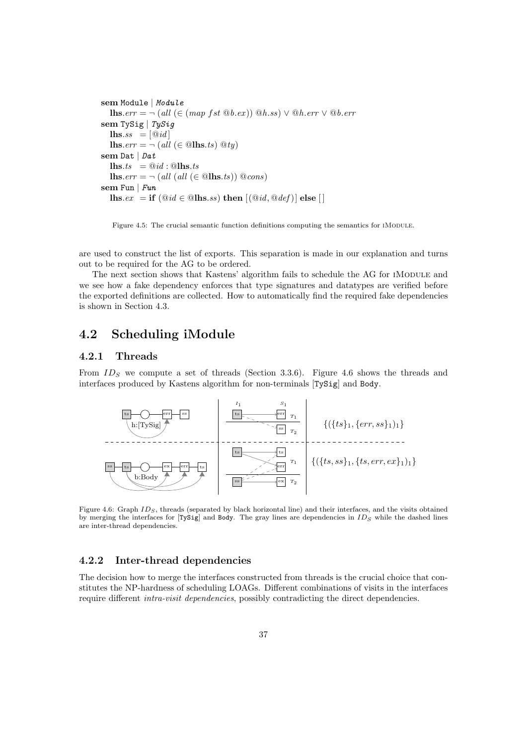```
sem Module | Module
   lhs.err = \neg (all (∈ (map fst @b.ex)) @h.ss) \vee @h.err \vee @b.errsem TySig | TySig
   \mathbf{u}lhs.ss = \left[\mathbf{\mathbb{Q}}\,id\right]lhs.err = \neg (all (\in \mathbb{Q}lhs.ts) \mathbb{Q}ty)
sem Dat | Dat
   \mathbf{u}lhs.ts = \mathbf{0} \mathbf{i} \mathbf{d} : \mathbf{0}lhs.ts
   lhs.err = \neg (all (all (\in \mathbb{Q}lhs.ts)) \mathbb{Q}cons)
sem Fun | Fun
   lhs.ex = if (@id \in @lls.ss) then [(@id, @def)] else [
```
Figure 4.5: The crucial semantic function definitions computing the semantics for IMODULE.

are used to construct the list of exports. This separation is made in our explanation and turns out to be required for the AG to be ordered.

The next section shows that Kastens' algorithm fails to schedule the AG for IMODULE and we see how a fake dependency enforces that type signatures and datatypes are verified before the exported definitions are collected. How to automatically find the required fake dependencies is shown in Section 4.3.

# 4.2 Scheduling iModule

#### 4.2.1 Threads

From  $ID_S$  we compute a set of threads (Section 3.3.6). Figure 4.6 shows the threads and interfaces produced by Kastens algorithm for non-terminals [TySig] and Body.



Figure 4.6: Graph  $ID_S$ , threads (separated by black horizontal line) and their interfaces, and the visits obtained by merging the interfaces for [TySig] and Body. The gray lines are dependencies in  $ID_S$  while the dashed lines are inter-thread dependencies.

#### 4.2.2 Inter-thread dependencies

The decision how to merge the interfaces constructed from threads is the crucial choice that constitutes the NP-hardness of scheduling LOAGs. Different combinations of visits in the interfaces require different intra-visit dependencies, possibly contradicting the direct dependencies.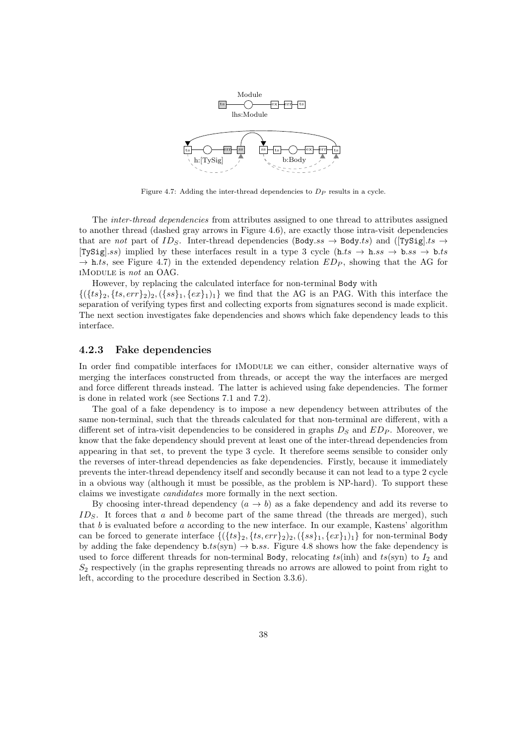

Figure 4.7: Adding the inter-thread dependencies to  $D<sub>P</sub>$  results in a cycle.

The inter-thread dependencies from attributes assigned to one thread to attributes assigned to another thread (dashed gray arrows in Figure 4.6), are exactly those intra-visit dependencies that are not part of ID<sub>S</sub>. Inter-thread dependencies (Body.ss  $\rightarrow$  Body.ts) and ([TySig].ts  $\rightarrow$ [TySig].ss) implied by these interfaces result in a type 3 cycle (h.ts  $\rightarrow$  h.ss  $\rightarrow$  b.ss  $\rightarrow$  b.ts  $\rightarrow$  h.ts, see Figure 4.7) in the extended dependency relation  $ED_P$ , showing that the AG for iModule is not an OAG.

However, by replacing the calculated interface for non-terminal Body with  $\{(ts\}_2, \{ts, err\}_2), (\{ss\}_1, \{ex\}_1), \}$  we find that the AG is an PAG. With this interface the separation of verifying types first and collecting exports from signatures second is made explicit. The next section investigates fake dependencies and shows which fake dependency leads to this interface.

#### 4.2.3 Fake dependencies

In order find compatible interfaces for IMODULE we can either, consider alternative ways of merging the interfaces constructed from threads, or accept the way the interfaces are merged and force different threads instead. The latter is achieved using fake dependencies. The former is done in related work (see Sections 7.1 and 7.2).

The goal of a fake dependency is to impose a new dependency between attributes of the same non-terminal, such that the threads calculated for that non-terminal are different, with a different set of intra-visit dependencies to be considered in graphs  $D<sub>S</sub>$  and  $ED<sub>P</sub>$ . Moreover, we know that the fake dependency should prevent at least one of the inter-thread dependencies from appearing in that set, to prevent the type 3 cycle. It therefore seems sensible to consider only the reverses of inter-thread dependencies as fake dependencies. Firstly, because it immediately prevents the inter-thread dependency itself and secondly because it can not lead to a type 2 cycle in a obvious way (although it must be possible, as the problem is NP-hard). To support these claims we investigate candidates more formally in the next section.

By choosing inter-thread dependency  $(a \to b)$  as a fake dependency and add its reverse to  $ID<sub>S</sub>$ . It forces that a and b become part of the same thread (the threads are merged), such that  $b$  is evaluated before  $a$  according to the new interface. In our example, Kastens' algorithm can be forced to generate interface  $\{(\{ts\}_2, \{ts, err\}_2), (\{ss\}_1, \{ex\}_1)_1\}$  for non-terminal Body by adding the fake dependency  $b.ts(\text{syn}) \rightarrow b:ss$ . Figure 4.8 shows how the fake dependency is used to force different threads for non-terminal Body, relocating  $ts(\text{inh})$  and  $ts(\text{syn})$  to  $I_2$  and  $S_2$  respectively (in the graphs representing threads no arrows are allowed to point from right to left, according to the procedure described in Section 3.3.6).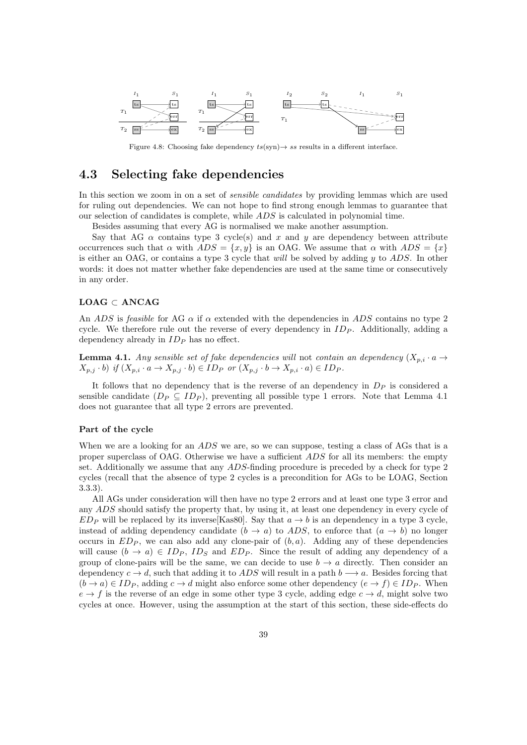

Figure 4.8: Choosing fake dependency  $ts(\text{syn}) \rightarrow ss$  results in a different interface.

### 4.3 Selecting fake dependencies

In this section we zoom in on a set of *sensible candidates* by providing lemmas which are used for ruling out dependencies. We can not hope to find strong enough lemmas to guarantee that our selection of candidates is complete, while ADS is calculated in polynomial time.

Besides assuming that every AG is normalised we make another assumption.

Say that AG  $\alpha$  contains type 3 cycle(s) and x and y are dependency between attribute occurrences such that  $\alpha$  with  $ADS = \{x, y\}$  is an OAG. We assume that  $\alpha$  with  $ADS = \{x\}$ is either an OAG, or contains a type 3 cycle that will be solved by adding  $y$  to  $ADS$ . In other words: it does not matter whether fake dependencies are used at the same time or consecutively in any order.

#### $\mathbf{LOAG} \subset \mathbf{ANCAG}$

An ADS is feasible for AG  $\alpha$  if  $\alpha$  extended with the dependencies in ADS contains no type 2 cycle. We therefore rule out the reverse of every dependency in  $ID_P$ . Additionally, adding a dependency already in  $ID<sub>P</sub>$  has no effect.

**Lemma 4.1.** Any sensible set of fake dependencies will not contain an dependency  $(X_{p,i} \cdot a \rightarrow$  $X_{p,j} \cdot b$ ) if  $(X_{p,i} \cdot a \to X_{p,j} \cdot b) \in ID_P$  or  $(X_{p,j} \cdot b \to X_{p,i} \cdot a) \in ID_P$ .

It follows that no dependency that is the reverse of an dependency in  $D<sub>P</sub>$  is considered a sensible candidate  $(D_P \subseteq ID_P)$ , preventing all possible type 1 errors. Note that Lemma 4.1 does not guarantee that all type 2 errors are prevented.

#### Part of the cycle

When we are a looking for an ADS we are, so we can suppose, testing a class of AGs that is a proper superclass of OAG. Otherwise we have a sufficient ADS for all its members: the empty set. Additionally we assume that any ADS-finding procedure is preceded by a check for type 2 cycles (recall that the absence of type 2 cycles is a precondition for AGs to be LOAG, Section 3.3.3).

All AGs under consideration will then have no type 2 errors and at least one type 3 error and any ADS should satisfy the property that, by using it, at least one dependency in every cycle of  $ED_P$  will be replaced by its inverse Kas80. Say that  $a \rightarrow b$  is an dependency in a type 3 cycle, instead of adding dependency candidate  $(b \rightarrow a)$  to ADS, to enforce that  $(a \rightarrow b)$  no longer occurs in  $ED_P$ , we can also add any clone-pair of  $(b, a)$ . Adding any of these dependencies will cause  $(b \to a) \in ID_P$ ,  $ID_S$  and  $ED_P$ . Since the result of adding any dependency of a group of clone-pairs will be the same, we can decide to use  $b \to a$  directly. Then consider an dependency  $c \to d$ , such that adding it to ADS will result in a path  $b \to a$ . Besides forcing that  $(b \rightarrow a) \in ID_P$ , adding  $c \rightarrow d$  might also enforce some other dependency  $(e \rightarrow f) \in ID_P$ . When  $e \rightarrow f$  is the reverse of an edge in some other type 3 cycle, adding edge  $c \rightarrow d$ , might solve two cycles at once. However, using the assumption at the start of this section, these side-effects do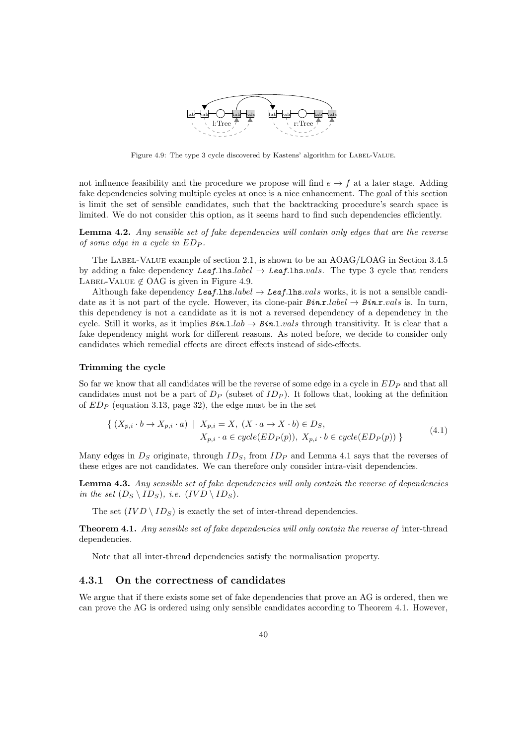

Figure 4.9: The type 3 cycle discovered by Kastens' algorithm for LABEL-VALUE.

not influence feasibility and the procedure we propose will find  $e \rightarrow f$  at a later stage. Adding fake dependencies solving multiple cycles at once is a nice enhancement. The goal of this section is limit the set of sensible candidates, such that the backtracking procedure's search space is limited. We do not consider this option, as it seems hard to find such dependencies efficiently.

Lemma 4.2. Any sensible set of fake dependencies will contain only edges that are the reverse of some edge in a cycle in  $ED_P$ .

The Label-Value example of section 2.1, is shown to be an AOAG/LOAG in Section 3.4.5 by adding a fake dependency Leaf.lhs.label  $\rightarrow$  Leaf.lhs.vals. The type 3 cycle that renders LABEL-VALUE  $\notin$  OAG is given in Figure 4.9.

Although fake dependency Leaf.lhs.label  $\rightarrow$  Leaf.lhs.vals works, it is not a sensible candidate as it is not part of the cycle. However, its clone-pair  $B$ in.r.*label*  $\rightarrow$   $B$ in.r.*vals* is. In turn, this dependency is not a candidate as it is not a reversed dependency of a dependency in the cycle. Still it works, as it implies  $Bin.1.lab \rightarrow Bin.1.vals$  through transitivity. It is clear that a fake dependency might work for different reasons. As noted before, we decide to consider only candidates which remedial effects are direct effects instead of side-effects.

#### Trimming the cycle

So far we know that all candidates will be the reverse of some edge in a cycle in  $ED_P$  and that all candidates must not be a part of  $D_P$  (subset of  $ID_P$ ). It follows that, looking at the definition of  $ED_P$  (equation 3.13, page 32), the edge must be in the set

$$
\{ (X_{p,i} \cdot b \to X_{p,i} \cdot a) \mid X_{p,i} = X, (X \cdot a \to X \cdot b) \in D_S, X_{p,i} \cdot a \in cycle(ED_P(p)), X_{p,i} \cdot b \in cycle(ED_P(p)) \}
$$
\n
$$
(4.1)
$$

Many edges in  $D<sub>S</sub>$  originate, through  $ID<sub>S</sub>$ , from  $ID<sub>P</sub>$  and Lemma 4.1 says that the reverses of these edges are not candidates. We can therefore only consider intra-visit dependencies.

Lemma 4.3. Any sensible set of fake dependencies will only contain the reverse of dependencies in the set  $(D_S \setminus ID_S)$ , i.e.  $(IVD \setminus ID_S)$ .

The set  $(IVD \setminus ID_S)$  is exactly the set of inter-thread dependencies.

**Theorem 4.1.** Any sensible set of fake dependencies will only contain the reverse of inter-thread dependencies.

Note that all inter-thread dependencies satisfy the normalisation property.

#### 4.3.1 On the correctness of candidates

We argue that if there exists some set of fake dependencies that prove an AG is ordered, then we can prove the AG is ordered using only sensible candidates according to Theorem 4.1. However,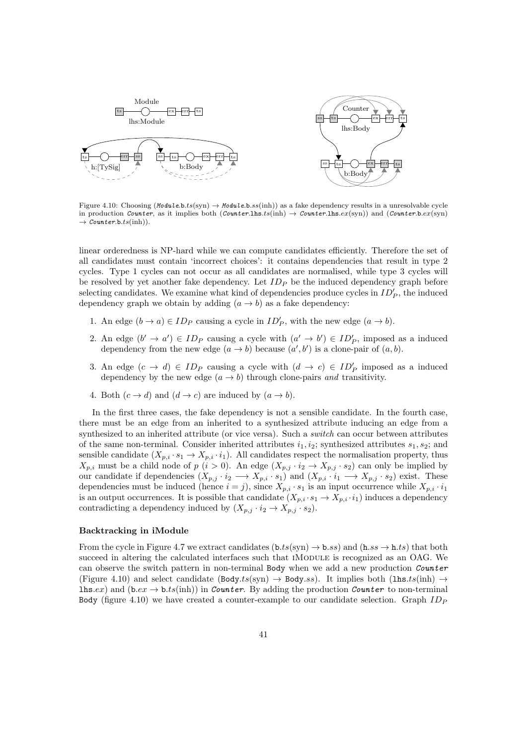

Figure 4.10: Choosing  $(Module.b.ts(\text{syn}) \rightarrow Module.b:ss(\text{inh}))$  as a fake dependency results in a unresolvable cycle in production Counter, as it implies both (Counter.lhs.ts(inh)  $\rightarrow$  Counter.lhs.ex(syn)) and (Counter.b.ex(syn)  $\rightarrow$  Counter.b.ts(inh)).

linear orderedness is NP-hard while we can compute candidates efficiently. Therefore the set of all candidates must contain 'incorrect choices': it contains dependencies that result in type 2 cycles. Type 1 cycles can not occur as all candidates are normalised, while type 3 cycles will be resolved by yet another fake dependency. Let  $ID_P$  be the induced dependency graph before selecting candidates. We examine what kind of dependencies produce cycles in  $ID'_P$ , the induced dependency graph we obtain by adding  $(a \rightarrow b)$  as a fake dependency:

- 1. An edge  $(b \to a) \in ID_P$  causing a cycle in  $ID'_P$ , with the new edge  $(a \to b)$ .
- 2. An edge  $(b' \rightarrow a') \in ID_P$  causing a cycle with  $(a' \rightarrow b') \in ID_P'$ , imposed as a induced dependency from the new edge  $(a \rightarrow b)$  because  $(a', b')$  is a clone-pair of  $(a, b)$ .
- 3. An edge  $(c \to d) \in ID_P$  causing a cycle with  $(d \to c) \in ID_P'$  imposed as a induced dependency by the new edge  $(a \rightarrow b)$  through clone-pairs and transitivity.
- 4. Both  $(c \rightarrow d)$  and  $(d \rightarrow c)$  are induced by  $(a \rightarrow b)$ .

In the first three cases, the fake dependency is not a sensible candidate. In the fourth case, there must be an edge from an inherited to a synthesized attribute inducing an edge from a synthesized to an inherited attribute (or vice versa). Such a *switch* can occur between attributes of the same non-terminal. Consider inherited attributes  $i_1, i_2$ ; synthesized attributes  $s_1, s_2$ ; and sensible candidate  $(X_{p,i} \cdot s_1 \to X_{p,i} \cdot i_1)$ . All candidates respect the normalisation property, thus  $X_{p,i}$  must be a child node of  $p$   $(i > 0)$ . An edge  $(X_{p,j} \cdot i_2 \to X_{p,j} \cdot s_2)$  can only be implied by our candidate if dependencies  $(X_{p,j} \cdot i_2 \longrightarrow X_{p,i} \cdot s_1)$  and  $(X_{p,i} \cdot i_1 \longrightarrow X_{p,j} \cdot s_2)$  exist. These dependencies must be induced (hence  $i = j$ ), since  $X_{p,i} \cdot s_1$  is an input occurrence while  $X_{p,i} \cdot i_1$ is an output occurrences. It is possible that candidate  $(X_{p,i} \cdot s_1 \to X_{p,i} \cdot i_1)$  induces a dependency contradicting a dependency induced by  $(X_{p,j} \cdot i_2 \to X_{p,j} \cdot s_2)$ .

#### Backtracking in iModule

From the cycle in Figure 4.7 we extract candidates  $(b.ts(syn) \rightarrow b.ss)$  and  $(h.s \rightarrow h.ts)$  that both succeed in altering the calculated interfaces such that IMODULE is recognized as an OAG. We can observe the switch pattern in non-terminal Body when we add a new production *Counter* (Figure 4.10) and select candidate (Body.ts(syn)  $\rightarrow$  Body.ss). It implies both (lhs.ts(inh)  $\rightarrow$ **lhs.**ex) and  $(bex \rightarrow b.ts(\text{inh}))$  in *Counter*. By adding the production *Counter* to non-terminal Body (figure 4.10) we have created a counter-example to our candidate selection. Graph  $ID_P$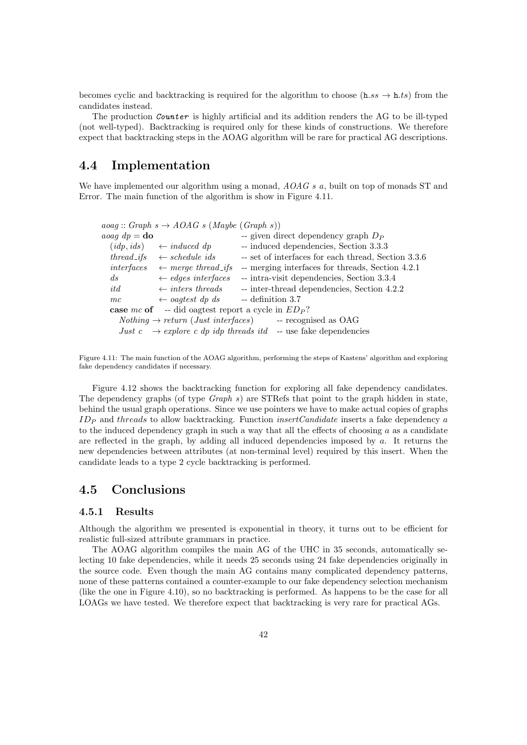becomes cyclic and backtracking is required for the algorithm to choose (h.ss  $\rightarrow$  h.ts) from the candidates instead.

The production *Counter* is highly artificial and its addition renders the AG to be ill-typed (not well-typed). Backtracking is required only for these kinds of constructions. We therefore expect that backtracking steps in the AOAG algorithm will be rare for practical AG descriptions.

# 4.4 Implementation

We have implemented our algorithm using a monad,  $AOAG s a$ , built on top of monads ST and Error. The main function of the algorithm is show in Figure 4.11.

 $a o a g :: Graph \, s \rightarrow AOAG \, s \, (Maybe \, (Graph \, s))$  $a\text{ }a\text{ }a\text{ }a\text{ }b\text{ }b\text{ }b\text{ }b$  -- given direct dependency graph  $D_P$  $(idp, ids) \leftarrow induced \, dp$  -- induced dependencies, Section 3.3.3 thread if  $s \leftarrow$  schedule ids -- set of interfaces for each thread, Section 3.3.6 interfaces  $\leftarrow$  merge thread ifs -- merging interfaces for threads, Section 4.2.1 ds  $\leftarrow$  edges interfaces -- intra-visit dependencies, Section 3.3.4  $it\ d\ \leftarrow inters\ threads$  -- inter-thread dependencies, Section 4.2.2  $mc \leftarrow oaqtest dp ds$  -- definition 3.7 case mc of -- did oagtest report a cycle in  $ED_P$ ?  $Nothing \rightarrow return (Just interfaces)$  -- recognised as OAG Just c  $\rightarrow$  explore c dp idp threads itd -- use fake dependencies

Figure 4.11: The main function of the AOAG algorithm, performing the steps of Kastens' algorithm and exploring fake dependency candidates if necessary.

Figure 4.12 shows the backtracking function for exploring all fake dependency candidates. The dependency graphs (of type Graph s) are STRefs that point to the graph hidden in state, behind the usual graph operations. Since we use pointers we have to make actual copies of graphs  $ID<sub>P</sub>$  and threads to allow backtracking. Function *insertCandidate* inserts a fake dependency a to the induced dependency graph in such a way that all the effects of choosing  $a$  as a candidate are reflected in the graph, by adding all induced dependencies imposed by  $a$ . It returns the new dependencies between attributes (at non-terminal level) required by this insert. When the candidate leads to a type 2 cycle backtracking is performed.

# 4.5 Conclusions

#### 4.5.1 Results

Although the algorithm we presented is exponential in theory, it turns out to be efficient for realistic full-sized attribute grammars in practice.

The AOAG algorithm compiles the main AG of the UHC in 35 seconds, automatically selecting 10 fake dependencies, while it needs 25 seconds using 24 fake dependencies originally in the source code. Even though the main AG contains many complicated dependency patterns, none of these patterns contained a counter-example to our fake dependency selection mechanism (like the one in Figure 4.10), so no backtracking is performed. As happens to be the case for all LOAGs we have tested. We therefore expect that backtracking is very rare for practical AGs.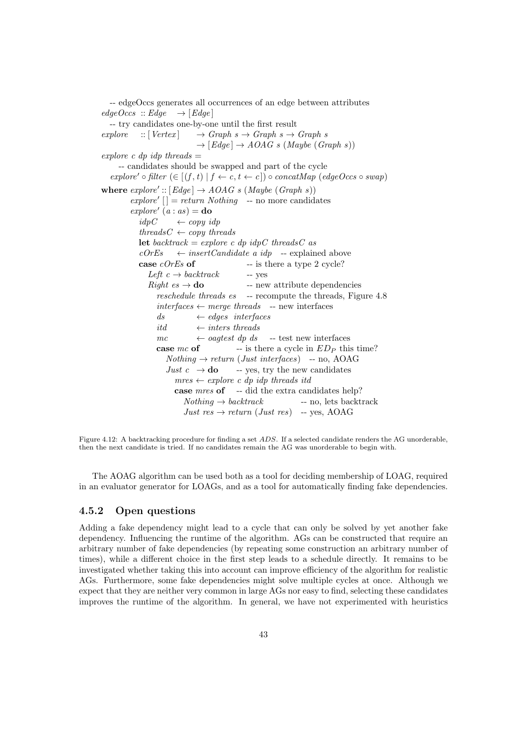-- edgeOccs generates all occurrences of an edge between attributes  $edgeOccs :: Edge \rightarrow [Edge]$ -- try candidates one-by-one until the first result explore  $::[Vertex] \rightarrow Graph \ s \rightarrow Graph \ s \rightarrow Graph \ s$  $\rightarrow$  [Edge]  $\rightarrow$  AOAG s (Maybe (Graph s)) explore c dp idp threads  $=$ -- candidates should be swapped and part of the cycle explore' ◦ filter  $(∈ [(f, t) | f ← c, t ← c]) ∘ concatMap (edgeOcc ∘ swap)$ where  $\text{explore}' :: [\text{Edge}] \rightarrow \text{AOAG} \ s \ (\text{Mapb} \ (\text{Graph} \ s))$  $explore' [] = return Nothing - no more candidates$  $explore' (a : as) =$ **do**  $idpC \leftarrow copu \, idp$ threads  $C \leftarrow copy \ threads$ let backtrack = explore c dp idpC threadsC as  $cOrEs \leftarrow insertC and date \ a \ idv \leftarrow explained \ above$ case  $cOrEs$  of  $-$  is there a type 2 cycle? Left  $c \rightarrow backtrack$  -- yes  $Right \thinspace es \to \textbf{do}$  -- new attribute dependencies reschedule threads es -- recompute the threads, Figure 4.8  $interfaces \leftarrow merge\ threads$  -- new interfaces  $ds \leftrightarrow edges \$ itd  $\leftarrow$  inters threads  $mc \leftarrow oagtest dp ds$  -- test new interfaces **case**  $mc$  **of**  $-$  is there a cycle in  $ED_P$  this time?  $Nothing \rightarrow return (Just interfaces) - no, AOAG$ Just  $c \rightarrow$  do -- yes, try the new candidates  $mres \leftarrow explore \ c \ dp \ idp \ threads \ itd$ case mres of -- did the extra candidates help?  $Nothing \rightarrow backtrack$  -- no, lets backtrack Just  $res \rightarrow return (Just res)$  -- yes, AOAG

Figure 4.12: A backtracking procedure for finding a set ADS. If a selected candidate renders the AG unorderable, then the next candidate is tried. If no candidates remain the AG was unorderable to begin with.

The AOAG algorithm can be used both as a tool for deciding membership of LOAG, required in an evaluator generator for LOAGs, and as a tool for automatically finding fake dependencies.

#### 4.5.2 Open questions

Adding a fake dependency might lead to a cycle that can only be solved by yet another fake dependency. Influencing the runtime of the algorithm. AGs can be constructed that require an arbitrary number of fake dependencies (by repeating some construction an arbitrary number of times), while a different choice in the first step leads to a schedule directly. It remains to be investigated whether taking this into account can improve efficiency of the algorithm for realistic AGs. Furthermore, some fake dependencies might solve multiple cycles at once. Although we expect that they are neither very common in large AGs nor easy to find, selecting these candidates improves the runtime of the algorithm. In general, we have not experimented with heuristics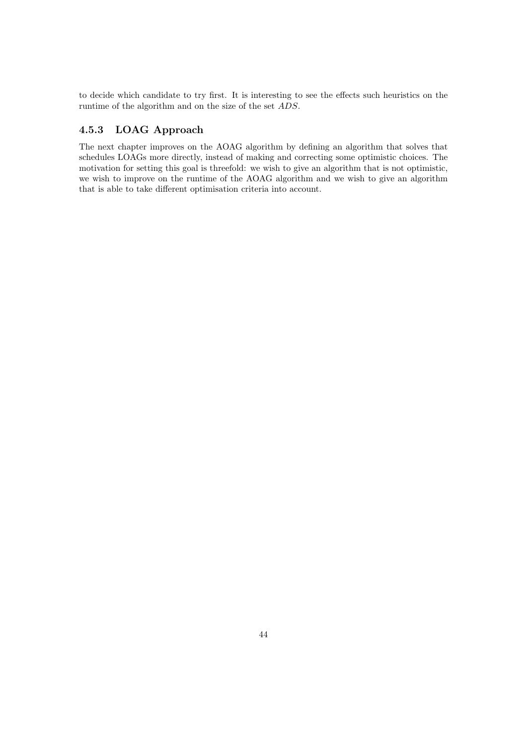to decide which candidate to try first. It is interesting to see the effects such heuristics on the runtime of the algorithm and on the size of the set ADS.

#### 4.5.3 LOAG Approach

The next chapter improves on the AOAG algorithm by defining an algorithm that solves that schedules LOAGs more directly, instead of making and correcting some optimistic choices. The motivation for setting this goal is threefold: we wish to give an algorithm that is not optimistic, we wish to improve on the runtime of the AOAG algorithm and we wish to give an algorithm that is able to take different optimisation criteria into account.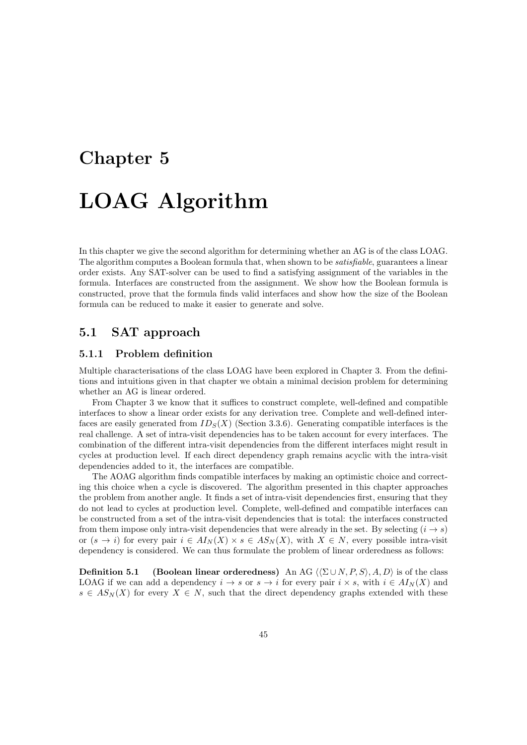# Chapter 5 LOAG Algorithm

In this chapter we give the second algorithm for determining whether an AG is of the class LOAG. The algorithm computes a Boolean formula that, when shown to be *satisfiable*, guarantees a linear order exists. Any SAT-solver can be used to find a satisfying assignment of the variables in the formula. Interfaces are constructed from the assignment. We show how the Boolean formula is constructed, prove that the formula finds valid interfaces and show how the size of the Boolean formula can be reduced to make it easier to generate and solve.

# 5.1 SAT approach

#### 5.1.1 Problem definition

Multiple characterisations of the class LOAG have been explored in Chapter 3. From the definitions and intuitions given in that chapter we obtain a minimal decision problem for determining whether an AG is linear ordered.

From Chapter 3 we know that it suffices to construct complete, well-defined and compatible interfaces to show a linear order exists for any derivation tree. Complete and well-defined interfaces are easily generated from  $ID_S(X)$  (Section 3.3.6). Generating compatible interfaces is the real challenge. A set of intra-visit dependencies has to be taken account for every interfaces. The combination of the different intra-visit dependencies from the different interfaces might result in cycles at production level. If each direct dependency graph remains acyclic with the intra-visit dependencies added to it, the interfaces are compatible.

The AOAG algorithm finds compatible interfaces by making an optimistic choice and correcting this choice when a cycle is discovered. The algorithm presented in this chapter approaches the problem from another angle. It finds a set of intra-visit dependencies first, ensuring that they do not lead to cycles at production level. Complete, well-defined and compatible interfaces can be constructed from a set of the intra-visit dependencies that is total: the interfaces constructed from them impose only intra-visit dependencies that were already in the set. By selecting  $(i \rightarrow s)$ or  $(s \to i)$  for every pair  $i \in A I_N(X) \times s \in AS_N(X)$ , with  $X \in N$ , every possible intra-visit dependency is considered. We can thus formulate the problem of linear orderedness as follows:

**Definition 5.1** (Boolean linear orderedness) An AG  $\langle \sum \cup N, P, S \rangle$ , A, D) is of the class LOAG if we can add a dependency  $i \to s$  or  $s \to i$  for every pair  $i \times s$ , with  $i \in AI_N(X)$  and  $s \in AS_N(X)$  for every  $X \in N$ , such that the direct dependency graphs extended with these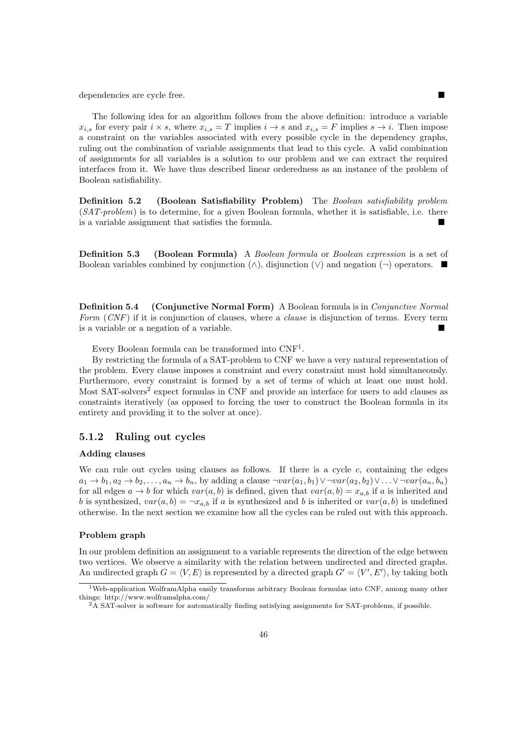dependencies are cycle free.

The following idea for an algorithm follows from the above definition: introduce a variable  $x_{i,s}$  for every pair  $i \times s$ , where  $x_{i,s} = T$  implies  $i \to s$  and  $x_{i,s} = F$  implies  $s \to i$ . Then impose a constraint on the variables associated with every possible cycle in the dependency graphs, ruling out the combination of variable assignments that lead to this cycle. A valid combination of assignments for all variables is a solution to our problem and we can extract the required interfaces from it. We have thus described linear orderedness as an instance of the problem of Boolean satisfiability.

Definition 5.2 (Boolean Satisfiability Problem) The Boolean satisfiability problem (SAT-problem) is to determine, for a given Boolean formula, whether it is satisfiable, i.e. there is a variable assignment that satisfies the formula.

**Definition 5.3** (Boolean Formula) A Boolean formula or Boolean expression is a set of Boolean variables combined by conjunction  $(\wedge)$ , disjunction  $(\vee)$  and negation  $(\neg)$  operators.

**Definition 5.4** (Conjunctive Normal Form) A Boolean formula is in *Conjunctive Normal* Form (CNF) if it is conjunction of clauses, where a *clause* is disjunction of terms. Every term is a variable or a negation of a variable.

Every Boolean formula can be transformed into  $CNF<sup>1</sup>$ .

By restricting the formula of a SAT-problem to CNF we have a very natural representation of the problem. Every clause imposes a constraint and every constraint must hold simultaneously. Furthermore, every constraint is formed by a set of terms of which at least one must hold. Most SAT-solvers<sup>2</sup> expect formulas in CNF and provide an interface for users to add clauses as constraints iteratively (as opposed to forcing the user to construct the Boolean formula in its entirety and providing it to the solver at once).

#### 5.1.2 Ruling out cycles

#### Adding clauses

We can rule out cycles using clauses as follows. If there is a cycle  $c$ , containing the edges  $a_1 \rightarrow b_1, a_2 \rightarrow b_2, \ldots, a_n \rightarrow b_n$ , by adding a clause  $\neg var(a_1, b_1) \vee \neg var(a_2, b_2) \vee \ldots \vee \neg var(a_n, b_n)$ for all edges  $a \to b$  for which  $var(a, b)$  is defined, given that  $var(a, b) = x_{a,b}$  if a is inherited and b is synthesized,  $var(a, b) = \neg x_{a,b}$  if a is synthesized and b is inherited or  $var(a, b)$  is undefined otherwise. In the next section we examine how all the cycles can be ruled out with this approach.

#### Problem graph

In our problem definition an assignment to a variable represents the direction of the edge between two vertices. We observe a similarity with the relation between undirected and directed graphs. An undirected graph  $G = \langle V, E \rangle$  is represented by a directed graph  $G' = \langle V', E' \rangle$ , by taking both

<sup>1</sup>Web-application WolframAlpha easily transforms arbitrary Boolean formulas into CNF, among many other things: http://www.wolframalpha.com/

 ${}^{2}$ A SAT-solver is software for automatically finding satisfying assignments for SAT-problems, if possible.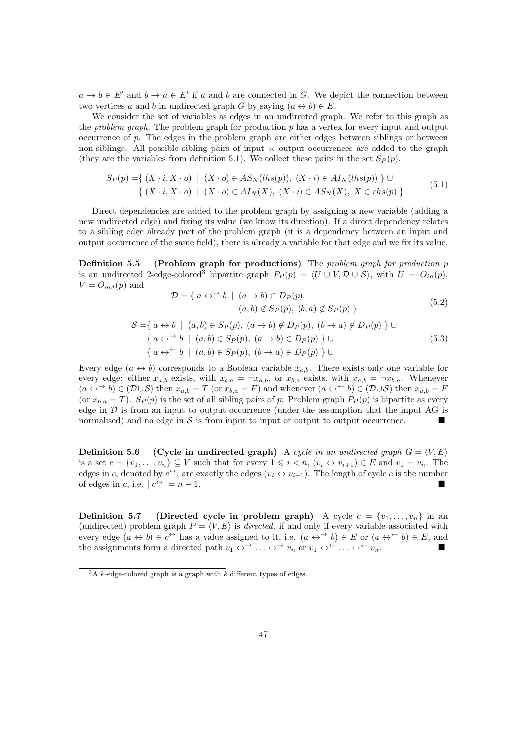$a \to b \in E'$  and  $b \to a \in E'$  if a and b are connected in G. We depict the connection between two vertices a and b in undirected graph G by saying  $(a \leftrightarrow b) \in E$ .

We consider the set of variables as edges in an undirected graph. We refer to this graph as the *problem graph*. The problem graph for production  $p$  has a vertex for every input and output occurrence of  $p$ . The edges in the problem graph are either edges between siblings or between non-siblings. All possible sibling pairs of input  $\times$  output occurrences are added to the graph (they are the variables from definition 5.1). We collect these pairs in the set  $S_P(p)$ .

$$
S_P(p) = \{ (X \cdot i, X \cdot o) \mid (X \cdot o) \in AS_N(lhs(p)), (X \cdot i) \in AI_N(lhs(p)) \} \cup \{ (X \cdot i, X \cdot o) \mid (X \cdot o) \in AI_N(X), (X \cdot i) \in AS_N(X), X \in rhs(p) \}
$$
\n
$$
(5.1)
$$

Direct dependencies are added to the problem graph by assigning a new variable (adding a new undirected edge) and fixing its value (we know its direction). If a direct dependency relates to a sibling edge already part of the problem graph (it is a dependency between an input and output occurrence of the same field), there is already a variable for that edge and we fix its value.

Definition 5.5 (Problem graph for productions) The problem graph for production p is an undirected 2-edge-colored<sup>3</sup> bipartite graph  $P_P(p) = \langle U \cup V, \mathcal{D} \cup \mathcal{S} \rangle$ , with  $U = O_{in}(p)$ ,  $V = O_{out}(p)$  and  $\Rightarrow$   $1 \mid (a \cdot b) \in D$ 

$$
D = \{ a \leftrightarrow 'b \mid (a \rightarrow b) \in D_P(p),
$$
  
\n
$$
(a, b) \notin S_P(p), (b, a) \notin S_P(p) \}
$$
  
\n
$$
S = \{ a \leftrightarrow b \mid (a, b) \in S_P(p), (a \rightarrow b) \notin D_P(p), (b \rightarrow a) \notin D_P(p) \} \cup
$$
  
\n
$$
\{ a \leftrightarrow^{\rightarrow} b \mid (a, b) \in S_P(p), (a \rightarrow b) \in D_P(p) \} \cup
$$
  
\n
$$
\{ a \leftrightarrow^{\leftarrow} b \mid (a, b) \in S_P(p), (b \rightarrow a) \in D_P(p) \} \cup
$$
  
\n
$$
(5.3)
$$

Every edge  $(a \leftrightarrow b)$  corresponds to a Boolean variable  $x_{a,b}$ . There exists only one variable for every edge: either  $x_{a,b}$  exists, with  $x_{b,a} = -x_{a,b}$ , or  $x_{b,a}$  exists, with  $x_{a,b} = -x_{b,a}$ . Whenever  $(a \leftrightarrow \rightarrow b) \in (\mathcal{D} \cup \mathcal{S})$  then  $x_{a,b} = T$  (or  $x_{b,a} = F$ ) and whenever  $(a \leftrightarrow \rightarrow b) \in (\mathcal{D} \cup \mathcal{S})$  then  $x_{a,b} = F$ (or  $x_{b,a} = T$ ).  $S_P(p)$  is the set of all sibling pairs of p: Problem graph  $P_P(p)$  is bipartite as every edge in  $D$  is from an input to output occurrence (under the assumption that the input AG is normalised) and no edge in  $S$  is from input to input or output to output occurrence.

**Definition 5.6** (Cycle in undirected graph) A cycle in an undirected graph  $G = \langle V, E \rangle$ is a set  $c = \{v_1, \ldots, v_n\} \subseteq V$  such that for every  $1 \leq i \leq n$ ,  $(v_i \leftrightarrow v_{i+1}) \in E$  and  $v_1 = v_n$ . The edges in c, denoted by  $c^{\leftrightarrow}$ , are exactly the edges  $(v_i \leftrightarrow v_{i+1})$ . The length of cycle c is the number of edges in c, i.e.  $|c^{\leftrightarrow}| = n - 1$ .

**Definition 5.7** (Directed cycle in problem graph) A cycle  $c = \{v_1, \ldots, v_n\}$  in an (undirected) problem graph  $P = \langle V, E \rangle$  is directed, if and only if every variable associated with every edge  $(a \leftrightarrow b) \in c^{\leftrightarrow}$  has a value assigned to it, i.e.  $(a \leftrightarrow^{\rightarrow} b) \in E$  or  $(a \leftrightarrow^{\leftarrow} b) \in E$ , and the assignments form a directed path  $v_1 \leftrightarrow^{\rightarrow} \dots \leftrightarrow^{\rightarrow} v_n$  or  $v_1 \leftrightarrow^{\leftarrow} \dots \leftrightarrow^{\leftarrow} v_n$ .

 $3A$  k-edge-colored graph is a graph with k different types of edges.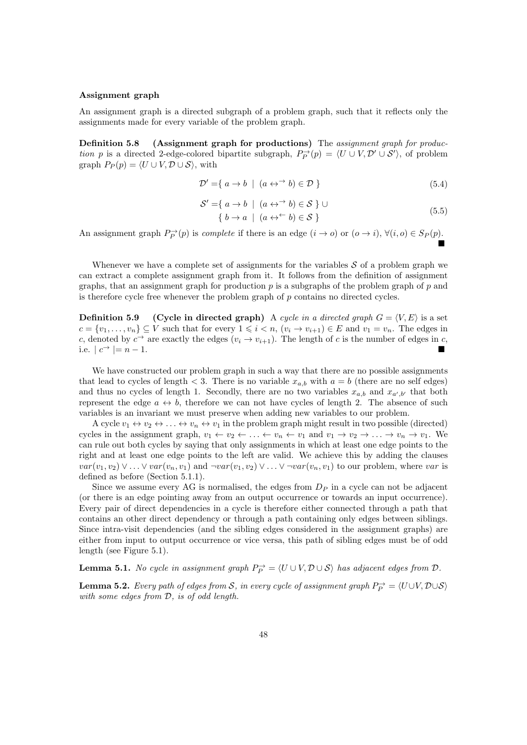#### Assignment graph

An assignment graph is a directed subgraph of a problem graph, such that it reflects only the assignments made for every variable of the problem graph.

Definition 5.8 (Assignment graph for productions) The assignment graph for production p is a directed 2-edge-colored bipartite subgraph,  $P_P^{\rightarrow}(p) = \langle U \cup V, \mathcal{D}' \cup \mathcal{S}' \rangle$ , of problem graph  $P_P(p) = \langle U \cup V, \mathcal{D} \cup \mathcal{S} \rangle$ , with

$$
\mathcal{D}' = \{ a \to b \mid (a \leftrightarrow^{\rightarrow} b) \in \mathcal{D} \}
$$
\n
$$
(5.4)
$$

$$
\mathcal{S}' = \{ a \to b \mid (a \leftrightarrow^{\rightarrow} b) \in \mathcal{S} \} \cup
$$
  

$$
\{ b \to a \mid (a \leftrightarrow^{\leftarrow} b) \in \mathcal{S} \}
$$
 (5.5)

An assignment graph  $P_P^{\rightarrow}(p)$  is *complete* if there is an edge  $(i \to o)$  or  $(o \to i)$ ,  $\forall (i, o) \in S_P(p)$ . Ë

Whenever we have a complete set of assignments for the variables  $S$  of a problem graph we can extract a complete assignment graph from it. It follows from the definition of assignment graphs, that an assignment graph for production  $p$  is a subgraphs of the problem graph of  $p$  and is therefore cycle free whenever the problem graph of p contains no directed cycles.

**Definition 5.9** (Cycle in directed graph) A cycle in a directed graph  $G = \langle V, E \rangle$  is a set  $c = \{v_1, \ldots, v_n\} \subseteq V$  such that for every  $1 \leq i \leq n$ ,  $(v_i \to v_{i+1}) \in E$  and  $v_1 = v_n$ . The edges in c, denoted by  $c^{\rightarrow}$  are exactly the edges  $(v_i \rightarrow v_{i+1})$ . The length of c is the number of edges in c, i.e.  $|c^{\rightarrow}| = n - 1$ .

We have constructed our problem graph in such a way that there are no possible assignments that lead to cycles of length  $\langle 3.5 \rangle$  There is no variable  $x_{a,b}$  with  $a = b$  (there are no self edges) and thus no cycles of length 1. Secondly, there are no two variables  $x_{a,b}$  and  $x_{a',b'}$  that both represent the edge  $a \leftrightarrow b$ , therefore we can not have cycles of length 2. The absence of such variables is an invariant we must preserve when adding new variables to our problem.

A cycle  $v_1 \leftrightarrow v_2 \leftrightarrow \dots \leftrightarrow v_n \leftrightarrow v_1$  in the problem graph might result in two possible (directed) cycles in the assignment graph,  $v_1 \leftarrow v_2 \leftarrow \ldots \leftarrow v_n \leftarrow v_1$  and  $v_1 \rightarrow v_2 \rightarrow \ldots \rightarrow v_n \rightarrow v_1$ . We can rule out both cycles by saying that only assignments in which at least one edge points to the right and at least one edge points to the left are valid. We achieve this by adding the clauses  $var(v_1, v_2) \vee \ldots \vee var(v_n, v_1)$  and  $\neg var(v_1, v_2) \vee \ldots \vee \neg var(v_n, v_1)$  to our problem, where var is defined as before (Section 5.1.1).

Since we assume every AG is normalised, the edges from  $D<sub>P</sub>$  in a cycle can not be adjacent (or there is an edge pointing away from an output occurrence or towards an input occurrence). Every pair of direct dependencies in a cycle is therefore either connected through a path that contains an other direct dependency or through a path containing only edges between siblings. Since intra-visit dependencies (and the sibling edges considered in the assignment graphs) are either from input to output occurrence or vice versa, this path of sibling edges must be of odd length (see Figure 5.1).

**Lemma 5.1.** No cycle in assignment graph  $P_P^{\rightarrow} = \langle U \cup V, D \cup S \rangle$  has adjacent edges from  $D$ .

**Lemma 5.2.** Every path of edges from S, in every cycle of assignment graph  $P_P^{\rightarrow} = \langle U \cup V, D \cup S \rangle$ with some edges from  $D$ , is of odd length.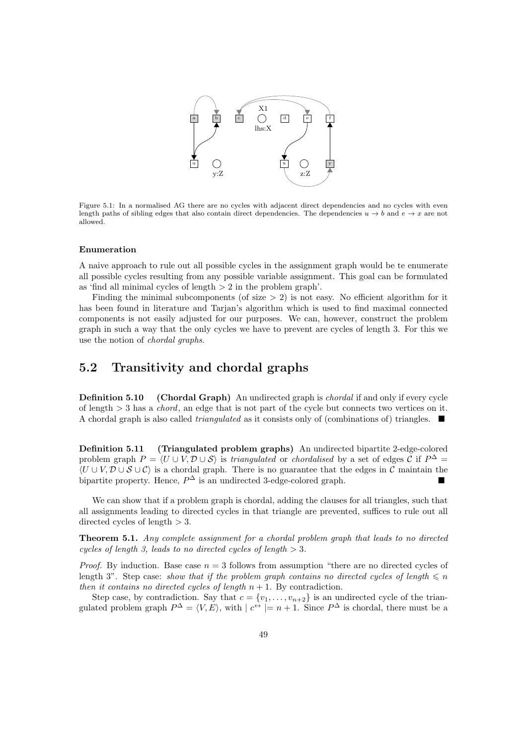

Figure 5.1: In a normalised AG there are no cycles with adjacent direct dependencies and no cycles with even length paths of sibling edges that also contain direct dependencies. The dependencies  $u \to b$  and  $e \to x$  are not allowed.

#### Enumeration

A naive approach to rule out all possible cycles in the assignment graph would be te enumerate all possible cycles resulting from any possible variable assignment. This goal can be formulated as 'find all minimal cycles of length  $> 2$  in the problem graph'.

Finding the minimal subcomponents (of size  $> 2$ ) is not easy. No efficient algorithm for it has been found in literature and Tarjan's algorithm which is used to find maximal connected components is not easily adjusted for our purposes. We can, however, construct the problem graph in such a way that the only cycles we have to prevent are cycles of length 3. For this we use the notion of chordal graphs.

# 5.2 Transitivity and chordal graphs

**Definition 5.10** (Chordal Graph) An undirected graph is *chordal* if and only if every cycle of length  $> 3$  has a *chord*, an edge that is not part of the cycle but connects two vertices on it. A chordal graph is also called *triangulated* as it consists only of (combinations of) triangles.  $\blacksquare$ 

Definition 5.11 (Triangulated problem graphs) An undirected bipartite 2-edge-colored problem graph  $P = \langle U \cup V, D \cup S \rangle$  is triangulated or chordalised by a set of edges C if  $P^{\Delta}$  $\langle U \cup V, \mathcal{D} \cup \mathcal{S} \cup \mathcal{C} \rangle$  is a chordal graph. There is no guarantee that the edges in C maintain the bipartite property. Hence,  $P^{\Delta}$  is an undirected 3-edge-colored graph.

We can show that if a problem graph is chordal, adding the clauses for all triangles, such that all assignments leading to directed cycles in that triangle are prevented, suffices to rule out all directed cycles of length  $> 3$ .

**Theorem 5.1.** Any complete assignment for a chordal problem graph that leads to no directed cycles of length 3, leads to no directed cycles of length  $> 3$ .

*Proof.* By induction. Base case  $n = 3$  follows from assumption "there are no directed cycles of length 3". Step case: show that if the problem graph contains no directed cycles of length  $\leq n$ then it contains no directed cycles of length  $n + 1$ . By contradiction.

Step case, by contradiction. Say that  $c = \{v_1, \ldots, v_{n+2}\}\$ is an undirected cycle of the triangulated problem graph  $P^{\Delta} = \langle V, E \rangle$ , with  $| c^{\leftrightarrow} | = n + 1$ . Since  $P^{\Delta}$  is chordal, there must be a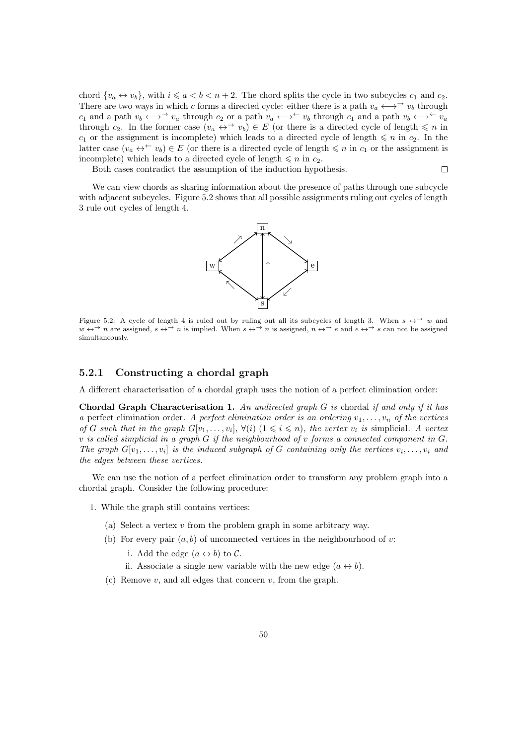chord  $\{v_a \leftrightarrow v_b\}$ , with  $i \leq a < b < n+2$ . The chord splits the cycle in two subcycles  $c_1$  and  $c_2$ . There are two ways in which c forms a directed cycle: either there is a path  $v_a \leftrightarrow v_b$  through  $c_1$  and a path  $v_b \leftrightarrow \rightarrow v_a$  through  $c_2$  or a path  $v_a \leftrightarrow \rightarrow v_b$  through  $c_1$  and a path  $v_b \leftrightarrow \rightarrow v_a$ through c<sub>2</sub>. In the former case  $(v_a \leftrightarrow^{\rightarrow} v_b) \in E$  (or there is a directed cycle of length  $\leq n$  in  $c_1$  or the assignment is incomplete) which leads to a directed cycle of length  $\leq n$  in  $c_2$ . In the latter case  $(v_a \leftrightarrow^{\leftarrow} v_b) \in E$  (or there is a directed cycle of length  $\leq n$  in  $c_1$  or the assignment is incomplete) which leads to a directed cycle of length  $\leq n$  in  $c_2$ .

Both cases contradict the assumption of the induction hypothesis.

 $\Box$ 

We can view chords as sharing information about the presence of paths through one subcycle with adjacent subcycles. Figure 5.2 shows that all possible assignments ruling out cycles of length 3 rule out cycles of length 4.



Figure 5.2: A cycle of length 4 is ruled out by ruling out all its subcycles of length 3. When  $s \leftrightarrow \rightarrow w$  and  $w \leftrightarrow^{\rightarrow} n$  are assigned,  $s \leftrightarrow^{\rightarrow} n$  is implied. When  $s \leftrightarrow^{\rightarrow} n$  is assigned,  $n \leftrightarrow^{\rightarrow} e$  and  $e \leftrightarrow^{\rightarrow} s$  can not be assigned simultaneously.

#### 5.2.1 Constructing a chordal graph

A different characterisation of a chordal graph uses the notion of a perfect elimination order:

Chordal Graph Characterisation 1. An undirected graph  $G$  is chordal if and only if it has a perfect elimination order. A perfect elimination order is an ordering  $v_1, \ldots, v_n$  of the vertices of G such that in the graph  $G[v_1, \ldots, v_i], \forall (i)$   $(1 \leq i \leq n)$ , the vertex  $v_i$  is simplicial. A vertex v is called simplicial in a graph  $G$  if the neighbourhood of v forms a connected component in  $G$ . The graph  $G[v_1, \ldots, v_i]$  is the induced subgraph of G containing only the vertices  $v_i, \ldots, v_i$  and the edges between these vertices.

We can use the notion of a perfect elimination order to transform any problem graph into a chordal graph. Consider the following procedure:

- 1. While the graph still contains vertices:
	- (a) Select a vertex v from the problem graph in some arbitrary way.
	- (b) For every pair  $(a, b)$  of unconnected vertices in the neighbourhood of v:

i. Add the edge  $(a \leftrightarrow b)$  to C.

ii. Associate a single new variable with the new edge  $(a \leftrightarrow b)$ .

(c) Remove  $v$ , and all edges that concern  $v$ , from the graph.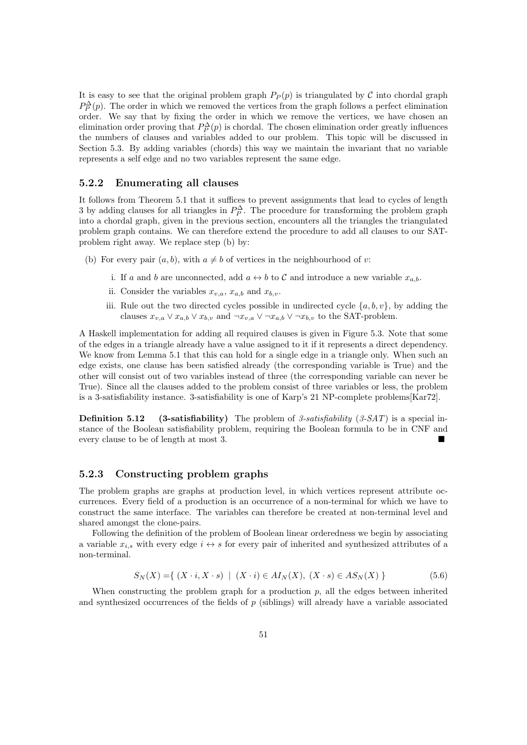It is easy to see that the original problem graph  $P_P(p)$  is triangulated by C into chordal graph  $P_P^{\Delta}(p)$ . The order in which we removed the vertices from the graph follows a perfect elimination order. We say that by fixing the order in which we remove the vertices, we have chosen an elimination order proving that  $P_P^{\Delta}(p)$  is chordal. The chosen elimination order greatly influences the numbers of clauses and variables added to our problem. This topic will be discussed in Section 5.3. By adding variables (chords) this way we maintain the invariant that no variable represents a self edge and no two variables represent the same edge.

#### 5.2.2 Enumerating all clauses

It follows from Theorem 5.1 that it suffices to prevent assignments that lead to cycles of length 3 by adding clauses for all triangles in  $P_P^{\Delta}$ . The procedure for transforming the problem graph into a chordal graph, given in the previous section, encounters all the triangles the triangulated problem graph contains. We can therefore extend the procedure to add all clauses to our SATproblem right away. We replace step (b) by:

- (b) For every pair  $(a, b)$ , with  $a \neq b$  of vertices in the neighbourhood of v:
	- i. If a and b are unconnected, add  $a \leftrightarrow b$  to C and introduce a new variable  $x_{a,b}$ .
	- ii. Consider the variables  $x_{v,a}$ ,  $x_{a,b}$  and  $x_{b,v}$ .
	- iii. Rule out the two directed cycles possible in undirected cycle  $\{a, b, v\}$ , by adding the clauses  $x_{v,a} \vee x_{a,b} \vee x_{b,v}$  and  $\neg x_{v,a} \vee \neg x_{a,b} \vee \neg x_{b,v}$  to the SAT-problem.

A Haskell implementation for adding all required clauses is given in Figure 5.3. Note that some of the edges in a triangle already have a value assigned to it if it represents a direct dependency. We know from Lemma 5.1 that this can hold for a single edge in a triangle only. When such an edge exists, one clause has been satisfied already (the corresponding variable is True) and the other will consist out of two variables instead of three (the corresponding variable can never be True). Since all the clauses added to the problem consist of three variables or less, the problem is a 3-satisfiability instance. 3-satisfiability is one of Karp's 21 NP-complete problems[Kar72].

**Definition 5.12** (3-satisfiability) The problem of 3-satisfiability  $(3-SAT)$  is a special instance of the Boolean satisfiability problem, requiring the Boolean formula to be in CNF and every clause to be of length at most 3.

#### 5.2.3 Constructing problem graphs

The problem graphs are graphs at production level, in which vertices represent attribute occurrences. Every field of a production is an occurrence of a non-terminal for which we have to construct the same interface. The variables can therefore be created at non-terminal level and shared amongst the clone-pairs.

Following the definition of the problem of Boolean linear orderedness we begin by associating a variable  $x_{i,s}$  with every edge  $i \leftrightarrow s$  for every pair of inherited and synthesized attributes of a non-terminal.

$$
S_N(X) = \{ (X \cdot i, X \cdot s) \mid (X \cdot i) \in A I_N(X), (X \cdot s) \in A S_N(X) \}
$$
(5.6)

When constructing the problem graph for a production  $p$ , all the edges between inherited and synthesized occurrences of the fields of  $p$  (siblings) will already have a variable associated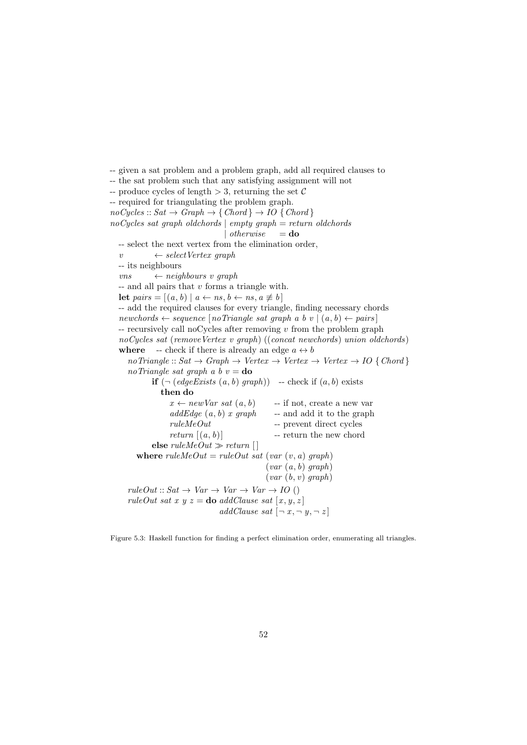```
-- given a sat problem and a problem graph, add all required clauses to
-- the sat problem such that any satisfying assignment will not
-- produce cycles of length > 3, returning the set C
-- required for triangulating the problem graph.
noCycles :: Sat \rightarrow Graph \rightarrow \{Chord\} \rightarrow IO \{Chord\}noCycles sat graph oldchords \vert empty graph = return oldchords
                                | otherwise = do
  -- select the next vertex from the elimination order,
  v \leftarrow selectVertex\ graph-- its neighbours
  vns \leftarrow neighbours \ v \ graph- and all pairs that v forms a triangle with.
  let pairs = [(a, b) | a \leftarrow ns, b \leftarrow ns, a \not\equiv b]-- add the required clauses for every triangle, finding necessary chords
  newchords ← sequence [noTriangle\ sat\ graph\ a\ b\ v\ |\ (a, b) \leftarrow pairs]- recursively call noCycles after removing v from the problem graph
  noCycles sat (removeVertex v graph) ((concat newchords) union oldchords)
  where -- check if there is already an edge a \leftrightarrow bnoTriangle::Sat \rightarrow Graph \rightarrow Vertex \rightarrow Vertex \rightarrow Vertex \rightarrow IO \{Chord\}noTriangle sat graph a b v =do
           if (\neg (edgeExists (a, b) graph)) -- check if (a, b) exists
              then do
                 x \leftarrow newVar\ sat\ (a, b) -- if not, create a new var
                 addEdge(a, b) x graph -- and add it to the graph
                 ruleMeOut -- prevent direct cycles
                 return (a, b) -- return the new chord
           else ruleMeOut \gg return []
       where ruleMeOut = ruleOut sat (var (v, a) graph)(var (a, b) graph)(var (b, v) graph)ruleOut::Sat \rightarrow Var \rightarrow Var \rightarrow Var \rightarrow IO ()
     ruleOut sat x y z = do addClause sat [x, y, z]addClause sat [\neg x, \neg y, \neg z]
```
Figure 5.3: Haskell function for finding a perfect elimination order, enumerating all triangles.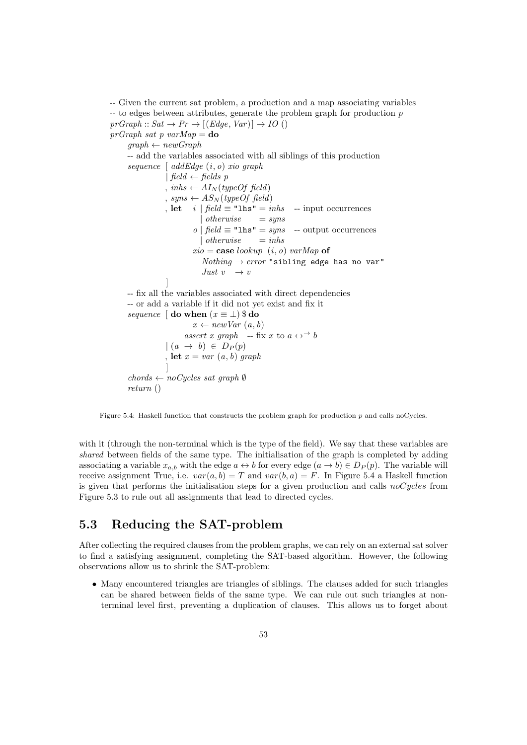-- Given the current sat problem, a production and a map associating variables  $-$  to edges between attributes, generate the problem graph for production p  $prGraph :: Sat \rightarrow Pr \rightarrow [(Edge, Var)] \rightarrow IO()$  $prGraph \; sat \; p \; varMap =$ **do**  $graph \leftarrow newGraph$ -- add the variables associated with all siblings of this production sequence  $\int \text{addEdge}(i, o) \text{ xio graph}$ | field  $\leftarrow$  fields p , inhs  $\leftarrow A I_N(typeOf\ field)$ , syns  $\leftarrow AS_N(typeOf\ field)$ , let *i*  $\int$  *field*  $\equiv$  "lhs" = *inhs* -- input occurrences | otherwise  $=$  syns o | field  $\equiv$  "lhs" = syns -- output occurrences | otherwise  $=$  inhs  $xio = \text{case}~lookup~(i, o)~varMap~of$  $Nothing \rightarrow error$  "sibling edge has no var" Just  $v \rightarrow v$ ] -- fix all the variables associated with direct dependencies -- or add a variable if it did not yet exist and fix it sequence  $\phi$  do when  $(x \equiv \bot)$  \$ do  $x \leftarrow newVar(a, b)$ assert x graph -- fix x to  $a \leftrightarrow^{\rightarrow} b$  $\mid (a \rightarrow b) \in D_P(p)$ , let  $x = var(a, b)$  graph ]  $chords \leftarrow noCycles \; sat \; graph \; \emptyset$ return ()

Figure 5.4: Haskell function that constructs the problem graph for production p and calls noCycles.

with it (through the non-terminal which is the type of the field). We say that these variables are shared between fields of the same type. The initialisation of the graph is completed by adding associating a variable  $x_{a,b}$  with the edge  $a \leftrightarrow b$  for every edge  $(a \to b) \in D_P(p)$ . The variable will receive assignment True, i.e.  $var(a, b) = T$  and  $var(b, a) = F$ . In Figure 5.4 a Haskell function is given that performs the initialisation steps for a given production and calls  $noCycles$  from Figure 5.3 to rule out all assignments that lead to directed cycles.

# 5.3 Reducing the SAT-problem

After collecting the required clauses from the problem graphs, we can rely on an external sat solver to find a satisfying assignment, completing the SAT-based algorithm. However, the following observations allow us to shrink the SAT-problem:

• Many encountered triangles are triangles of siblings. The clauses added for such triangles can be shared between fields of the same type. We can rule out such triangles at nonterminal level first, preventing a duplication of clauses. This allows us to forget about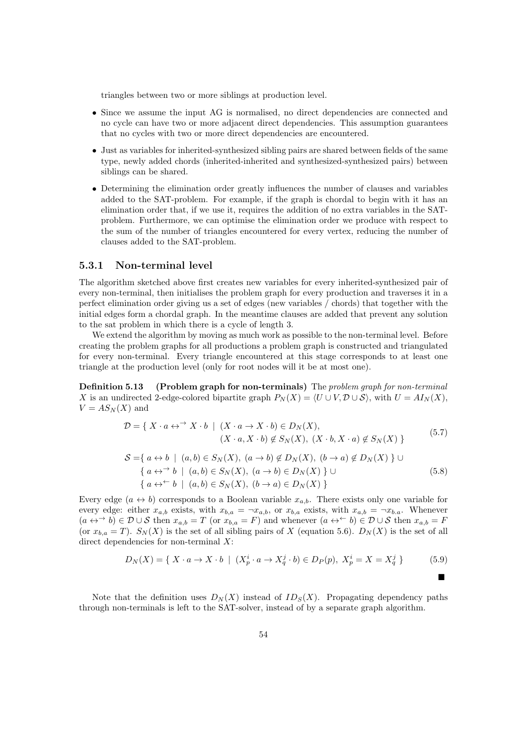triangles between two or more siblings at production level.

- Since we assume the input AG is normalised, no direct dependencies are connected and no cycle can have two or more adjacent direct dependencies. This assumption guarantees that no cycles with two or more direct dependencies are encountered.
- Just as variables for inherited-synthesized sibling pairs are shared between fields of the same type, newly added chords (inherited-inherited and synthesized-synthesized pairs) between siblings can be shared.
- Determining the elimination order greatly influences the number of clauses and variables added to the SAT-problem. For example, if the graph is chordal to begin with it has an elimination order that, if we use it, requires the addition of no extra variables in the SATproblem. Furthermore, we can optimise the elimination order we produce with respect to the sum of the number of triangles encountered for every vertex, reducing the number of clauses added to the SAT-problem.

#### 5.3.1 Non-terminal level

The algorithm sketched above first creates new variables for every inherited-synthesized pair of every non-terminal, then initialises the problem graph for every production and traverses it in a perfect elimination order giving us a set of edges (new variables / chords) that together with the initial edges form a chordal graph. In the meantime clauses are added that prevent any solution to the sat problem in which there is a cycle of length 3.

We extend the algorithm by moving as much work as possible to the non-terminal level. Before creating the problem graphs for all productions a problem graph is constructed and triangulated for every non-terminal. Every triangle encountered at this stage corresponds to at least one triangle at the production level (only for root nodes will it be at most one).

Definition 5.13 (Problem graph for non-terminals) The problem graph for non-terminal X is an undirected 2-edge-colored bipartite graph  $P_N(X) = \langle U \cup V, \mathcal{D} \cup \mathcal{S} \rangle$ , with  $U = A I_N(X)$ ,  $V = AS_N(X)$  and

$$
\mathcal{D} = \{ X \cdot a \leftrightarrow^{\rightarrow} X \cdot b \mid (X \cdot a \to X \cdot b) \in D_N(X),
$$
  

$$
(X \cdot a, X \cdot b) \notin S_N(X), (X \cdot b, X \cdot a) \notin S_N(X) \}
$$
  
(5.7)

$$
S = \{ a \leftrightarrow b \mid (a, b) \in S_N(X), (a \to b) \notin D_N(X), (b \to a) \notin D_N(X) \} \cup
$$
  

$$
\{ a \leftrightarrow\rightarrow b \mid (a, b) \in S_N(X), (a \to b) \in D_N(X) \} \cup
$$
  

$$
\{ a \leftrightarrow\leftarrow b \mid (a, b) \in S_N(X), (b \to a) \in D_N(X) \}
$$
  
(5.8)

Every edge  $(a \leftrightarrow b)$  corresponds to a Boolean variable  $x_{a,b}$ . There exists only one variable for every edge: either  $x_{a,b}$  exists, with  $x_{b,a} = \neg x_{a,b}$ , or  $x_{b,a}$  exists, with  $x_{a,b} = \neg x_{b,a}$ . Whenever  $(a \leftrightarrow \rightarrow b) \in \mathcal{D} \cup \mathcal{S}$  then  $x_{a,b} = T$  (or  $x_{b,a} = F$ ) and whenever  $(a \leftrightarrow \rightarrow b) \in \mathcal{D} \cup \mathcal{S}$  then  $x_{a,b} = F$ (or  $x_{b,a} = T$ ).  $S_N(X)$  is the set of all sibling pairs of X (equation 5.6).  $D_N(X)$  is the set of all direct dependencies for non-terminal  $X$ :

$$
D_N(X) = \{ X \cdot a \to X \cdot b \mid (X_p^i \cdot a \to X_q^j \cdot b) \in D_P(p), X_p^i = X = X_q^j \}
$$
(5.9)

п

Note that the definition uses  $D_N(X)$  instead of  $ID_S(X)$ . Propagating dependency paths through non-terminals is left to the SAT-solver, instead of by a separate graph algorithm.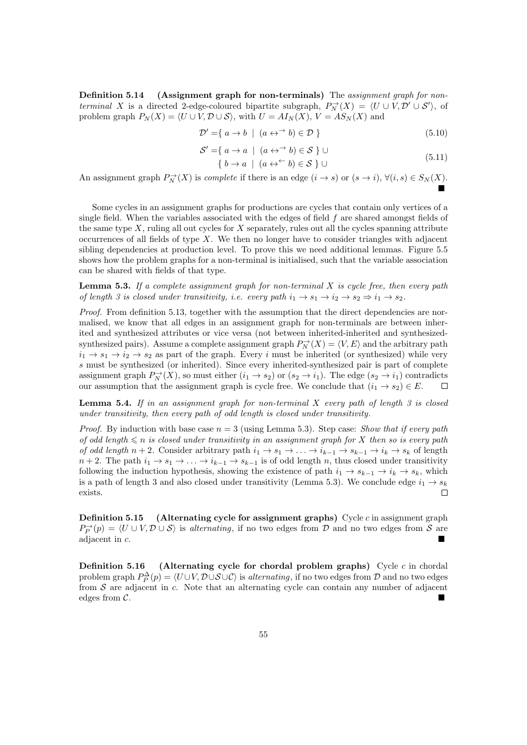Definition 5.14 (Assignment graph for non-terminals) The assignment graph for nonterminal X is a directed 2-edge-coloured bipartite subgraph,  $P_N^{\rightarrow}(X) = \langle U \cup V, \mathcal{D}' \cup \mathcal{S}' \rangle$ , of problem graph  $P_N(X) = \langle U \cup V, \mathcal{D} \cup \mathcal{S} \rangle$ , with  $U = AI_N(X)$ ,  $V = AS_N(X)$  and

$$
\mathcal{D}' = \{ a \to b \mid (a \leftrightarrow^{\rightarrow} b) \in \mathcal{D} \}
$$
\n
$$
(5.10)
$$

$$
\mathcal{S}' = \{ a \to a \mid (a \leftrightarrow^{\rightarrow} b) \in \mathcal{S} \} \cup \tag{5.11}
$$

$$
\{b \to a \mid (a \leftrightarrow^{\leftarrow} b) \in \mathcal{S} \} \cup \tag{5.11}
$$

An assignment graph  $P_N^{\to}(X)$  is *complete* if there is an edge  $(i \to s)$  or  $(s \to i)$ ,  $\forall (i, s) \in S_N(X)$ . É

Some cycles in an assignment graphs for productions are cycles that contain only vertices of a single field. When the variables associated with the edges of field  $f$  are shared amongst fields of the same type  $X$ , ruling all out cycles for  $X$  separately, rules out all the cycles spanning attribute occurrences of all fields of type  $X$ . We then no longer have to consider triangles with adjacent sibling dependencies at production level. To prove this we need additional lemmas. Figure 5.5 shows how the problem graphs for a non-terminal is initialised, such that the variable association can be shared with fields of that type.

**Lemma 5.3.** If a complete assignment graph for non-terminal  $X$  is cycle free, then every path of length 3 is closed under transitivity, i.e. every path  $i_1 \rightarrow s_1 \rightarrow i_2 \rightarrow s_2 \Rightarrow i_1 \rightarrow s_2$ .

Proof. From definition 5.13, together with the assumption that the direct dependencies are normalised, we know that all edges in an assignment graph for non-terminals are between inherited and synthesized attributes or vice versa (not between inherited-inherited and synthesizedsynthesized pairs). Assume a complete assignment graph  $P_N^{\rightarrow}(X) = \langle V, E \rangle$  and the arbitrary path  $i_1 \rightarrow s_1 \rightarrow i_2 \rightarrow s_2$  as part of the graph. Every i must be inherited (or synthesized) while very s must be synthesized (or inherited). Since every inherited-synthesized pair is part of complete assignment graph  $P_N^{\to}(X)$ , so must either  $(i_1 \to s_2)$  or  $(s_2 \to i_1)$ . The edge  $(s_2 \to i_1)$  contradicts our assumption that the assignment graph is cycle free. We conclude that  $(i_1 \rightarrow s_2) \in E$ . П

**Lemma 5.4.** If in an assignment graph for non-terminal  $X$  every path of length  $3$  is closed under transitivity, then every path of odd length is closed under transitivity.

*Proof.* By induction with base case  $n = 3$  (using Lemma 5.3). Step case: Show that if every path of odd length  $\leq n$  is closed under transitivity in an assignment graph for X then so is every path of odd length  $n + 2$ . Consider arbitrary path  $i_1 \to s_1 \to \ldots \to i_{k-1} \to s_{k-1} \to i_k \to s_k$  of length  $n+2$ . The path  $i_1 \to s_1 \to \ldots \to i_{k-1} \to s_{k-1}$  is of odd length n, thus closed under transitivity following the induction hypothesis, showing the existence of path  $i_1 \rightarrow s_{k-1} \rightarrow i_k \rightarrow s_k$ , which is a path of length 3 and also closed under transitivity (Lemma 5.3). We conclude edge  $i_1 \rightarrow s_k$  $\Box$ exists.

**Definition 5.15** (Alternating cycle for assignment graphs) Cycle c in assignment graph  $P_P^{\rightarrow}(p) = \langle U \cup V, \mathcal{D} \cup \mathcal{S} \rangle$  is alternating, if no two edges from  $\mathcal{D}$  and no two edges from  $\mathcal{S}$  are adjacent in c.

**Definition 5.16** (Alternating cycle for chordal problem graphs) Cycle  $c$  in chordal problem graph  $P_P^{\Delta}(p) = \langle U \cup V, D \cup S \cup C \rangle$  is *alternating*, if no two edges from D and no two edges from  $S$  are adjacent in c. Note that an alternating cycle can contain any number of adjacent edges from C.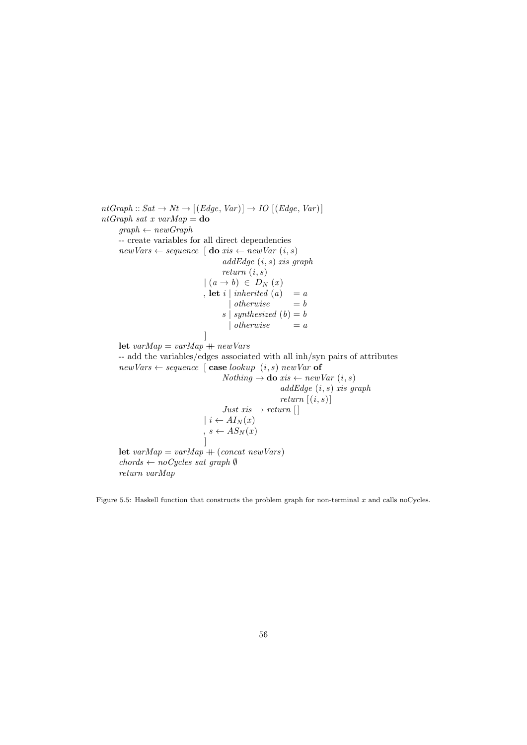$ntGraph :: Sat \rightarrow Nt \rightarrow [(Edge, Var)] \rightarrow IO [(Edge, Var)]$ nt $Graph \; sat \; x \; varMap =$ **do**  $graph \leftarrow newGraph$ -- create variables for all direct dependencies  $newVars \leftarrow sequence \mid \mathbf{do} \; xis \leftarrow newVar \; (i, s)$  $addEdge(i, s)$  xis graph return (i, s)  $(a \rightarrow b) \in D_N(x)$ , let i | inherited  $(a) = a$  $\int$  *otherwise*  $= b$ s | synthesized  $(b) = b$ | otherwise  $= a$ ] let  $varMap = varMap + newVars$ -- add the variables/edges associated with all inh/syn pairs of attributes  $newVars \leftarrow sequence \mid \textbf{case} \; lookup \; (i, s) \; newVar \; \textbf{of}$  $Nothing → do *xis* ← newVar(i, s)$  $addEdge(i, s)$  xis graph return  $[(i, s)]$ Just  $xis \rightarrow return []$  $|i \leftarrow A I_N(x)$  $s \leftarrow AS_N(x)$ ] let  $varMap = varMap + (concat newVars)$  $chords \leftarrow noCycles \; sat \; graph \; \emptyset$ return varMap

Figure 5.5: Haskell function that constructs the problem graph for non-terminal  $x$  and calls noCycles.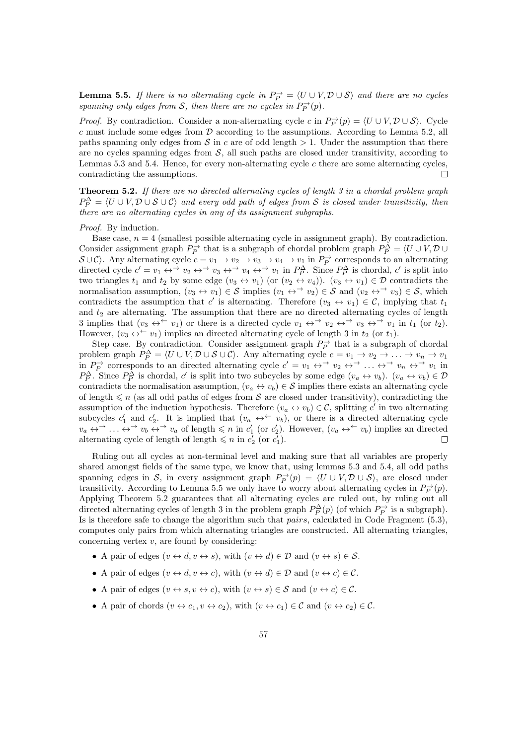**Lemma 5.5.** If there is no alternating cycle in  $P_P^{\rightarrow} = \langle U \cup V, \mathcal{D} \cup \mathcal{S} \rangle$  and there are no cycles spanning only edges from S, then there are no cycles in  $P_P^{\rightarrow}(p)$ .

*Proof.* By contradiction. Consider a non-alternating cycle c in  $P_P^{\rightarrow}(p) = \langle U \cup V, \mathcal{D} \cup \mathcal{S} \rangle$ . Cycle c must include some edges from  $\mathcal D$  according to the assumptions. According to Lemma 5.2, all paths spanning only edges from  $S$  in c are of odd length  $> 1$ . Under the assumption that there are no cycles spanning edges from  $S$ , all such paths are closed under transitivity, according to Lemmas 5.3 and 5.4. Hence, for every non-alternating cycle  $c$  there are some alternating cycles, contradicting the assumptions.  $\Box$ 

**Theorem 5.2.** If there are no directed alternating cycles of length  $3$  in a chordal problem graph  $P_P^{\Delta} = \langle U \cup V, \mathcal{D} \cup \mathcal{S} \cup \mathcal{C} \rangle$  and every odd path of edges from S is closed under transitivity, then there are no alternating cycles in any of its assignment subgraphs.

Proof. By induction.

Base case,  $n = 4$  (smallest possible alternating cycle in assignment graph). By contradiction. Consider assignment graph  $P_P^{\rightarrow}$  that is a subgraph of chordal problem graph  $P_P^{\Delta} = \langle U \cup V, \mathcal{D} \cup \mathcal{D} \rangle$  $S \cup C$ . Any alternating cycle  $c = v_1 \to v_2 \to v_3 \to v_4 \to v_1$  in  $P_P^{\to}$  corresponds to an alternating  $\partial^2 O(t)$ . Any antentiating cycle  $c = v_1 \rightarrow v_2 \rightarrow v_3 \rightarrow v_4 \rightarrow v_1$  in  $P_P^{\Delta}$  corresponds to an attentiating directed cycle  $c' = v_1 \leftrightarrow v_2 \leftrightarrow v_3 \leftrightarrow v_4 \leftrightarrow v_1$  in  $P_P^{\Delta}$ . Since  $P_P^{\Delta}$  is chordal,  $c'$  is split into two triangles  $t_1$  and  $t_2$  by some edge  $(v_3 \leftrightarrow v_1)$  (or  $(v_2 \leftrightarrow v_4)$ ).  $(v_3 \leftrightarrow v_1) \in \mathcal{D}$  contradicts the normalisation assumption,  $(v_3 \leftrightarrow v_1) \in \mathcal{S}$  implies  $(v_1 \leftrightarrow^{\rightarrow} v_2) \in \mathcal{S}$  and  $(v_2 \leftrightarrow^{\rightarrow} v_3) \in \mathcal{S}$ , which contradicts the assumption that c' is alternating. Therefore  $(v_3 \leftrightarrow v_1) \in \mathcal{C}$ , implying that  $t_1$ and  $t_2$  are alternating. The assumption that there are no directed alternating cycles of length 3 implies that  $(v_3 \leftrightarrow^{\leftarrow} v_1)$  or there is a directed cycle  $v_1 \leftrightarrow^{\rightarrow} v_2 \leftrightarrow^{\rightarrow} v_3 \leftrightarrow^{\rightarrow} v_1$  in  $t_1$  (or  $t_2$ ). However,  $(v_3 \leftrightarrow^{\leftarrow} v_1)$  implies an directed alternating cycle of length 3 in  $t_2$  (or  $t_1$ ).

Step case. By contradiction. Consider assignment graph  $P_P^{\rightarrow}$  that is a subgraph of chordal problem graph  $P_P^{\Delta} = \langle U \cup V, \mathcal{D} \cup \mathcal{S} \cup \mathcal{C} \rangle$ . Any alternating cycle  $c = v_1 \to v_2 \to \ldots \to v_n \to v_1$ in  $P_P^{\rightarrow}$  corresponds to an directed alternating cycle  $c' = v_1 \leftrightarrow^{\rightarrow} v_2 \leftrightarrow^{\rightarrow} \dots \leftrightarrow^{\rightarrow} v_n \leftrightarrow^{\rightarrow} v_1$  in  $P_P^{\Delta}$ . Since  $P_P^{\Delta}$  is chordal, c' is split into two subcycles by some edge  $(v_a \leftrightarrow v_b)$ .  $(v_a \leftrightarrow v_b) \in \mathcal{D}$ contradicts the normalisation assumption,  $(v_a \leftrightarrow v_b) \in \mathcal{S}$  implies there exists an alternating cycle of length  $\leq n$  (as all odd paths of edges from S are closed under transitivity), contradicting the assumption of the induction hypothesis. Therefore  $(v_a \leftrightarrow v_b) \in \mathcal{C}$ , splitting c' in two alternating subcycles  $c'_1$  and  $c'_2$ . It is implied that  $(v_a \leftrightarrow^{\leftarrow} v_b)$ , or there is a directed alternating cycle  $v_a \leftrightarrow^{\rightarrow} \dots \leftrightarrow^{\rightarrow} v_b \leftrightarrow^{\rightarrow} v_a$  of length  $\leq n$  in  $c'_1$  (or  $c'_2$ ). However,  $(v_a \leftrightarrow^{\leftarrow} v_b)$  implies an directed alternating cycle of length of length  $\leq n$  in  $c'_2$  (or  $c'_1$ ).  $\Box$ 

Ruling out all cycles at non-terminal level and making sure that all variables are properly shared amongst fields of the same type, we know that, using lemmas 5.3 and 5.4, all odd paths spanning edges in S, in every assignment graph  $P_P^{\rightarrow}(p) = \langle U \cup V, \mathcal{D} \cup \mathcal{S} \rangle$ , are closed under transitivity. According to Lemma 5.5 we only have to worry about alternating cycles in  $P_P^{\rightarrow}(p)$ . Applying Theorem 5.2 guarantees that all alternating cycles are ruled out, by ruling out all directed alternating cycles of length 3 in the problem graph  $P_P^{\Delta}(p)$  (of which  $P_P^{\rightarrow}$  is a subgraph). Is is therefore safe to change the algorithm such that pairs, calculated in Code Fragment (5.3), computes only pairs from which alternating triangles are constructed. All alternating triangles, concerning vertex  $v$ , are found by considering:

- A pair of edges  $(v \leftrightarrow d, v \leftrightarrow s)$ , with  $(v \leftrightarrow d) \in \mathcal{D}$  and  $(v \leftrightarrow s) \in \mathcal{S}$ .
- A pair of edges  $(v \leftrightarrow d, v \leftrightarrow c)$ , with  $(v \leftrightarrow d) \in \mathcal{D}$  and  $(v \leftrightarrow c) \in \mathcal{C}$ .
- A pair of edges  $(v \leftrightarrow s, v \leftrightarrow c)$ , with  $(v \leftrightarrow s) \in S$  and  $(v \leftrightarrow c) \in C$ .
- A pair of chords  $(v \leftrightarrow c_1, v \leftrightarrow c_2)$ , with  $(v \leftrightarrow c_1) \in \mathcal{C}$  and  $(v \leftrightarrow c_2) \in \mathcal{C}$ .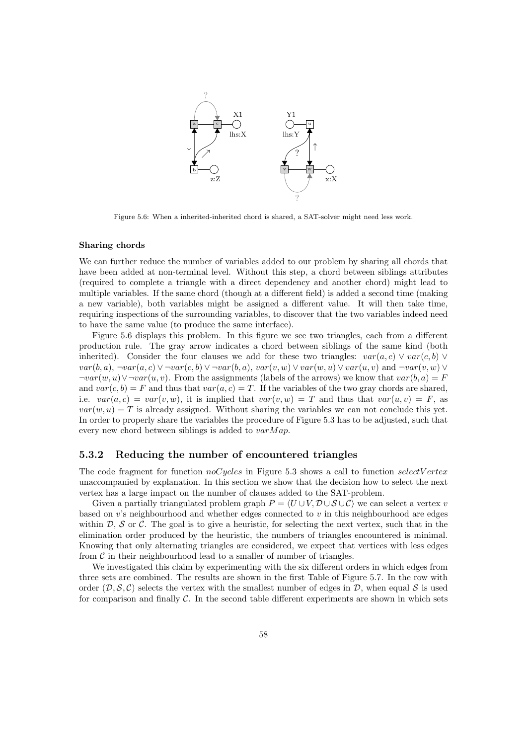

Figure 5.6: When a inherited-inherited chord is shared, a SAT-solver might need less work.

#### Sharing chords

We can further reduce the number of variables added to our problem by sharing all chords that have been added at non-terminal level. Without this step, a chord between siblings attributes (required to complete a triangle with a direct dependency and another chord) might lead to multiple variables. If the same chord (though at a different field) is added a second time (making a new variable), both variables might be assigned a different value. It will then take time, requiring inspections of the surrounding variables, to discover that the two variables indeed need to have the same value (to produce the same interface).

Figure 5.6 displays this problem. In this figure we see two triangles, each from a different production rule. The gray arrow indicates a chord between siblings of the same kind (both inherited). Consider the four clauses we add for these two triangles:  $var(a, c) \vee var(c, b) \vee$  $var(b, a)$ ,  $\neg var(a, c) \vee \neg var(c, b) \vee \neg var(b, a)$ ,  $var(v, w) \vee var(w, u) \vee var(u, v)$  and  $\neg var(v, w) \vee$  $\neg var(w, u) \vee \neg var(u, v)$ . From the assignments (labels of the arrows) we know that  $var(b, a) = F$ and  $var(c, b) = F$  and thus that  $var(a, c) = T$ . If the variables of the two gray chords are shared, i.e.  $var(a, c) = var(v, w)$ , it is implied that  $var(v, w) = T$  and thus that  $var(u, v) = F$ , as  $var(w, u) = T$  is already assigned. Without sharing the variables we can not conclude this yet. In order to properly share the variables the procedure of Figure 5.3 has to be adjusted, such that every new chord between siblings is added to  $varMap$ .

#### 5.3.2 Reducing the number of encountered triangles

The code fragment for function  $noCycles$  in Figure 5.3 shows a call to function selectV ertex unaccompanied by explanation. In this section we show that the decision how to select the next vertex has a large impact on the number of clauses added to the SAT-problem.

Given a partially triangulated problem graph  $P = \langle U \cup V, D \cup S \cup C \rangle$  we can select a vertex v based on v's neighbourhood and whether edges connected to v in this neighbourhood are edges within  $\mathcal{D}, \mathcal{S}$  or C. The goal is to give a heuristic, for selecting the next vertex, such that in the elimination order produced by the heuristic, the numbers of triangles encountered is minimal. Knowing that only alternating triangles are considered, we expect that vertices with less edges from  $\mathcal C$  in their neighbourhood lead to a smaller of number of triangles.

We investigated this claim by experimenting with the six different orders in which edges from three sets are combined. The results are shown in the first Table of Figure 5.7. In the row with order  $(D, S, C)$  selects the vertex with the smallest number of edges in D, when equal S is used for comparison and finally  $\mathcal{C}$ . In the second table different experiments are shown in which sets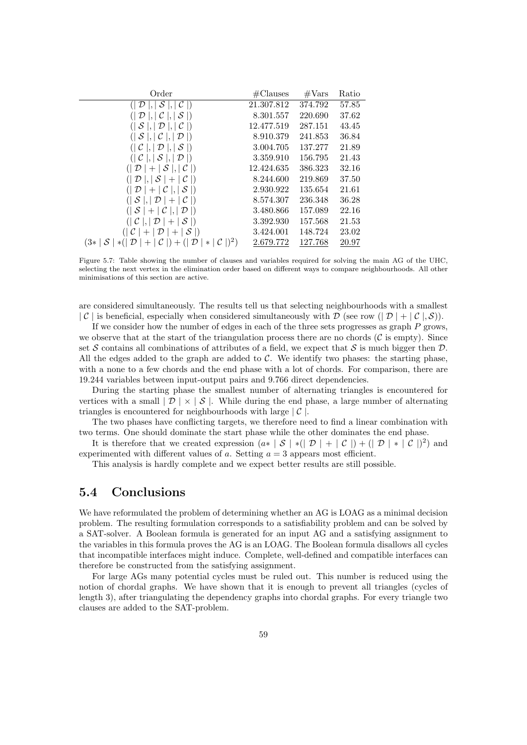| Order                                                                                      | $\#\text{Clauses}$ | $\#\text{Vars}$ | Ratio |
|--------------------------------------------------------------------------------------------|--------------------|-----------------|-------|
| $( \mathcal{D} ,  \mathcal{S} ,  \mathcal{C} )$                                            | 21.307.812         | 374.792         | 57.85 |
| $( \mathcal{D} ,  \mathcal{C} ,  \mathcal{S} )$                                            | 8.301.557          | 220.690         | 37.62 |
| ( S ,  D ,  C )                                                                            | 12.477.519         | 287.151         | 43.45 |
| $( \mathcal{S} ,  \mathcal{C} ,  \mathcal{D} )$                                            | 8.910.379          | 241.853         | 36.84 |
| $( \mathcal{C} ,  \mathcal{D} ,  \mathcal{S} )$                                            | 3.004.705          | 137.277         | 21.89 |
| $( \mathcal{C} ,  \mathcal{S} ,  \mathcal{D} )$                                            | 3.359.910          | 156.795         | 21.43 |
| $( \mathcal{D} + \mathcal{S} ,  \mathcal{C} )$                                             | 12.424.635         | 386.323         | 32.16 |
| $( \mathcal{D} ,  \mathcal{S}  +  \mathcal{C} )$                                           | 8.244.600          | 219.869         | 37.50 |
| $( \mathcal{D} + \mathcal{C} ,  \mathcal{S} )$                                             | 2.930.922          | 135.654         | 21.61 |
| $( S ,  D  +  C )$                                                                         | 8.574.307          | 236.348         | 36.28 |
| $( S + C ,  D )$                                                                           | 3.480.866          | 157.089         | 22.16 |
| $( \mathcal{C} ,  \mathcal{D}  +  \mathcal{S} )$                                           | 3.392.930          | 157.568         | 21.53 |
| $( \mathcal{C}  +  \mathcal{D}  +  \mathcal{S} )$                                          | 3.424.001          | 148.724         | 23.02 |
| $(3*   S   * (  \mathcal{D}   +   \mathcal{C}  ) + (  \mathcal{D}   *   \mathcal{C}  )^2)$ | 2.679.772          | 127.768         | 20.97 |

Figure 5.7: Table showing the number of clauses and variables required for solving the main AG of the UHC, selecting the next vertex in the elimination order based on different ways to compare neighbourhoods. All other minimisations of this section are active.

are considered simultaneously. The results tell us that selecting neighbourhoods with a smallest  $|\mathcal{C}|$  is beneficial, especially when considered simultaneously with D (see row  $(|\mathcal{D}| + |\mathcal{C}|, \mathcal{S})$ ).

If we consider how the number of edges in each of the three sets progresses as graph  $P$  grows, we observe that at the start of the triangulation process there are no chords  $(\mathcal{C} \text{ is empty})$ . Since set S contains all combinations of attributes of a field, we expect that S is much bigger then  $\mathcal{D}$ . All the edges added to the graph are added to  $C$ . We identify two phases: the starting phase, with a none to a few chords and the end phase with a lot of chords. For comparison, there are 19.244 variables between input-output pairs and 9.766 direct dependencies.

During the starting phase the smallest number of alternating triangles is encountered for vertices with a small  $|\mathcal{D}| \times |\mathcal{S}|$ . While during the end phase, a large number of alternating triangles is encountered for neighbourhoods with large  $\mathcal{C}$ .

The two phases have conflicting targets, we therefore need to find a linear combination with two terms. One should dominate the start phase while the other dominates the end phase.

It is therefore that we created expression  $(a* | S | * (| D | + | C |) + (| D | * | C |)^2)$  and experimented with different values of a. Setting  $a = 3$  appears most efficient.

This analysis is hardly complete and we expect better results are still possible.

## 5.4 Conclusions

We have reformulated the problem of determining whether an AG is LOAG as a minimal decision problem. The resulting formulation corresponds to a satisfiability problem and can be solved by a SAT-solver. A Boolean formula is generated for an input AG and a satisfying assignment to the variables in this formula proves the AG is an LOAG. The Boolean formula disallows all cycles that incompatible interfaces might induce. Complete, well-defined and compatible interfaces can therefore be constructed from the satisfying assignment.

For large AGs many potential cycles must be ruled out. This number is reduced using the notion of chordal graphs. We have shown that it is enough to prevent all triangles (cycles of length 3), after triangulating the dependency graphs into chordal graphs. For every triangle two clauses are added to the SAT-problem.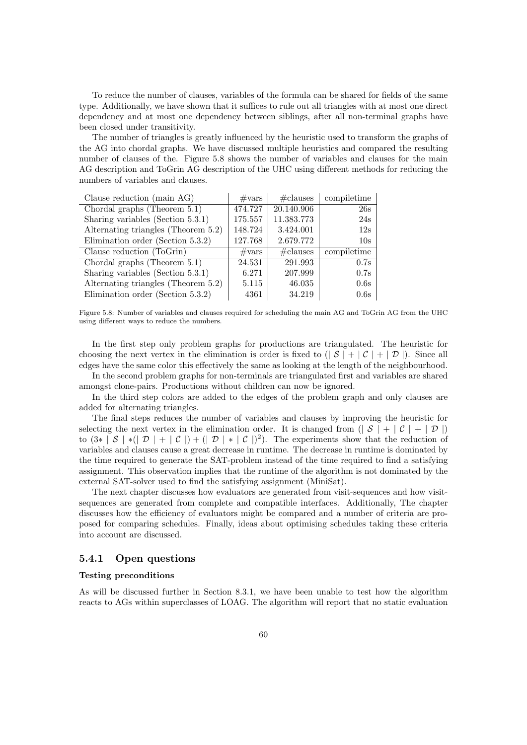To reduce the number of clauses, variables of the formula can be shared for fields of the same type. Additionally, we have shown that it suffices to rule out all triangles with at most one direct dependency and at most one dependency between siblings, after all non-terminal graphs have been closed under transitivity.

The number of triangles is greatly influenced by the heuristic used to transform the graphs of the AG into chordal graphs. We have discussed multiple heuristics and compared the resulting number of clauses of the. Figure 5.8 shows the number of variables and clauses for the main AG description and ToGrin AG description of the UHC using different methods for reducing the numbers of variables and clauses.

| Clause reduction (main AG)          | $\#\text{vars}$ | $\#$ clauses       | compiletime     |
|-------------------------------------|-----------------|--------------------|-----------------|
| Chordal graphs (Theorem 5.1)        | 474.727         | 20.140.906         | 26s             |
| Sharing variables (Section 5.3.1)   | 175.557         | 11.383.773         | 24s             |
| Alternating triangles (Theorem 5.2) | 148.724         | 3.424.001          | 12s             |
| Elimination order (Section 5.3.2)   | 127.768         | 2.679.772          | 10 <sub>s</sub> |
| Clause reduction (ToGrin)           | $\#\text{vars}$ | $\#\text{clauses}$ | compiletime     |
| Chordal graphs (Theorem $5.1$ )     | 24.531          | 291.993            | 0.7s            |
| Sharing variables (Section 5.3.1)   | 6.271           | 207.999            | 0.7s            |
| Alternating triangles (Theorem 5.2) | 5.115           | 46.035             | 0.6s            |
| Elimination order (Section 5.3.2)   | 4361            | 34.219             | 0.6s            |

Figure 5.8: Number of variables and clauses required for scheduling the main AG and ToGrin AG from the UHC using different ways to reduce the numbers.

In the first step only problem graphs for productions are triangulated. The heuristic for choosing the next vertex in the elimination is order is fixed to  $(|S| + |C| + |D|)$ . Since all edges have the same color this effectively the same as looking at the length of the neighbourhood.

In the second problem graphs for non-terminals are triangulated first and variables are shared amongst clone-pairs. Productions without children can now be ignored.

In the third step colors are added to the edges of the problem graph and only clauses are added for alternating triangles.

The final steps reduces the number of variables and clauses by improving the heuristic for selecting the next vertex in the elimination order. It is changed from  $(|S| + |C| + |\mathcal{D}|)$ to  $(3* | S | * (| \mathcal{D} | + | \mathcal{C} |) + (| \mathcal{D} | * | \mathcal{C} |)^2)$ . The experiments show that the reduction of variables and clauses cause a great decrease in runtime. The decrease in runtime is dominated by the time required to generate the SAT-problem instead of the time required to find a satisfying assignment. This observation implies that the runtime of the algorithm is not dominated by the external SAT-solver used to find the satisfying assignment (MiniSat).

The next chapter discusses how evaluators are generated from visit-sequences and how visitsequences are generated from complete and compatible interfaces. Additionally, The chapter discusses how the efficiency of evaluators might be compared and a number of criteria are proposed for comparing schedules. Finally, ideas about optimising schedules taking these criteria into account are discussed.

#### 5.4.1 Open questions

#### Testing preconditions

As will be discussed further in Section 8.3.1, we have been unable to test how the algorithm reacts to AGs within superclasses of LOAG. The algorithm will report that no static evaluation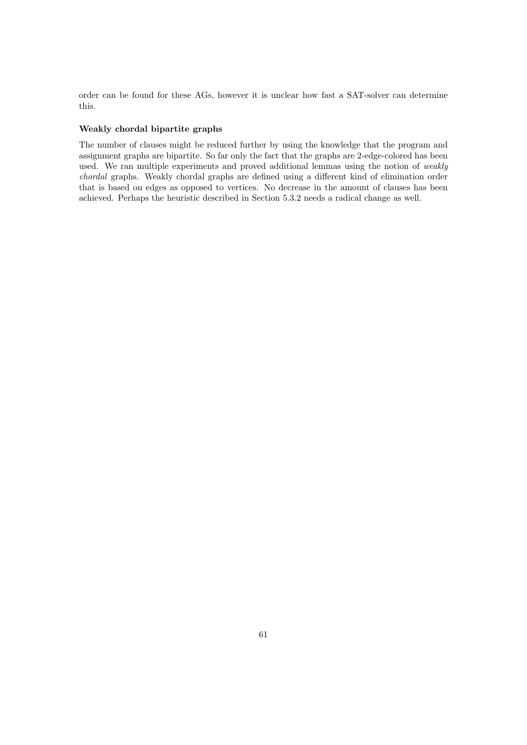order can be found for these AGs, however it is unclear how fast a SAT-solver can determine this.

#### Weakly chordal bipartite graphs

The number of clauses might be reduced further by using the knowledge that the program and assignment graphs are bipartite. So far only the fact that the graphs are 2-edge-colored has been used. We ran multiple experiments and proved additional lemmas using the notion of weakly chordal graphs. Weakly chordal graphs are defined using a different kind of elimination order that is based on edges as opposed to vertices. No decrease in the amount of clauses has been achieved. Perhaps the heuristic described in Section 5.3.2 needs a radical change as well.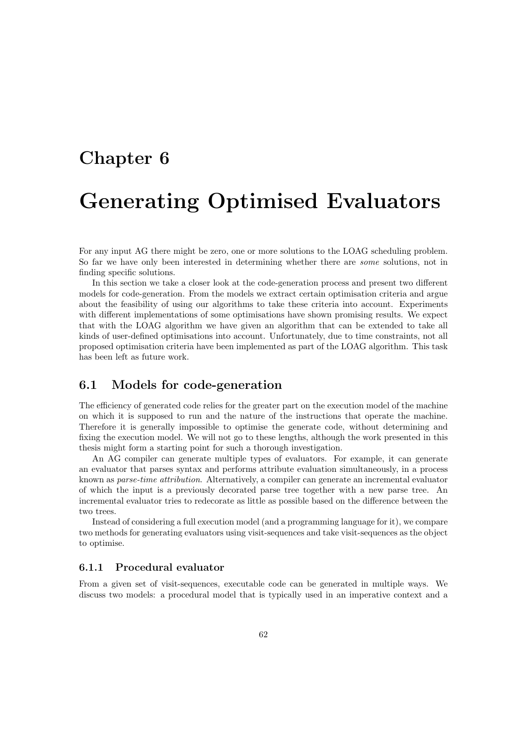# Chapter 6

# Generating Optimised Evaluators

For any input AG there might be zero, one or more solutions to the LOAG scheduling problem. So far we have only been interested in determining whether there are some solutions, not in finding specific solutions.

In this section we take a closer look at the code-generation process and present two different models for code-generation. From the models we extract certain optimisation criteria and argue about the feasibility of using our algorithms to take these criteria into account. Experiments with different implementations of some optimisations have shown promising results. We expect that with the LOAG algorithm we have given an algorithm that can be extended to take all kinds of user-defined optimisations into account. Unfortunately, due to time constraints, not all proposed optimisation criteria have been implemented as part of the LOAG algorithm. This task has been left as future work.

# 6.1 Models for code-generation

The efficiency of generated code relies for the greater part on the execution model of the machine on which it is supposed to run and the nature of the instructions that operate the machine. Therefore it is generally impossible to optimise the generate code, without determining and fixing the execution model. We will not go to these lengths, although the work presented in this thesis might form a starting point for such a thorough investigation.

An AG compiler can generate multiple types of evaluators. For example, it can generate an evaluator that parses syntax and performs attribute evaluation simultaneously, in a process known as parse-time attribution. Alternatively, a compiler can generate an incremental evaluator of which the input is a previously decorated parse tree together with a new parse tree. An incremental evaluator tries to redecorate as little as possible based on the difference between the two trees.

Instead of considering a full execution model (and a programming language for it), we compare two methods for generating evaluators using visit-sequences and take visit-sequences as the object to optimise.

#### 6.1.1 Procedural evaluator

From a given set of visit-sequences, executable code can be generated in multiple ways. We discuss two models: a procedural model that is typically used in an imperative context and a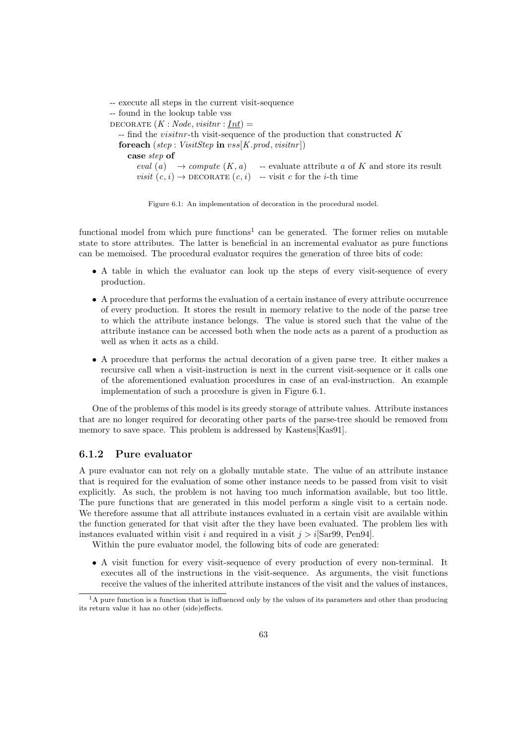-- execute all steps in the current visit-sequence -- found in the lookup table vss DECORATE  $(K : Node, visitnr : Int) =$  $-$  find the *visitnr*-th visit-sequence of the production that constructed K foreach (step : VisitStep in  $vss[K.prod, visitnr]$ ) case step of eval (a)  $\rightarrow$  compute  $(K, a)$  -- evaluate attribute a of K and store its result visit  $(c, i) \rightarrow$  DECORATE  $(c, i)$  -- visit c for the *i*-th time

Figure 6.1: An implementation of decoration in the procedural model.

functional model from which pure functions<sup>1</sup> can be generated. The former relies on mutable state to store attributes. The latter is beneficial in an incremental evaluator as pure functions can be memoised. The procedural evaluator requires the generation of three bits of code:

- A table in which the evaluator can look up the steps of every visit-sequence of every production.
- A procedure that performs the evaluation of a certain instance of every attribute occurrence of every production. It stores the result in memory relative to the node of the parse tree to which the attribute instance belongs. The value is stored such that the value of the attribute instance can be accessed both when the node acts as a parent of a production as well as when it acts as a child.
- A procedure that performs the actual decoration of a given parse tree. It either makes a recursive call when a visit-instruction is next in the current visit-sequence or it calls one of the aforementioned evaluation procedures in case of an eval-instruction. An example implementation of such a procedure is given in Figure 6.1.

One of the problems of this model is its greedy storage of attribute values. Attribute instances that are no longer required for decorating other parts of the parse-tree should be removed from memory to save space. This problem is addressed by Kastens[Kas91].

#### 6.1.2 Pure evaluator

A pure evaluator can not rely on a globally mutable state. The value of an attribute instance that is required for the evaluation of some other instance needs to be passed from visit to visit explicitly. As such, the problem is not having too much information available, but too little. The pure functions that are generated in this model perform a single visit to a certain node. We therefore assume that all attribute instances evaluated in a certain visit are available within the function generated for that visit after the they have been evaluated. The problem lies with instances evaluated within visit i and required in a visit  $j > i$ [Sar99, Pen94].

Within the pure evaluator model, the following bits of code are generated:

• A visit function for every visit-sequence of every production of every non-terminal. It executes all of the instructions in the visit-sequence. As arguments, the visit functions receive the values of the inherited attribute instances of the visit and the values of instances,

<sup>&</sup>lt;sup>1</sup>A pure function is a function that is influenced only by the values of its parameters and other than producing its return value it has no other (side)effects.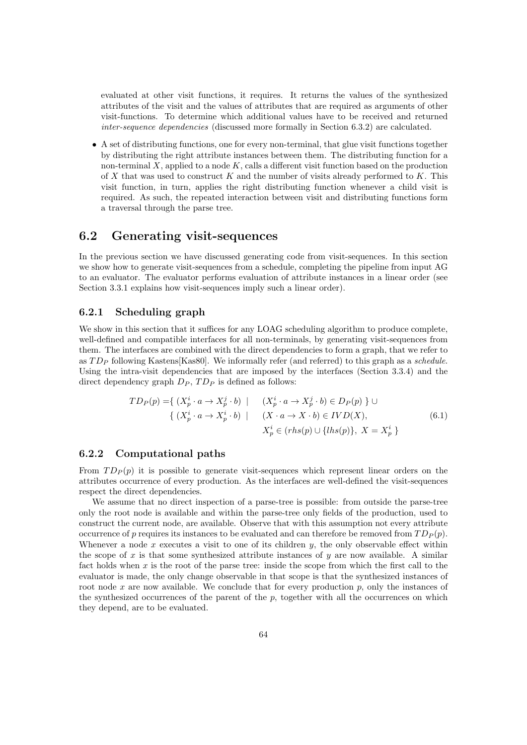evaluated at other visit functions, it requires. It returns the values of the synthesized attributes of the visit and the values of attributes that are required as arguments of other visit-functions. To determine which additional values have to be received and returned inter-sequence dependencies (discussed more formally in Section 6.3.2) are calculated.

• A set of distributing functions, one for every non-terminal, that glue visit functions together by distributing the right attribute instances between them. The distributing function for a non-terminal  $X$ , applied to a node  $K$ , calls a different visit function based on the production of X that was used to construct K and the number of visits already performed to K. This visit function, in turn, applies the right distributing function whenever a child visit is required. As such, the repeated interaction between visit and distributing functions form a traversal through the parse tree.

## 6.2 Generating visit-sequences

In the previous section we have discussed generating code from visit-sequences. In this section we show how to generate visit-sequences from a schedule, completing the pipeline from input AG to an evaluator. The evaluator performs evaluation of attribute instances in a linear order (see Section 3.3.1 explains how visit-sequences imply such a linear order).

#### 6.2.1 Scheduling graph

We show in this section that it suffices for any LOAG scheduling algorithm to produce complete, well-defined and compatible interfaces for all non-terminals, by generating visit-sequences from them. The interfaces are combined with the direct dependencies to form a graph, that we refer to as  $TD_P$  following Kastens[Kas80]. We informally refer (and referred) to this graph as a schedule. Using the intra-visit dependencies that are imposed by the interfaces (Section 3.3.4) and the direct dependency graph  $D_P$ ,  $TD_P$  is defined as follows:

$$
TD_P(p) = \{ (X_p^i \cdot a \to X_p^j \cdot b) \mid (X_p^i \cdot a \to X_p^j \cdot b) \in D_P(p) \} \cup \{ (X_p^i \cdot a \to X_p^i \cdot b) \mid (X \cdot a \to X \cdot b) \in IVD(X),
$$
  
\n
$$
X_p^i \in (rhs(p) \cup \{ lhs(p) \}, X = X_p^i \}
$$
\n(6.1)

#### 6.2.2 Computational paths

From  $TD_P(p)$  it is possible to generate visit-sequences which represent linear orders on the attributes occurrence of every production. As the interfaces are well-defined the visit-sequences respect the direct dependencies.

We assume that no direct inspection of a parse-tree is possible: from outside the parse-tree only the root node is available and within the parse-tree only fields of the production, used to construct the current node, are available. Observe that with this assumption not every attribute occurrence of p requires its instances to be evaluated and can therefore be removed from  $TD_P(p)$ . Whenever a node x executes a visit to one of its children y, the only observable effect within the scope of x is that some synthesized attribute instances of y are now available. A similar fact holds when  $x$  is the root of the parse tree: inside the scope from which the first call to the evaluator is made, the only change observable in that scope is that the synthesized instances of root node  $x$  are now available. We conclude that for every production  $p$ , only the instances of the synthesized occurrences of the parent of the  $p$ , together with all the occurrences on which they depend, are to be evaluated.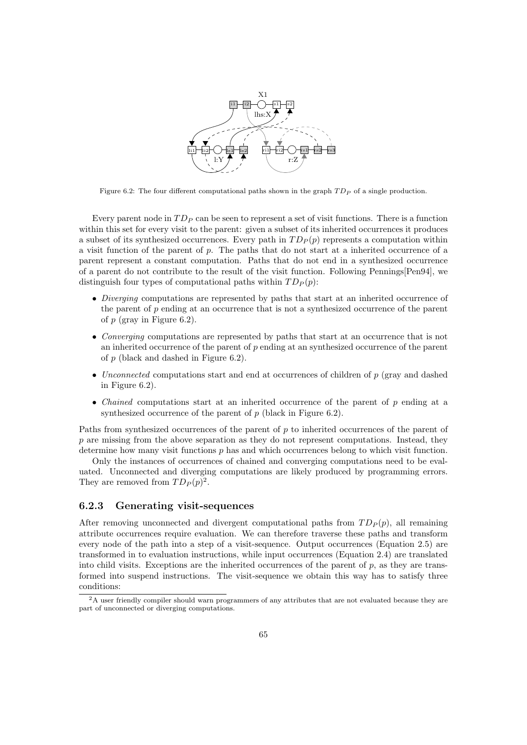

Figure 6.2: The four different computational paths shown in the graph  $TD<sub>P</sub>$  of a single production.

Every parent node in  $TD_P$  can be seen to represent a set of visit functions. There is a function within this set for every visit to the parent: given a subset of its inherited occurrences it produces a subset of its synthesized occurrences. Every path in  $TD_P(p)$  represents a computation within a visit function of the parent of p. The paths that do not start at a inherited occurrence of a parent represent a constant computation. Paths that do not end in a synthesized occurrence of a parent do not contribute to the result of the visit function. Following Pennings[Pen94], we distinguish four types of computational paths within  $TD_P(p)$ :

- *Diverging* computations are represented by paths that start at an inherited occurrence of the parent of  $p$  ending at an occurrence that is not a synthesized occurrence of the parent of  $p$  (gray in Figure 6.2).
- Converging computations are represented by paths that start at an occurrence that is not an inherited occurrence of the parent of p ending at an synthesized occurrence of the parent of p (black and dashed in Figure 6.2).
- Unconnected computations start and end at occurrences of children of  $p$  (gray and dashed in Figure 6.2).
- *Chained* computations start at an inherited occurrence of the parent of  $p$  ending at a synthesized occurrence of the parent of  $p$  (black in Figure 6.2).

Paths from synthesized occurrences of the parent of p to inherited occurrences of the parent of p are missing from the above separation as they do not represent computations. Instead, they determine how many visit functions p has and which occurrences belong to which visit function.

Only the instances of occurrences of chained and converging computations need to be evaluated. Unconnected and diverging computations are likely produced by programming errors. They are removed from  $TD_P(p)^2$ .

#### 6.2.3 Generating visit-sequences

After removing unconnected and divergent computational paths from  $TD_P(p)$ , all remaining attribute occurrences require evaluation. We can therefore traverse these paths and transform every node of the path into a step of a visit-sequence. Output occurrences (Equation 2.5) are transformed in to evaluation instructions, while input occurrences (Equation 2.4) are translated into child visits. Exceptions are the inherited occurrences of the parent of  $p$ , as they are transformed into suspend instructions. The visit-sequence we obtain this way has to satisfy three conditions:

<sup>&</sup>lt;sup>2</sup>A user friendly compiler should warn programmers of any attributes that are not evaluated because they are part of unconnected or diverging computations.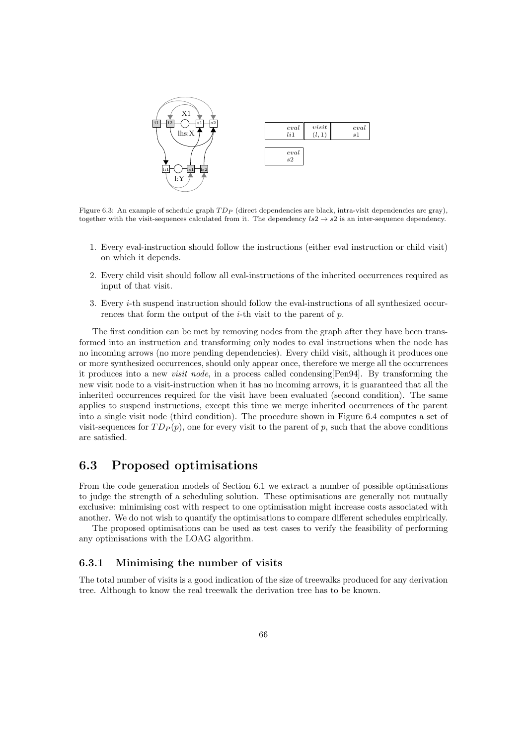

Figure 6.3: An example of schedule graph  $TD_P$  (direct dependencies are black, intra-visit dependencies are gray), together with the visit-sequences calculated from it. The dependency  $ls2 \rightarrow s2$  is an inter-sequence dependency.

- 1. Every eval-instruction should follow the instructions (either eval instruction or child visit) on which it depends.
- 2. Every child visit should follow all eval-instructions of the inherited occurrences required as input of that visit.
- 3. Every i-th suspend instruction should follow the eval-instructions of all synthesized occurrences that form the output of the  $i$ -th visit to the parent of  $p$ .

The first condition can be met by removing nodes from the graph after they have been transformed into an instruction and transforming only nodes to eval instructions when the node has no incoming arrows (no more pending dependencies). Every child visit, although it produces one or more synthesized occurrences, should only appear once, therefore we merge all the occurrences it produces into a new visit node, in a process called condensing[Pen94]. By transforming the new visit node to a visit-instruction when it has no incoming arrows, it is guaranteed that all the inherited occurrences required for the visit have been evaluated (second condition). The same applies to suspend instructions, except this time we merge inherited occurrences of the parent into a single visit node (third condition). The procedure shown in Figure 6.4 computes a set of visit-sequences for  $T D_P(p)$ , one for every visit to the parent of p, such that the above conditions are satisfied.

# 6.3 Proposed optimisations

From the code generation models of Section 6.1 we extract a number of possible optimisations to judge the strength of a scheduling solution. These optimisations are generally not mutually exclusive: minimising cost with respect to one optimisation might increase costs associated with another. We do not wish to quantify the optimisations to compare different schedules empirically.

The proposed optimisations can be used as test cases to verify the feasibility of performing any optimisations with the LOAG algorithm.

#### 6.3.1 Minimising the number of visits

The total number of visits is a good indication of the size of treewalks produced for any derivation tree. Although to know the real treewalk the derivation tree has to be known.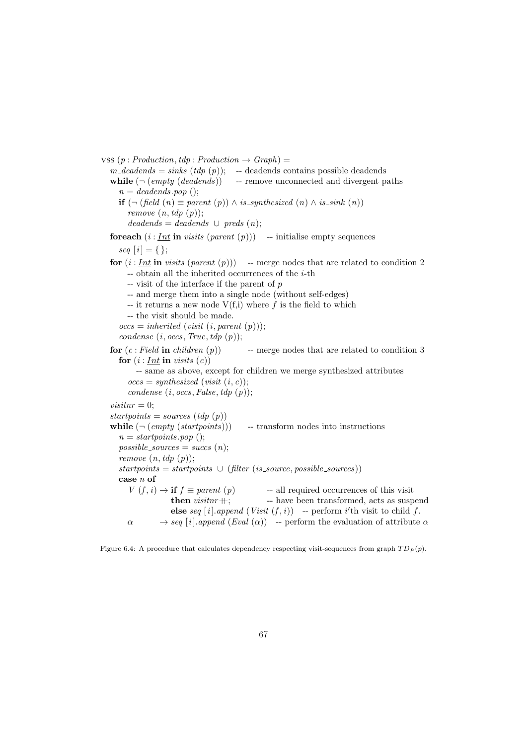vss  $(p : Production, tdp : Production \rightarrow Graph) =$  $m$ -deadends = sinks (tdp (p)); -- deadends contains possible deadends while  $(\neg$  (empty (deadends)) -- remove unconnected and divergent paths  $n = deadends.pop$  (); **if**  $(¬ (field (n) ≡ parent (p)) ∧ is_{synthesized} (n) ∧ is_{sink} (n))$ remove  $(n, tdp(p))$ ;  $deadends = deadends \cup preds (n);$ foreach  $(i: Int$  in visits  $(parent (p)))$  -- initialise empty sequences seq  $[i] = \{\};$ for  $(i : Int$  in visits (parent  $(p))$ ) -- merge nodes that are related to condition 2  $-$  obtain all the inherited occurrences of the *i*-th  $-$  visit of the interface if the parent of  $p$ -- and merge them into a single node (without self-edges) -- it returns a new node  $V(f,i)$  where f is the field to which -- the visit should be made.  $\text{occs} = \text{inherited} (\text{visit} (i, \text{parent} (p)));$ condense  $(i, \text{occs}, \text{True}, \text{tdp}(p));$ for  $(c: Field$  in *children*  $(p)$  -- merge nodes that are related to condition 3 for  $(i: Int$  in visits  $(c)$ ) -- same as above, except for children we merge synthesized attributes  $occs = synthesised (visit (i, c));$ condense  $(i, \text{occs}, \text{False}, \text{tdp}(p));$ *;*  $startpoints = sources (tdp (p))$ while  $(\neg (empty (start points)))$  -- transform nodes into instructions  $n = startpoints.pop$  ();  $possible\_sources = success(n);$ remove  $(n, tdp(p));$  $start points = startpoints \cup (filter (is\_source, possible\_sources))$ case n of  $V(f, i) \rightarrow \textbf{if } f \equiv parent (p)$  -- all required occurrences of this visit then  $\textit{visitnr}$  +;  $\qquad$  -- have been transformed, acts as suspend else seq [i].append  $(Visit (f, i))$  -- perform i'th visit to child f.  $\alpha \longrightarrow \text{seq } [i].\text{append } (Eval (\alpha)) \rightarrow \text{perform the evaluation of attribute } \alpha$ 

Figure 6.4: A procedure that calculates dependency respecting visit-sequences from graph  $T D_P(p)$ .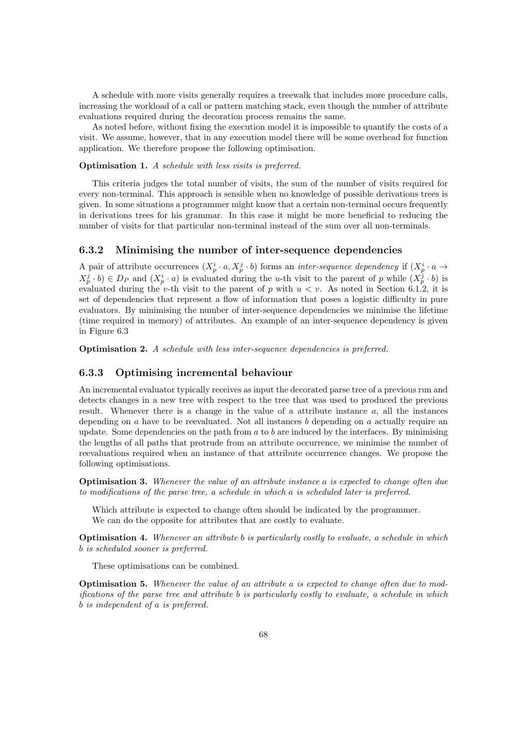A schedule with more visits generally requires a treewalk that includes more procedure calls, increasing the workload of a call or pattern matching stack, even though the number of attribute evaluations required during the decoration process remains the same.

As noted before, without fixing the execution model it is impossible to quantify the costs of a visit. We assume, however, that in any execution model there will be some overhead for function application. We therefore propose the following optimisation.

#### Optimisation 1. A schedule with less visits is preferred.

This criteria judges the total number of visits, the sum of the number of visits required for every non-terminal. This approach is sensible when no knowledge of possible derivations trees is given. In some situations a programmer might know that a certain non-terminal occurs frequently in derivations trees for his grammar. In this case it might be more beneficial to reducing the number of visits for that particular non-terminal instead of the sum over all non-terminals.

#### 6.3.2 Minimising the number of inter-sequence dependencies

A pair of attribute occurrences  $(X_p^i \cdot a, X_p^j \cdot b)$  forms an *inter-sequence dependency* if  $(X_p^i \cdot a \rightarrow a)$  $X_p^j \cdot b$   $\in D_P$  and  $(X_p^i \cdot a)$  is evaluated during the *u*-th visit to the parent of p while  $(X_p^j \cdot b)$  is evaluated during the v-th visit to the parent of p with  $u < v$ . As noted in Section 6.1.2, it is set of dependencies that represent a flow of information that poses a logistic difficulty in pure evaluators. By minimising the number of inter-sequence dependencies we minimise the lifetime (time required in memory) of attributes. An example of an inter-sequence dependency is given in Figure 6.3

Optimisation 2. A schedule with less inter-sequence dependencies is preferred.

#### 6.3.3 Optimising incremental behaviour

An incremental evaluator typically receives as input the decorated parse tree of a previous run and detects changes in a new tree with respect to the tree that was used to produced the previous result. Whenever there is a change in the value of a attribute instance a, all the instances depending on a have to be reevaluated. Not all instances b depending on a actually require an update. Some dependencies on the path from  $a$  to  $b$  are induced by the interfaces. By minimising the lengths of all paths that protrude from an attribute occurrence, we minimise the number of reevaluations required when an instance of that attribute occurrence changes. We propose the following optimisations.

Optimisation 3. Whenever the value of an attribute instance a is expected to change often due to modifications of the parse tree, a schedule in which a is scheduled later is preferred.

Which attribute is expected to change often should be indicated by the programmer. We can do the opposite for attributes that are costly to evaluate.

**Optimisation 4.** Whenever an attribute b is particularly costly to evaluate, a schedule in which b is scheduled sooner is preferred.

These optimisations can be combined.

Optimisation 5. Whenever the value of an attribute a is expected to change often due to modifications of the parse tree and attribute b is particularly costly to evaluate, a schedule in which b is independent of a is preferred.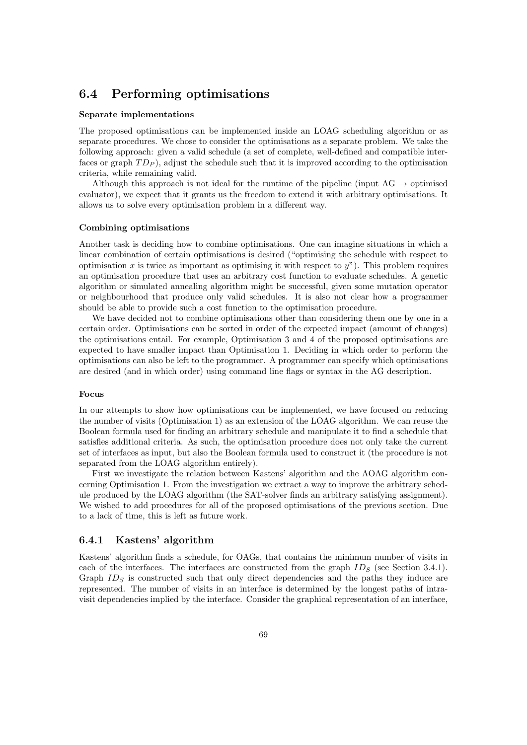# 6.4 Performing optimisations

#### Separate implementations

The proposed optimisations can be implemented inside an LOAG scheduling algorithm or as separate procedures. We chose to consider the optimisations as a separate problem. We take the following approach: given a valid schedule (a set of complete, well-defined and compatible interfaces or graph  $TD<sub>P</sub>$ ), adjust the schedule such that it is improved according to the optimisation criteria, while remaining valid.

Although this approach is not ideal for the runtime of the pipeline (input AG  $\rightarrow$  optimised evaluator), we expect that it grants us the freedom to extend it with arbitrary optimisations. It allows us to solve every optimisation problem in a different way.

#### Combining optimisations

Another task is deciding how to combine optimisations. One can imagine situations in which a linear combination of certain optimisations is desired ("optimising the schedule with respect to optimisation x is twice as important as optimising it with respect to  $y$ "). This problem requires an optimisation procedure that uses an arbitrary cost function to evaluate schedules. A genetic algorithm or simulated annealing algorithm might be successful, given some mutation operator or neighbourhood that produce only valid schedules. It is also not clear how a programmer should be able to provide such a cost function to the optimisation procedure.

We have decided not to combine optimisations other than considering them one by one in a certain order. Optimisations can be sorted in order of the expected impact (amount of changes) the optimisations entail. For example, Optimisation 3 and 4 of the proposed optimisations are expected to have smaller impact than Optimisation 1. Deciding in which order to perform the optimisations can also be left to the programmer. A programmer can specify which optimisations are desired (and in which order) using command line flags or syntax in the AG description.

#### Focus

In our attempts to show how optimisations can be implemented, we have focused on reducing the number of visits (Optimisation 1) as an extension of the LOAG algorithm. We can reuse the Boolean formula used for finding an arbitrary schedule and manipulate it to find a schedule that satisfies additional criteria. As such, the optimisation procedure does not only take the current set of interfaces as input, but also the Boolean formula used to construct it (the procedure is not separated from the LOAG algorithm entirely).

First we investigate the relation between Kastens' algorithm and the AOAG algorithm concerning Optimisation 1. From the investigation we extract a way to improve the arbitrary schedule produced by the LOAG algorithm (the SAT-solver finds an arbitrary satisfying assignment). We wished to add procedures for all of the proposed optimisations of the previous section. Due to a lack of time, this is left as future work.

#### 6.4.1 Kastens' algorithm

Kastens' algorithm finds a schedule, for OAGs, that contains the minimum number of visits in each of the interfaces. The interfaces are constructed from the graph  $ID<sub>S</sub>$  (see Section 3.4.1). Graph  $ID<sub>S</sub>$  is constructed such that only direct dependencies and the paths they induce are represented. The number of visits in an interface is determined by the longest paths of intravisit dependencies implied by the interface. Consider the graphical representation of an interface,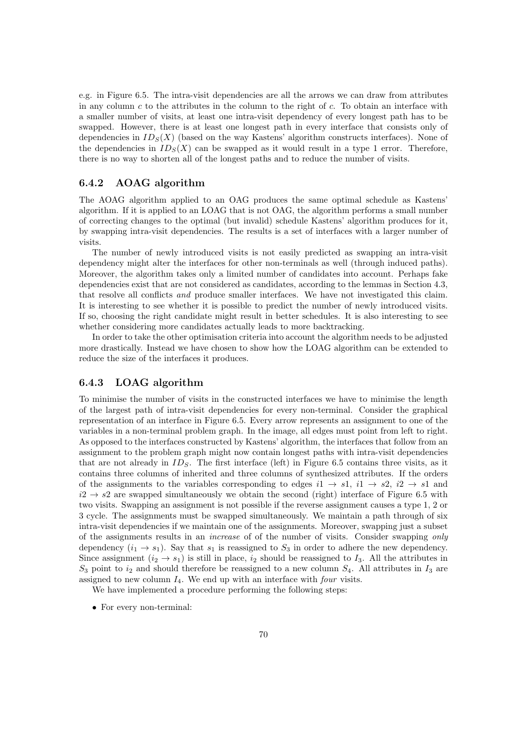e.g. in Figure 6.5. The intra-visit dependencies are all the arrows we can draw from attributes in any column  $c$  to the attributes in the column to the right of  $c$ . To obtain an interface with a smaller number of visits, at least one intra-visit dependency of every longest path has to be swapped. However, there is at least one longest path in every interface that consists only of dependencies in  $ID_S(X)$  (based on the way Kastens' algorithm constructs interfaces). None of the dependencies in  $ID_S(X)$  can be swapped as it would result in a type 1 error. Therefore, there is no way to shorten all of the longest paths and to reduce the number of visits.

#### 6.4.2 AOAG algorithm

The AOAG algorithm applied to an OAG produces the same optimal schedule as Kastens' algorithm. If it is applied to an LOAG that is not OAG, the algorithm performs a small number of correcting changes to the optimal (but invalid) schedule Kastens' algorithm produces for it, by swapping intra-visit dependencies. The results is a set of interfaces with a larger number of visits.

The number of newly introduced visits is not easily predicted as swapping an intra-visit dependency might alter the interfaces for other non-terminals as well (through induced paths). Moreover, the algorithm takes only a limited number of candidates into account. Perhaps fake dependencies exist that are not considered as candidates, according to the lemmas in Section 4.3, that resolve all conflicts and produce smaller interfaces. We have not investigated this claim. It is interesting to see whether it is possible to predict the number of newly introduced visits. If so, choosing the right candidate might result in better schedules. It is also interesting to see whether considering more candidates actually leads to more backtracking.

In order to take the other optimisation criteria into account the algorithm needs to be adjusted more drastically. Instead we have chosen to show how the LOAG algorithm can be extended to reduce the size of the interfaces it produces.

#### 6.4.3 LOAG algorithm

To minimise the number of visits in the constructed interfaces we have to minimise the length of the largest path of intra-visit dependencies for every non-terminal. Consider the graphical representation of an interface in Figure 6.5. Every arrow represents an assignment to one of the variables in a non-terminal problem graph. In the image, all edges must point from left to right. As opposed to the interfaces constructed by Kastens' algorithm, the interfaces that follow from an assignment to the problem graph might now contain longest paths with intra-visit dependencies that are not already in  $ID_S$ . The first interface (left) in Figure 6.5 contains three visits, as it contains three columns of inherited and three columns of synthesized attributes. If the orders of the assignments to the variables corresponding to edges  $i1 \rightarrow s1$ ,  $i1 \rightarrow s2$ ,  $i2 \rightarrow s1$  and  $i2 \rightarrow s2$  are swapped simultaneously we obtain the second (right) interface of Figure 6.5 with two visits. Swapping an assignment is not possible if the reverse assignment causes a type 1, 2 or 3 cycle. The assignments must be swapped simultaneously. We maintain a path through of six intra-visit dependencies if we maintain one of the assignments. Moreover, swapping just a subset of the assignments results in an increase of of the number of visits. Consider swapping only dependency  $(i_1 \rightarrow s_1)$ . Say that  $s_1$  is reassigned to  $S_3$  in order to adhere the new dependency. Since assignment  $(i_2 \rightarrow s_1)$  is still in place,  $i_2$  should be reassigned to  $I_3$ . All the attributes in  $S_3$  point to  $i_2$  and should therefore be reassigned to a new column  $S_4$ . All attributes in  $I_3$  are assigned to new column  $I_4$ . We end up with an interface with *four* visits.

We have implemented a procedure performing the following steps:

• For every non-terminal: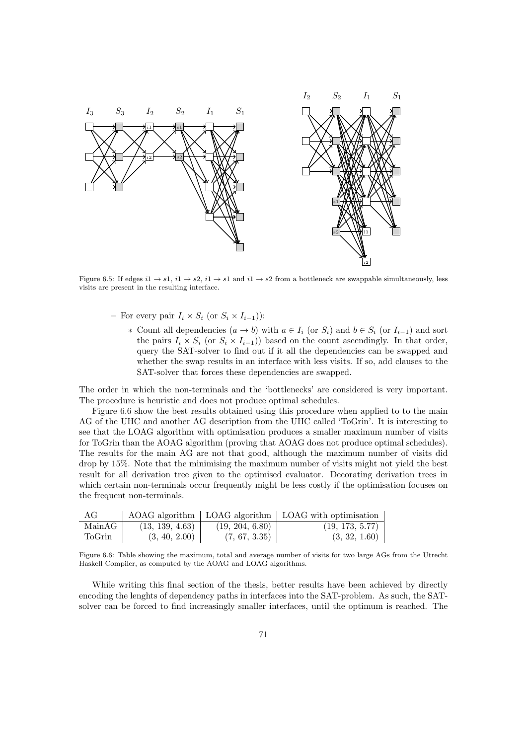

Figure 6.5: If edges  $i1 \rightarrow s1$ ,  $i1 \rightarrow s2$ ,  $i1 \rightarrow s1$  and  $i1 \rightarrow s2$  from a bottleneck are swappable simultaneously, less visits are present in the resulting interface.

- For every pair  $I_i \times S_i$  (or  $S_i \times I_{i-1}$ )):
	- ∗ Count all dependencies  $(a \to b)$  with  $a \in I_i$  (or  $S_i$ ) and  $b \in S_i$  (or  $I_{i-1}$ ) and sort the pairs  $I_i \times S_i$  (or  $S_i \times I_{i-1}$ )) based on the count ascendingly. In that order, query the SAT-solver to find out if it all the dependencies can be swapped and whether the swap results in an interface with less visits. If so, add clauses to the SAT-solver that forces these dependencies are swapped.

The order in which the non-terminals and the 'bottlenecks' are considered is very important. The procedure is heuristic and does not produce optimal schedules.

Figure 6.6 show the best results obtained using this procedure when applied to to the main AG of the UHC and another AG description from the UHC called 'ToGrin'. It is interesting to see that the LOAG algorithm with optimisation produces a smaller maximum number of visits for ToGrin than the AOAG algorithm (proving that AOAG does not produce optimal schedules). The results for the main AG are not that good, although the maximum number of visits did drop by 15%. Note that the minimising the maximum number of visits might not yield the best result for all derivation tree given to the optimised evaluator. Decorating derivation trees in which certain non-terminals occur frequently might be less costly if the optimisation focuses on the frequent non-terminals.

| AG     |                 |                 | $\triangle$ AOAG algorithm   LOAG algorithm   LOAG with optimisation |
|--------|-----------------|-----------------|----------------------------------------------------------------------|
| MainAG | (13, 139, 4.63) | (19, 204, 6.80) | (19, 173, 5.77)                                                      |
| ToGrin | (3, 40, 2.00)   | (7, 67, 3.35)   | (3, 32, 1.60)                                                        |

Figure 6.6: Table showing the maximum, total and average number of visits for two large AGs from the Utrecht Haskell Compiler, as computed by the AOAG and LOAG algorithms.

While writing this final section of the thesis, better results have been achieved by directly encoding the lenghts of dependency paths in interfaces into the SAT-problem. As such, the SATsolver can be forced to find increasingly smaller interfaces, until the optimum is reached. The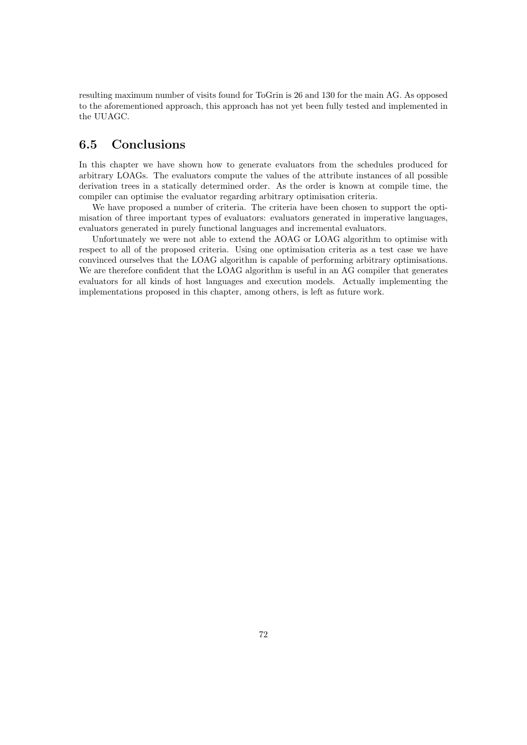resulting maximum number of visits found for ToGrin is 26 and 130 for the main AG. As opposed to the aforementioned approach, this approach has not yet been fully tested and implemented in the UUAGC.

### 6.5 Conclusions

In this chapter we have shown how to generate evaluators from the schedules produced for arbitrary LOAGs. The evaluators compute the values of the attribute instances of all possible derivation trees in a statically determined order. As the order is known at compile time, the compiler can optimise the evaluator regarding arbitrary optimisation criteria.

We have proposed a number of criteria. The criteria have been chosen to support the optimisation of three important types of evaluators: evaluators generated in imperative languages, evaluators generated in purely functional languages and incremental evaluators.

Unfortunately we were not able to extend the AOAG or LOAG algorithm to optimise with respect to all of the proposed criteria. Using one optimisation criteria as a test case we have convinced ourselves that the LOAG algorithm is capable of performing arbitrary optimisations. We are therefore confident that the LOAG algorithm is useful in an AG compiler that generates evaluators for all kinds of host languages and execution models. Actually implementing the implementations proposed in this chapter, among others, is left as future work.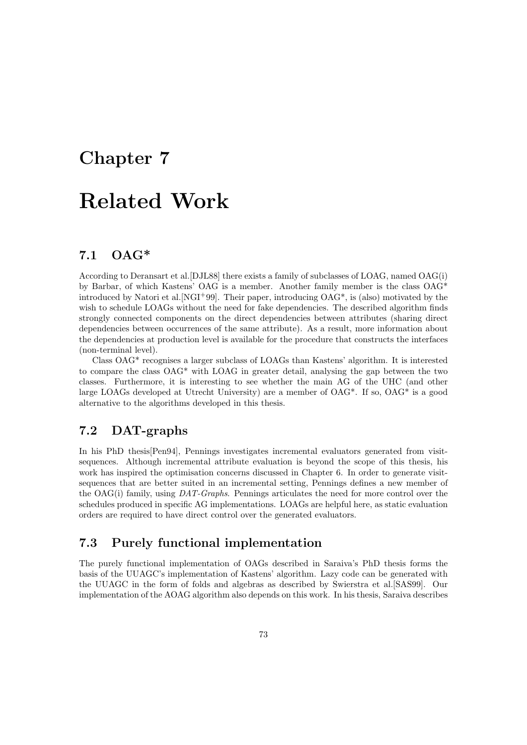# Chapter 7

# Related Work

## 7.1 OAG\*

According to Deransart et al.[DJL88] there exists a family of subclasses of LOAG, named OAG(i) by Barbar, of which Kastens' OAG is a member. Another family member is the class OAG\* introduced by Natori et al.  $\text{NGI}^+99$ . Their paper, introducing  $\text{OAG}^*$ , is (also) motivated by the wish to schedule LOAGs without the need for fake dependencies. The described algorithm finds strongly connected components on the direct dependencies between attributes (sharing direct dependencies between occurrences of the same attribute). As a result, more information about the dependencies at production level is available for the procedure that constructs the interfaces (non-terminal level).

Class OAG\* recognises a larger subclass of LOAGs than Kastens' algorithm. It is interested to compare the class OAG\* with LOAG in greater detail, analysing the gap between the two classes. Furthermore, it is interesting to see whether the main AG of the UHC (and other large LOAGs developed at Utrecht University) are a member of OAG\*. If so, OAG\* is a good alternative to the algorithms developed in this thesis.

## 7.2 DAT-graphs

In his PhD thesis[Pen94], Pennings investigates incremental evaluators generated from visitsequences. Although incremental attribute evaluation is beyond the scope of this thesis, his work has inspired the optimisation concerns discussed in Chapter 6. In order to generate visitsequences that are better suited in an incremental setting, Pennings defines a new member of the OAG(i) family, using  $DATA-Graphs$ . Pennings articulates the need for more control over the schedules produced in specific AG implementations. LOAGs are helpful here, as static evaluation orders are required to have direct control over the generated evaluators.

### 7.3 Purely functional implementation

The purely functional implementation of OAGs described in Saraiva's PhD thesis forms the basis of the UUAGC's implementation of Kastens' algorithm. Lazy code can be generated with the UUAGC in the form of folds and algebras as described by Swierstra et al.[SAS99]. Our implementation of the AOAG algorithm also depends on this work. In his thesis, Saraiva describes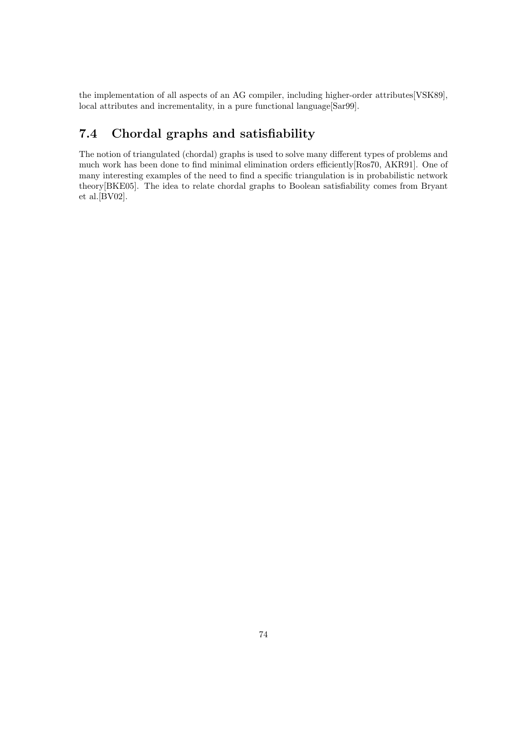the implementation of all aspects of an AG compiler, including higher-order attributes[VSK89], local attributes and incrementality, in a pure functional language[Sar99].

# 7.4 Chordal graphs and satisfiability

The notion of triangulated (chordal) graphs is used to solve many different types of problems and much work has been done to find minimal elimination orders efficiently[Ros70, AKR91]. One of many interesting examples of the need to find a specific triangulation is in probabilistic network theory[BKE05]. The idea to relate chordal graphs to Boolean satisfiability comes from Bryant et al.[BV02].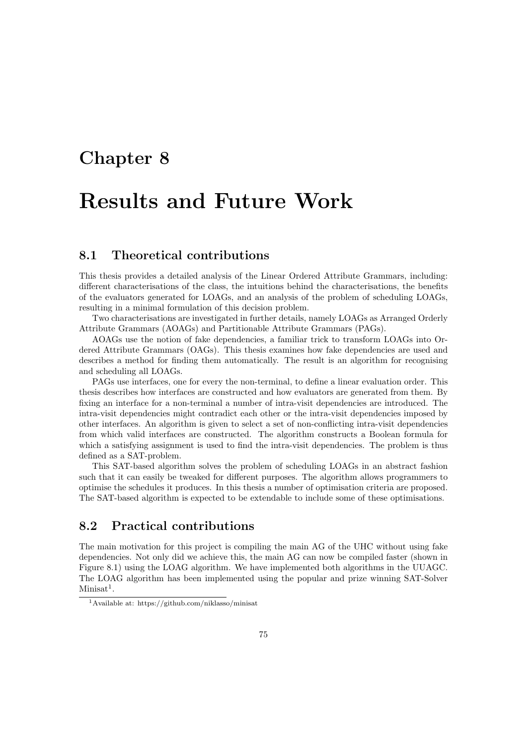# Chapter 8

# Results and Future Work

### 8.1 Theoretical contributions

This thesis provides a detailed analysis of the Linear Ordered Attribute Grammars, including: different characterisations of the class, the intuitions behind the characterisations, the benefits of the evaluators generated for LOAGs, and an analysis of the problem of scheduling LOAGs, resulting in a minimal formulation of this decision problem.

Two characterisations are investigated in further details, namely LOAGs as Arranged Orderly Attribute Grammars (AOAGs) and Partitionable Attribute Grammars (PAGs).

AOAGs use the notion of fake dependencies, a familiar trick to transform LOAGs into Ordered Attribute Grammars (OAGs). This thesis examines how fake dependencies are used and describes a method for finding them automatically. The result is an algorithm for recognising and scheduling all LOAGs.

PAGs use interfaces, one for every the non-terminal, to define a linear evaluation order. This thesis describes how interfaces are constructed and how evaluators are generated from them. By fixing an interface for a non-terminal a number of intra-visit dependencies are introduced. The intra-visit dependencies might contradict each other or the intra-visit dependencies imposed by other interfaces. An algorithm is given to select a set of non-conflicting intra-visit dependencies from which valid interfaces are constructed. The algorithm constructs a Boolean formula for which a satisfying assignment is used to find the intra-visit dependencies. The problem is thus defined as a SAT-problem.

This SAT-based algorithm solves the problem of scheduling LOAGs in an abstract fashion such that it can easily be tweaked for different purposes. The algorithm allows programmers to optimise the schedules it produces. In this thesis a number of optimisation criteria are proposed. The SAT-based algorithm is expected to be extendable to include some of these optimisations.

### 8.2 Practical contributions

The main motivation for this project is compiling the main AG of the UHC without using fake dependencies. Not only did we achieve this, the main AG can now be compiled faster (shown in Figure 8.1) using the LOAG algorithm. We have implemented both algorithms in the UUAGC. The LOAG algorithm has been implemented using the popular and prize winning SAT-Solver  $Minisat<sup>1</sup>$ .

<sup>1</sup>Available at: https://github.com/niklasso/minisat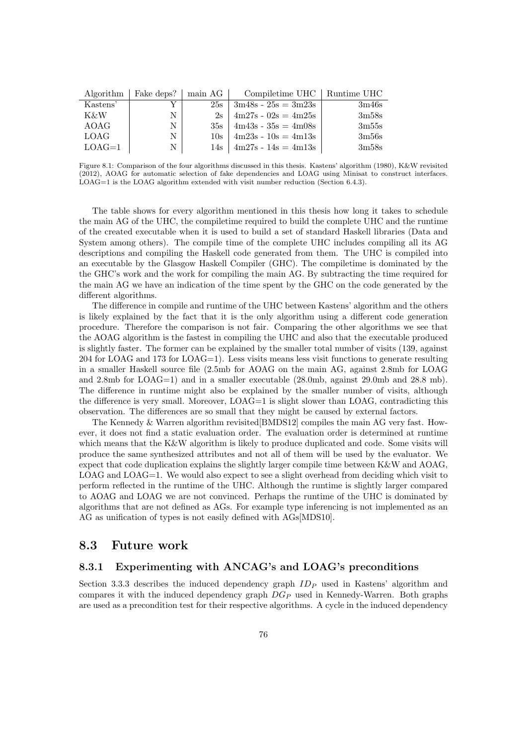| Algorithm   | Fake deps?   main AG |     | Compiletime UHC   Runtime UHC |       |
|-------------|----------------------|-----|-------------------------------|-------|
| Kastens'    |                      | 25s | $3m48s - 25s = 3m23s$         | 3m46s |
| K&W         | N                    | 2s  | $4m27s - 02s = 4m25s$         | 3m58s |
| AOAG        | N                    | 35s | $4m43s - 35s = 4m08s$         | 3m55s |
| <b>LOAG</b> | N                    | 10s | $4m23s - 10s = 4m13s$         | 3m56s |
| $LOAG=1$    | N                    | 14s | $4m27s - 14s = 4m13s$         | 3m58s |

Figure 8.1: Comparison of the four algorithms discussed in this thesis. Kastens' algorithm (1980), K&W revisited (2012), AOAG for automatic selection of fake dependencies and LOAG using Minisat to construct interfaces.  $\text{LOAG}=1$  is the LOAG algorithm extended with visit number reduction (Section 6.4.3).

The table shows for every algorithm mentioned in this thesis how long it takes to schedule the main AG of the UHC, the compiletime required to build the complete UHC and the runtime of the created executable when it is used to build a set of standard Haskell libraries (Data and System among others). The compile time of the complete UHC includes compiling all its AG descriptions and compiling the Haskell code generated from them. The UHC is compiled into an executable by the Glasgow Haskell Compiler (GHC). The compiletime is dominated by the the GHC's work and the work for compiling the main AG. By subtracting the time required for the main AG we have an indication of the time spent by the GHC on the code generated by the different algorithms.

The difference in compile and runtime of the UHC between Kastens' algorithm and the others is likely explained by the fact that it is the only algorithm using a different code generation procedure. Therefore the comparison is not fair. Comparing the other algorithms we see that the AOAG algorithm is the fastest in compiling the UHC and also that the executable produced is slightly faster. The former can be explained by the smaller total number of visits (139, against 204 for LOAG and 173 for LOAG=1). Less visits means less visit functions to generate resulting in a smaller Haskell source file (2.5mb for AOAG on the main AG, against 2.8mb for LOAG and 2.8mb for LOAG=1) and in a smaller executable (28.0mb, against 29.0mb and 28.8 mb). The difference in runtime might also be explained by the smaller number of visits, although the difference is very small. Moreover, LOAG=1 is slight slower than LOAG, contradicting this observation. The differences are so small that they might be caused by external factors.

The Kennedy & Warren algorithm revisited[BMDS12] compiles the main AG very fast. However, it does not find a static evaluation order. The evaluation order is determined at runtime which means that the K&W algorithm is likely to produce duplicated and code. Some visits will produce the same synthesized attributes and not all of them will be used by the evaluator. We expect that code duplication explains the slightly larger compile time between K&W and AOAG, LOAG and LOAG=1. We would also expect to see a slight overhead from deciding which visit to perform reflected in the runtime of the UHC. Although the runtime is slightly larger compared to AOAG and LOAG we are not convinced. Perhaps the runtime of the UHC is dominated by algorithms that are not defined as AGs. For example type inferencing is not implemented as an AG as unification of types is not easily defined with AGs[MDS10].

### 8.3 Future work

#### 8.3.1 Experimenting with ANCAG's and LOAG's preconditions

Section 3.3.3 describes the induced dependency graph  $ID_P$  used in Kastens' algorithm and compares it with the induced dependency graph  $DG_P$  used in Kennedy-Warren. Both graphs are used as a precondition test for their respective algorithms. A cycle in the induced dependency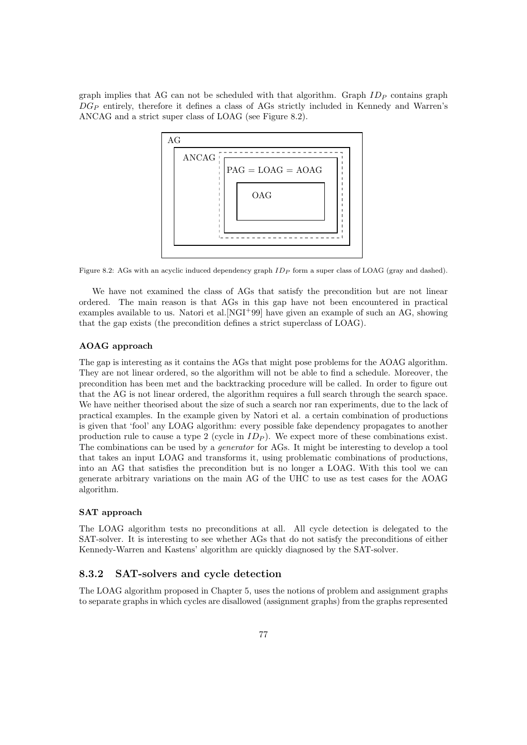graph implies that AG can not be scheduled with that algorithm. Graph  $ID_P$  contains graph  $DG_P$  entirely, therefore it defines a class of AGs strictly included in Kennedy and Warren's ANCAG and a strict super class of LOAG (see Figure 8.2).



Figure 8.2: AGs with an acyclic induced dependency graph  $ID<sub>P</sub>$  form a super class of LOAG (gray and dashed).

We have not examined the class of AGs that satisfy the precondition but are not linear ordered. The main reason is that AGs in this gap have not been encountered in practical examples available to us. Natori et al.[NGI+99] have given an example of such an AG, showing that the gap exists (the precondition defines a strict superclass of LOAG).

#### AOAG approach

The gap is interesting as it contains the AGs that might pose problems for the AOAG algorithm. They are not linear ordered, so the algorithm will not be able to find a schedule. Moreover, the precondition has been met and the backtracking procedure will be called. In order to figure out that the AG is not linear ordered, the algorithm requires a full search through the search space. We have neither theorised about the size of such a search nor ran experiments, due to the lack of practical examples. In the example given by Natori et al. a certain combination of productions is given that 'fool' any LOAG algorithm: every possible fake dependency propagates to another production rule to cause a type 2 (cycle in  $ID_P$ ). We expect more of these combinations exist. The combinations can be used by a *generator* for AGs. It might be interesting to develop a tool that takes an input LOAG and transforms it, using problematic combinations of productions, into an AG that satisfies the precondition but is no longer a LOAG. With this tool we can generate arbitrary variations on the main AG of the UHC to use as test cases for the AOAG algorithm.

#### SAT approach

The LOAG algorithm tests no preconditions at all. All cycle detection is delegated to the SAT-solver. It is interesting to see whether AGs that do not satisfy the preconditions of either Kennedy-Warren and Kastens' algorithm are quickly diagnosed by the SAT-solver.

#### 8.3.2 SAT-solvers and cycle detection

The LOAG algorithm proposed in Chapter 5, uses the notions of problem and assignment graphs to separate graphs in which cycles are disallowed (assignment graphs) from the graphs represented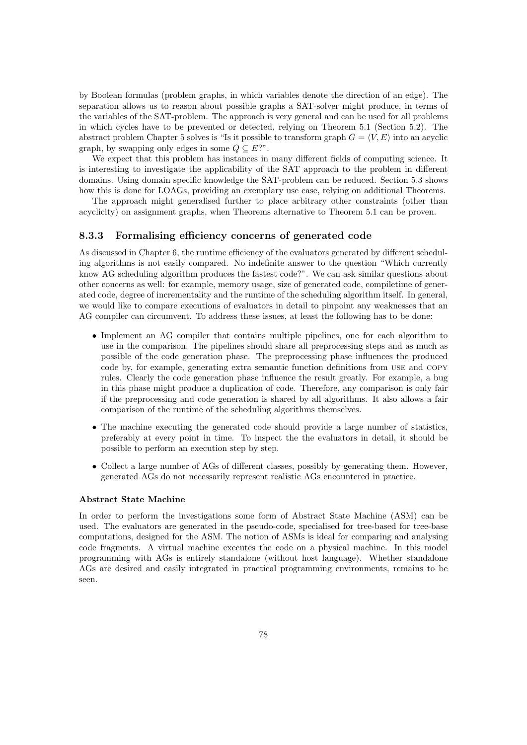by Boolean formulas (problem graphs, in which variables denote the direction of an edge). The separation allows us to reason about possible graphs a SAT-solver might produce, in terms of the variables of the SAT-problem. The approach is very general and can be used for all problems in which cycles have to be prevented or detected, relying on Theorem 5.1 (Section 5.2). The abstract problem Chapter 5 solves is "Is it possible to transform graph  $G = \langle V, E \rangle$  into an acyclic graph, by swapping only edges in some  $Q \subseteq E$ ?".

We expect that this problem has instances in many different fields of computing science. It is interesting to investigate the applicability of the SAT approach to the problem in different domains. Using domain specific knowledge the SAT-problem can be reduced. Section 5.3 shows how this is done for LOAGs, providing an exemplary use case, relying on additional Theorems.

The approach might generalised further to place arbitrary other constraints (other than acyclicity) on assignment graphs, when Theorems alternative to Theorem 5.1 can be proven.

#### 8.3.3 Formalising efficiency concerns of generated code

As discussed in Chapter 6, the runtime efficiency of the evaluators generated by different scheduling algorithms is not easily compared. No indefinite answer to the question "Which currently know AG scheduling algorithm produces the fastest code?". We can ask similar questions about other concerns as well: for example, memory usage, size of generated code, compiletime of generated code, degree of incrementality and the runtime of the scheduling algorithm itself. In general, we would like to compare executions of evaluators in detail to pinpoint any weaknesses that an AG compiler can circumvent. To address these issues, at least the following has to be done:

- Implement an AG compiler that contains multiple pipelines, one for each algorithm to use in the comparison. The pipelines should share all preprocessing steps and as much as possible of the code generation phase. The preprocessing phase influences the produced code by, for example, generating extra semantic function definitions from use and copy rules. Clearly the code generation phase influence the result greatly. For example, a bug in this phase might produce a duplication of code. Therefore, any comparison is only fair if the preprocessing and code generation is shared by all algorithms. It also allows a fair comparison of the runtime of the scheduling algorithms themselves.
- The machine executing the generated code should provide a large number of statistics, preferably at every point in time. To inspect the the evaluators in detail, it should be possible to perform an execution step by step.
- Collect a large number of AGs of different classes, possibly by generating them. However, generated AGs do not necessarily represent realistic AGs encountered in practice.

#### Abstract State Machine

In order to perform the investigations some form of Abstract State Machine (ASM) can be used. The evaluators are generated in the pseudo-code, specialised for tree-based for tree-base computations, designed for the ASM. The notion of ASMs is ideal for comparing and analysing code fragments. A virtual machine executes the code on a physical machine. In this model programming with AGs is entirely standalone (without host language). Whether standalone AGs are desired and easily integrated in practical programming environments, remains to be seen.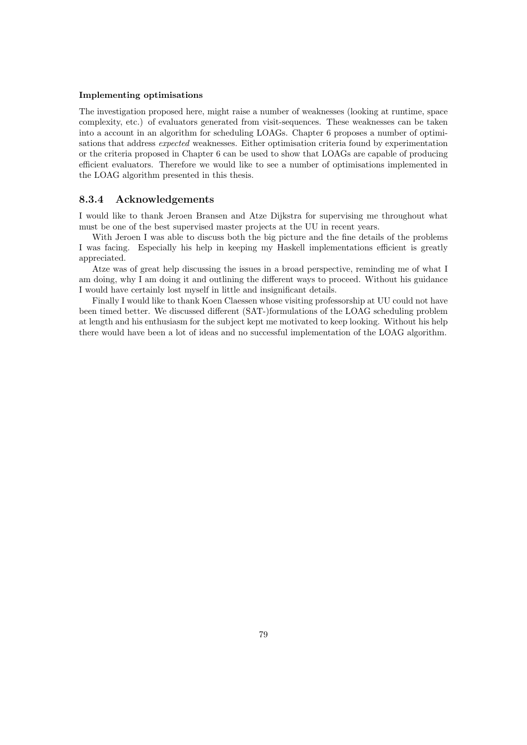#### Implementing optimisations

The investigation proposed here, might raise a number of weaknesses (looking at runtime, space complexity, etc.) of evaluators generated from visit-sequences. These weaknesses can be taken into a account in an algorithm for scheduling LOAGs. Chapter 6 proposes a number of optimisations that address expected weaknesses. Either optimisation criteria found by experimentation or the criteria proposed in Chapter 6 can be used to show that LOAGs are capable of producing efficient evaluators. Therefore we would like to see a number of optimisations implemented in the LOAG algorithm presented in this thesis.

#### 8.3.4 Acknowledgements

I would like to thank Jeroen Bransen and Atze Dijkstra for supervising me throughout what must be one of the best supervised master projects at the UU in recent years.

With Jeroen I was able to discuss both the big picture and the fine details of the problems I was facing. Especially his help in keeping my Haskell implementations efficient is greatly appreciated.

Atze was of great help discussing the issues in a broad perspective, reminding me of what I am doing, why I am doing it and outlining the different ways to proceed. Without his guidance I would have certainly lost myself in little and insignificant details.

Finally I would like to thank Koen Claessen whose visiting professorship at UU could not have been timed better. We discussed different (SAT-)formulations of the LOAG scheduling problem at length and his enthusiasm for the subject kept me motivated to keep looking. Without his help there would have been a lot of ideas and no successful implementation of the LOAG algorithm.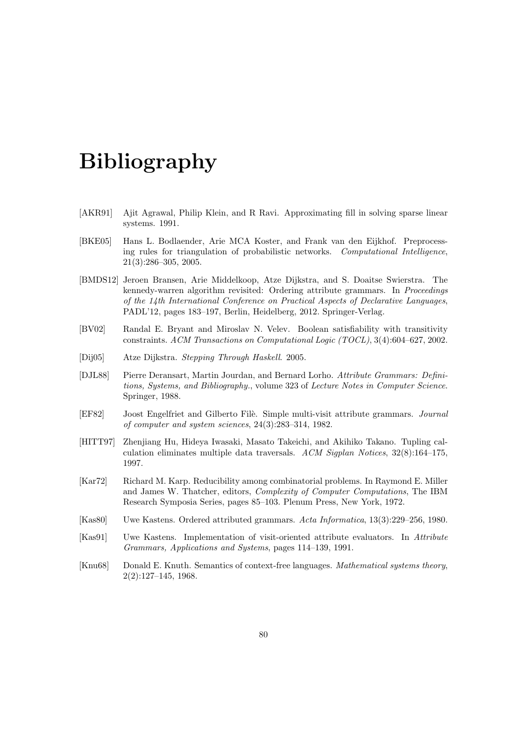# Bibliography

- [AKR91] Ajit Agrawal, Philip Klein, and R Ravi. Approximating fill in solving sparse linear systems. 1991.
- [BKE05] Hans L. Bodlaender, Arie MCA Koster, and Frank van den Eijkhof. Preprocessing rules for triangulation of probabilistic networks. Computational Intelligence, 21(3):286–305, 2005.
- [BMDS12] Jeroen Bransen, Arie Middelkoop, Atze Dijkstra, and S. Doaitse Swierstra. The kennedy-warren algorithm revisited: Ordering attribute grammars. In Proceedings of the 14th International Conference on Practical Aspects of Declarative Languages, PADL'12, pages 183–197, Berlin, Heidelberg, 2012. Springer-Verlag.
- [BV02] Randal E. Bryant and Miroslav N. Velev. Boolean satisfiability with transitivity constraints. ACM Transactions on Computational Logic (TOCL), 3(4):604–627, 2002.
- [Dij05] Atze Dijkstra. Stepping Through Haskell. 2005.
- [DJL88] Pierre Deransart, Martin Jourdan, and Bernard Lorho. Attribute Grammars: Definitions, Systems, and Bibliography., volume 323 of Lecture Notes in Computer Science. Springer, 1988.
- [EF82] Joost Engelfriet and Gilberto Filè. Simple multi-visit attribute grammars. Journal of computer and system sciences, 24(3):283–314, 1982.
- [HITT97] Zhenjiang Hu, Hideya Iwasaki, Masato Takeichi, and Akihiko Takano. Tupling calculation eliminates multiple data traversals. ACM Sigplan Notices, 32(8):164–175, 1997.
- [Kar72] Richard M. Karp. Reducibility among combinatorial problems. In Raymond E. Miller and James W. Thatcher, editors, Complexity of Computer Computations, The IBM Research Symposia Series, pages 85–103. Plenum Press, New York, 1972.
- [Kas80] Uwe Kastens. Ordered attributed grammars. Acta Informatica, 13(3):229–256, 1980.
- [Kas91] Uwe Kastens. Implementation of visit-oriented attribute evaluators. In Attribute Grammars, Applications and Systems, pages 114–139, 1991.
- [Knu68] Donald E. Knuth. Semantics of context-free languages. Mathematical systems theory, 2(2):127–145, 1968.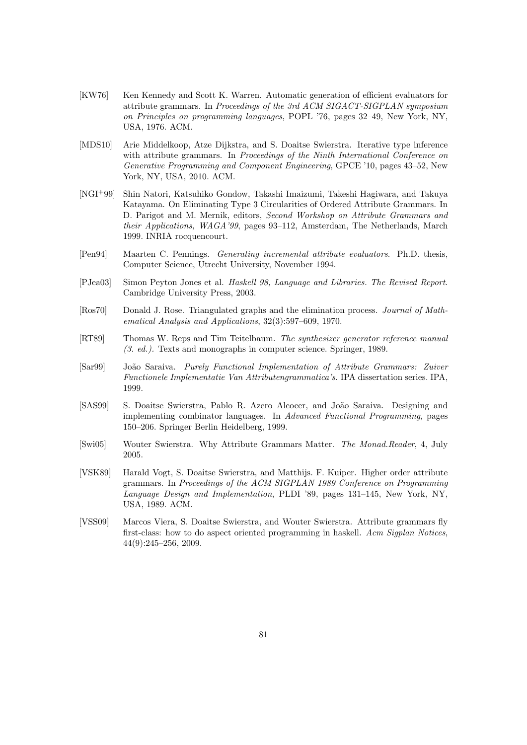- [KW76] Ken Kennedy and Scott K. Warren. Automatic generation of efficient evaluators for attribute grammars. In Proceedings of the 3rd ACM SIGACT-SIGPLAN symposium on Principles on programming languages, POPL '76, pages 32–49, New York, NY, USA, 1976. ACM.
- [MDS10] Arie Middelkoop, Atze Dijkstra, and S. Doaitse Swierstra. Iterative type inference with attribute grammars. In Proceedings of the Ninth International Conference on Generative Programming and Component Engineering, GPCE '10, pages 43–52, New York, NY, USA, 2010. ACM.
- [NGI+99] Shin Natori, Katsuhiko Gondow, Takashi Imaizumi, Takeshi Hagiwara, and Takuya Katayama. On Eliminating Type 3 Circularities of Ordered Attribute Grammars. In D. Parigot and M. Mernik, editors, Second Workshop on Attribute Grammars and their Applications, WAGA'99, pages 93–112, Amsterdam, The Netherlands, March 1999. INRIA rocquencourt.
- [Pen94] Maarten C. Pennings. Generating incremental attribute evaluators. Ph.D. thesis, Computer Science, Utrecht University, November 1994.
- [PJea03] Simon Peyton Jones et al. Haskell 98, Language and Libraries. The Revised Report. Cambridge University Press, 2003.
- [Ros70] Donald J. Rose. Triangulated graphs and the elimination process. Journal of Mathematical Analysis and Applications, 32(3):597–609, 1970.
- [RT89] Thomas W. Reps and Tim Teitelbaum. The synthesizer generator reference manual (3. ed.). Texts and monographs in computer science. Springer, 1989.
- [Sar99] Jo˜ao Saraiva. Purely Functional Implementation of Attribute Grammars: Zuiver Functionele Implementatie Van Attributengrammatica's. IPA dissertation series. IPA, 1999.
- [SAS99] S. Doaitse Swierstra, Pablo R. Azero Alcocer, and João Saraiva. Designing and implementing combinator languages. In Advanced Functional Programming, pages 150–206. Springer Berlin Heidelberg, 1999.
- [Swi05] Wouter Swierstra. Why Attribute Grammars Matter. The Monad.Reader, 4, July 2005.
- [VSK89] Harald Vogt, S. Doaitse Swierstra, and Matthijs. F. Kuiper. Higher order attribute grammars. In Proceedings of the ACM SIGPLAN 1989 Conference on Programming Language Design and Implementation, PLDI '89, pages 131–145, New York, NY, USA, 1989. ACM.
- [VSS09] Marcos Viera, S. Doaitse Swierstra, and Wouter Swierstra. Attribute grammars fly first-class: how to do aspect oriented programming in haskell. Acm Sigplan Notices, 44(9):245–256, 2009.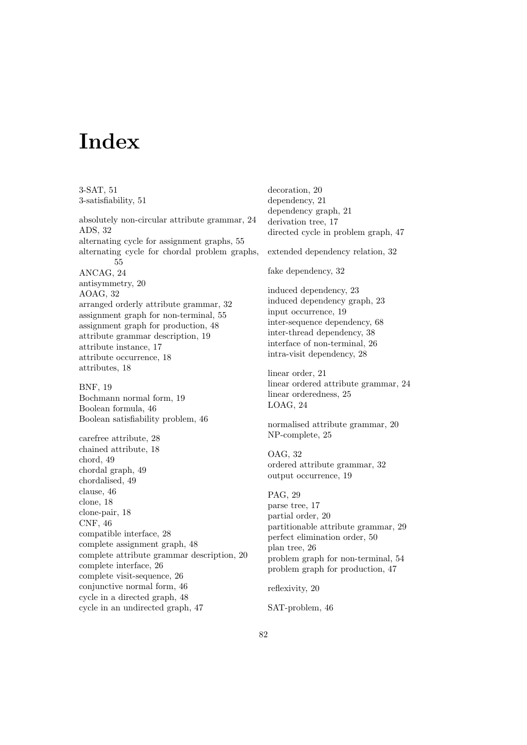# Index

3-SAT, 51

3-satisfiability, 51 absolutely non-circular attribute grammar, 24 ADS, 32 alternating cycle for assignment graphs, 55 alternating cycle for chordal problem graphs, 55 ANCAG, 24 antisymmetry, 20 AOAG, 32 arranged orderly attribute grammar, 32 assignment graph for non-terminal, 55 assignment graph for production, 48 attribute grammar description, 19 attribute instance, 17 attribute occurrence, 18 attributes, 18 BNF, 19 Bochmann normal form, 19 Boolean formula, 46 Boolean satisfiability problem, 46 carefree attribute, 28 chained attribute, 18 chord, 49 chordal graph, 49 chordalised, 49 clause, 46 clone, 18 clone-pair, 18 CNF, 46 compatible interface, 28 complete assignment graph, 48 complete attribute grammar description, 20 complete interface, 26 complete visit-sequence, 26 conjunctive normal form, 46 cycle in a directed graph, 48 cycle in an undirected graph, 47

decoration, 20 dependency, 21 dependency graph, 21 derivation tree, 17 directed cycle in problem graph, 47

extended dependency relation, 32

fake dependency, 32

induced dependency, 23 induced dependency graph, 23 input occurrence, 19 inter-sequence dependency, 68 inter-thread dependency, 38 interface of non-terminal, 26 intra-visit dependency, 28

linear order, 21 linear ordered attribute grammar, 24 linear orderedness, 25 LOAG, 24

normalised attribute grammar, 20 NP-complete, 25

OAG, 32 ordered attribute grammar, 32 output occurrence, 19

PAG, 29 parse tree, 17 partial order, 20 partitionable attribute grammar, 29 perfect elimination order, 50 plan tree, 26 problem graph for non-terminal, 54 problem graph for production, 47

reflexivity, 20

SAT-problem, 46